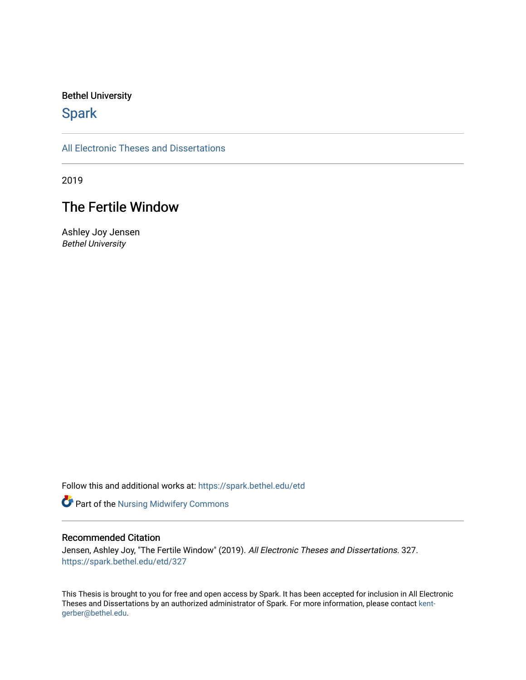## Bethel University

# **Spark**

[All Electronic Theses and Dissertations](https://spark.bethel.edu/etd) 

2019

# The Fertile Window

Ashley Joy Jensen Bethel University

Follow this and additional works at: [https://spark.bethel.edu/etd](https://spark.bethel.edu/etd?utm_source=spark.bethel.edu%2Fetd%2F327&utm_medium=PDF&utm_campaign=PDFCoverPages)

Part of the [Nursing Midwifery Commons](http://network.bepress.com/hgg/discipline/722?utm_source=spark.bethel.edu%2Fetd%2F327&utm_medium=PDF&utm_campaign=PDFCoverPages) 

### Recommended Citation

Jensen, Ashley Joy, "The Fertile Window" (2019). All Electronic Theses and Dissertations. 327. [https://spark.bethel.edu/etd/327](https://spark.bethel.edu/etd/327?utm_source=spark.bethel.edu%2Fetd%2F327&utm_medium=PDF&utm_campaign=PDFCoverPages)

This Thesis is brought to you for free and open access by Spark. It has been accepted for inclusion in All Electronic Theses and Dissertations by an authorized administrator of Spark. For more information, please contact [kent](mailto:kent-gerber@bethel.edu)[gerber@bethel.edu.](mailto:kent-gerber@bethel.edu)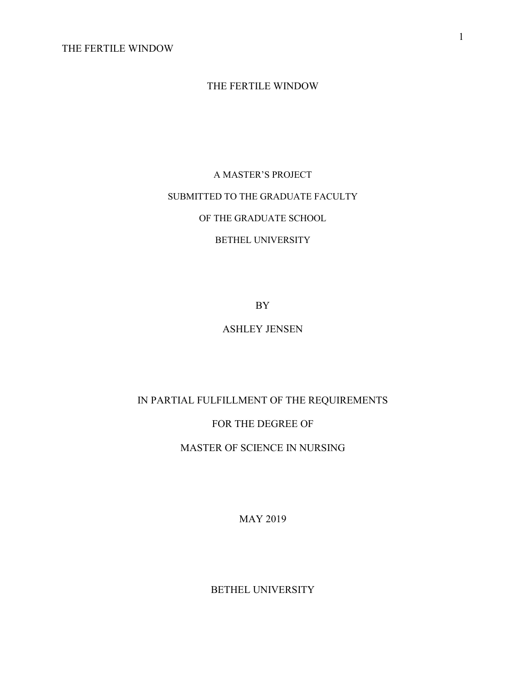# THE FERTILE WINDOW

A MASTER'S PROJECT SUBMITTED TO THE GRADUATE FACULTY OF THE GRADUATE SCHOOL BETHEL UNIVERSITY

BY

## ASHLEY JENSEN

IN PARTIAL FULFILLMENT OF THE REQUIREMENTS

FOR THE DEGREE OF

MASTER OF SCIENCE IN NURSING

MAY 2019

BETHEL UNIVERSITY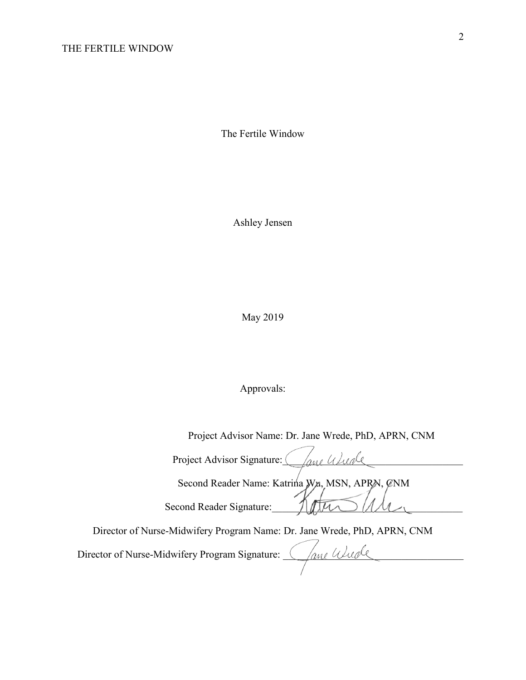The Fertile Window

Ashley Jensen

May 2019

Approvals:

| Project Advisor Name: Dr. Jane Wrede, PhD, APRN, CNM                     |
|--------------------------------------------------------------------------|
| Project Advisor Signature:<br>ano Usuale                                 |
| Second Reader Name: Katrina Wa, MSN, APRN, ØNM                           |
| Second Reader Signature:                                                 |
| Director of Nurse-Midwifery Program Name: Dr. Jane Wrede, PhD, APRN, CNM |
| ane Wucle<br>Director of Nurse-Midwifery Program Signature:              |
|                                                                          |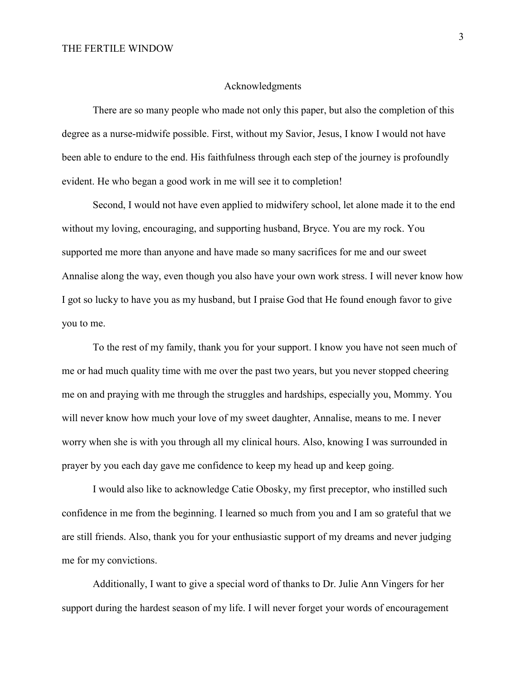#### Acknowledgments

There are so many people who made not only this paper, but also the completion of this degree as a nurse-midwife possible. First, without my Savior, Jesus, I know I would not have been able to endure to the end. His faithfulness through each step of the journey is profoundly evident. He who began a good work in me will see it to completion!

Second, I would not have even applied to midwifery school, let alone made it to the end without my loving, encouraging, and supporting husband, Bryce. You are my rock. You supported me more than anyone and have made so many sacrifices for me and our sweet Annalise along the way, even though you also have your own work stress. I will never know how I got so lucky to have you as my husband, but I praise God that He found enough favor to give you to me.

To the rest of my family, thank you for your support. I know you have not seen much of me or had much quality time with me over the past two years, but you never stopped cheering me on and praying with me through the struggles and hardships, especially you, Mommy. You will never know how much your love of my sweet daughter, Annalise, means to me. I never worry when she is with you through all my clinical hours. Also, knowing I was surrounded in prayer by you each day gave me confidence to keep my head up and keep going.

I would also like to acknowledge Catie Obosky, my first preceptor, who instilled such confidence in me from the beginning. I learned so much from you and I am so grateful that we are still friends. Also, thank you for your enthusiastic support of my dreams and never judging me for my convictions.

Additionally, I want to give a special word of thanks to Dr. Julie Ann Vingers for her support during the hardest season of my life. I will never forget your words of encouragement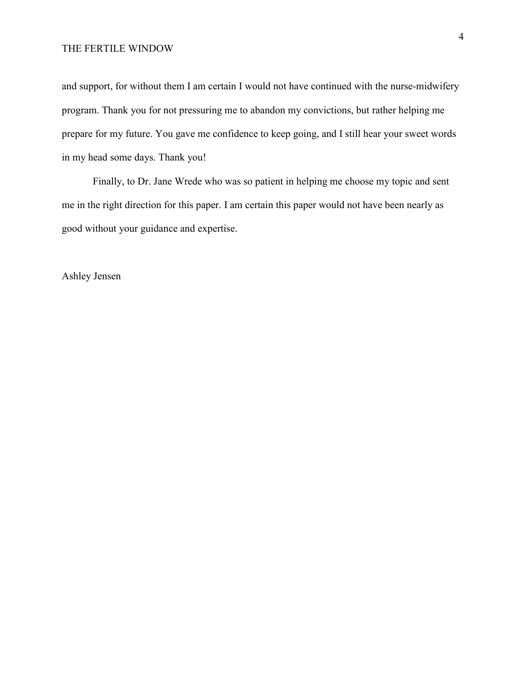and support, for without them I am certain I would not have continued with the nurse-midwifery program. Thank you for not pressuring me to abandon my convictions, but rather helping me prepare for my future. You gave me confidence to keep going, and I still hear your sweet words in my head some days. Thank you!

Finally, to Dr. Jane Wrede who was so patient in helping me choose my topic and sent me in the right direction for this paper. I am certain this paper would not have been nearly as good without your guidance and expertise.

Ashley Jensen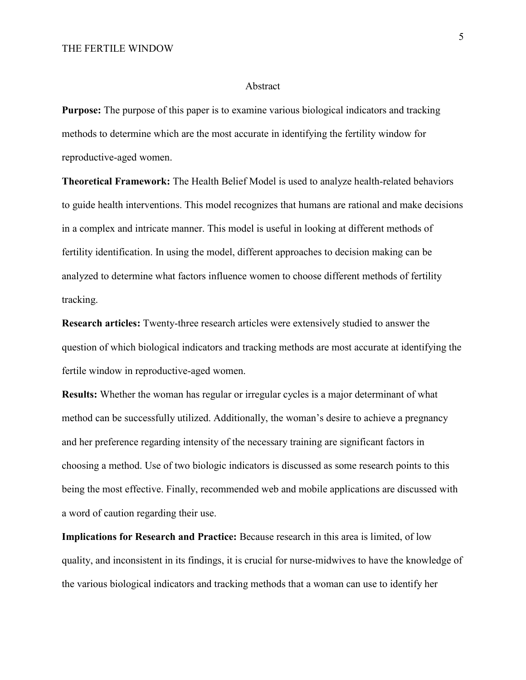#### Abstract

**Purpose:** The purpose of this paper is to examine various biological indicators and tracking methods to determine which are the most accurate in identifying the fertility window for reproductive-aged women.

**Theoretical Framework:** The Health Belief Model is used to analyze health-related behaviors to guide health interventions. This model recognizes that humans are rational and make decisions in a complex and intricate manner. This model is useful in looking at different methods of fertility identification. In using the model, different approaches to decision making can be analyzed to determine what factors influence women to choose different methods of fertility tracking.

**Research articles:** Twenty-three research articles were extensively studied to answer the question of which biological indicators and tracking methods are most accurate at identifying the fertile window in reproductive-aged women.

**Results:** Whether the woman has regular or irregular cycles is a major determinant of what method can be successfully utilized. Additionally, the woman's desire to achieve a pregnancy and her preference regarding intensity of the necessary training are significant factors in choosing a method. Use of two biologic indicators is discussed as some research points to this being the most effective. Finally, recommended web and mobile applications are discussed with a word of caution regarding their use.

**Implications for Research and Practice:** Because research in this area is limited, of low quality, and inconsistent in its findings, it is crucial for nurse-midwives to have the knowledge of the various biological indicators and tracking methods that a woman can use to identify her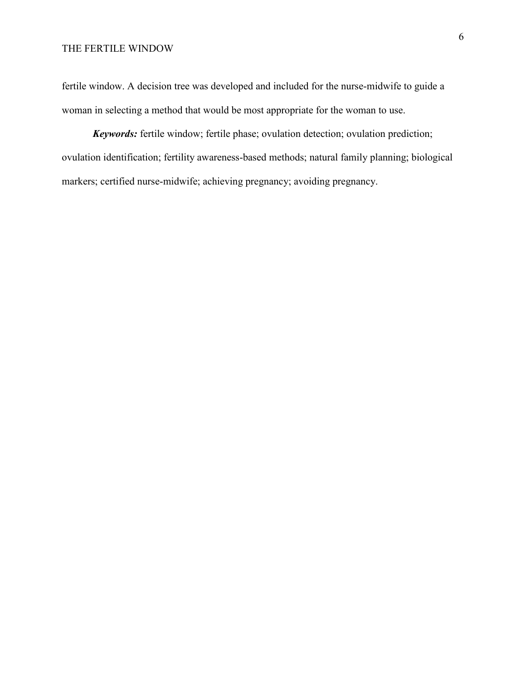fertile window. A decision tree was developed and included for the nurse-midwife to guide a woman in selecting a method that would be most appropriate for the woman to use.

*Keywords:* fertile window; fertile phase; ovulation detection; ovulation prediction; ovulation identification; fertility awareness-based methods; natural family planning; biological markers; certified nurse-midwife; achieving pregnancy; avoiding pregnancy.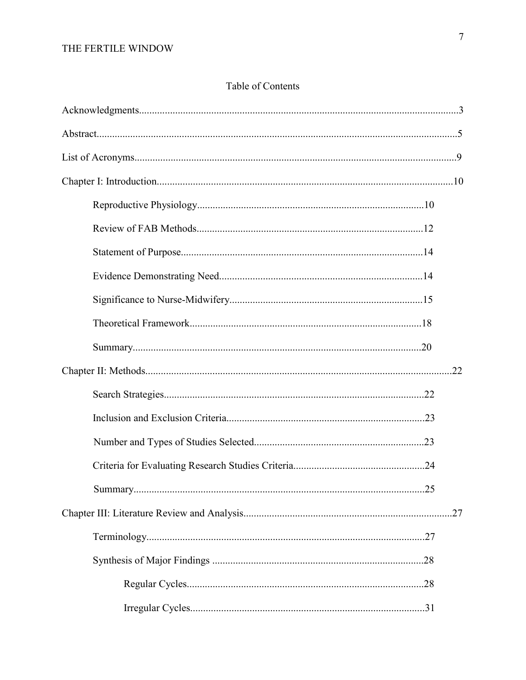# Table of Contents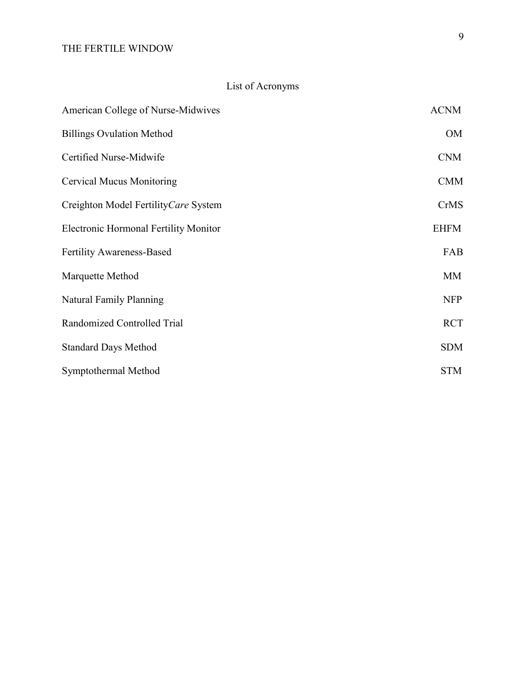# List of Acronyms

| American College of Nurse-Midwives           | <b>ACNM</b> |
|----------------------------------------------|-------------|
| <b>Billings Ovulation Method</b>             | <b>OM</b>   |
| Certified Nurse-Midwife                      | <b>CNM</b>  |
| <b>Cervical Mucus Monitoring</b>             | <b>CMM</b>  |
| Creighton Model FertilityCare System         | <b>CrMS</b> |
| <b>Electronic Hormonal Fertility Monitor</b> | <b>EHFM</b> |
| <b>Fertility Awareness-Based</b>             | FAB         |
| Marquette Method                             | MM          |
| <b>Natural Family Planning</b>               | <b>NFP</b>  |
| Randomized Controlled Trial                  | <b>RCT</b>  |
| <b>Standard Days Method</b>                  | <b>SDM</b>  |
| Symptothermal Method                         | <b>STM</b>  |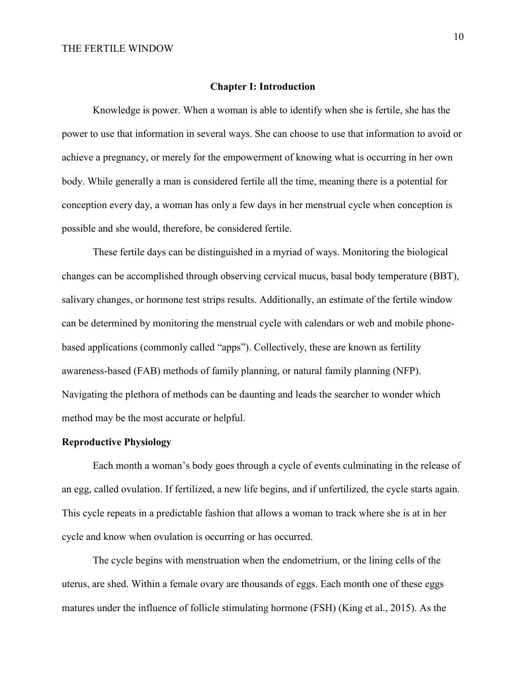#### **Chapter I: Introduction**

Knowledge is power. When a woman is able to identify when she is fertile, she has the power to use that information in several ways. She can choose to use that information to avoid or achieve a pregnancy, or merely for the empowerment of knowing what is occurring in her own body. While generally a man is considered fertile all the time, meaning there is a potential for conception every day, a woman has only a few days in her menstrual cycle when conception is possible and she would, therefore, be considered fertile.

These fertile days can be distinguished in a myriad of ways. Monitoring the biological changes can be accomplished through observing cervical mucus, basal body temperature (BBT), salivary changes, or hormone test strips results. Additionally, an estimate of the fertile window can be determined by monitoring the menstrual cycle with calendars or web and mobile phonebased applications (commonly called "apps"). Collectively, these are known as fertility awareness-based (FAB) methods of family planning, or natural family planning (NFP). Navigating the plethora of methods can be daunting and leads the searcher to wonder which method may be the most accurate or helpful.

#### **Reproductive Physiology**

Each month a woman's body goes through a cycle of events culminating in the release of an egg, called ovulation. If fertilized, a new life begins, and if unfertilized, the cycle starts again. This cycle repeats in a predictable fashion that allows a woman to track where she is at in her cycle and know when ovulation is occurring or has occurred.

The cycle begins with menstruation when the endometrium, or the lining cells of the uterus, are shed. Within a female ovary are thousands of eggs. Each month one of these eggs matures under the influence of follicle stimulating hormone (FSH) (King et al., 2015). As the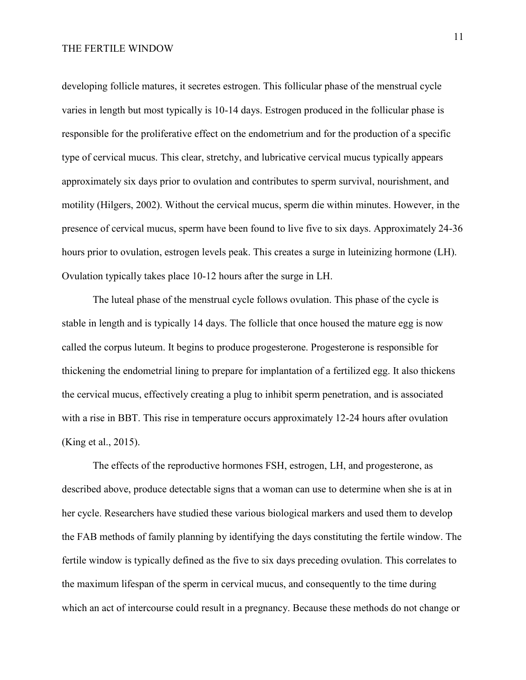developing follicle matures, it secretes estrogen. This follicular phase of the menstrual cycle varies in length but most typically is 10-14 days. Estrogen produced in the follicular phase is responsible for the proliferative effect on the endometrium and for the production of a specific type of cervical mucus. This clear, stretchy, and lubricative cervical mucus typically appears approximately six days prior to ovulation and contributes to sperm survival, nourishment, and motility (Hilgers, 2002). Without the cervical mucus, sperm die within minutes. However, in the presence of cervical mucus, sperm have been found to live five to six days. Approximately 24-36 hours prior to ovulation, estrogen levels peak. This creates a surge in luteinizing hormone (LH). Ovulation typically takes place 10-12 hours after the surge in LH.

The luteal phase of the menstrual cycle follows ovulation. This phase of the cycle is stable in length and is typically 14 days. The follicle that once housed the mature egg is now called the corpus luteum. It begins to produce progesterone. Progesterone is responsible for thickening the endometrial lining to prepare for implantation of a fertilized egg. It also thickens the cervical mucus, effectively creating a plug to inhibit sperm penetration, and is associated with a rise in BBT. This rise in temperature occurs approximately 12-24 hours after ovulation (King et al., 2015).

The effects of the reproductive hormones FSH, estrogen, LH, and progesterone, as described above, produce detectable signs that a woman can use to determine when she is at in her cycle. Researchers have studied these various biological markers and used them to develop the FAB methods of family planning by identifying the days constituting the fertile window. The fertile window is typically defined as the five to six days preceding ovulation. This correlates to the maximum lifespan of the sperm in cervical mucus, and consequently to the time during which an act of intercourse could result in a pregnancy. Because these methods do not change or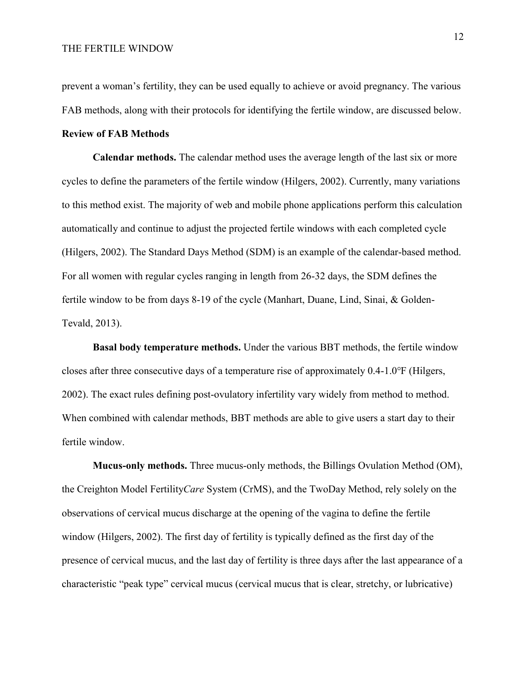prevent a woman's fertility, they can be used equally to achieve or avoid pregnancy. The various FAB methods, along with their protocols for identifying the fertile window, are discussed below.

#### **Review of FAB Methods**

**Calendar methods.** The calendar method uses the average length of the last six or more cycles to define the parameters of the fertile window (Hilgers, 2002). Currently, many variations to this method exist. The majority of web and mobile phone applications perform this calculation automatically and continue to adjust the projected fertile windows with each completed cycle (Hilgers, 2002). The Standard Days Method (SDM) is an example of the calendar-based method. For all women with regular cycles ranging in length from 26-32 days, the SDM defines the fertile window to be from days 8-19 of the cycle (Manhart, Duane, Lind, Sinai, & Golden-Tevald, 2013).

**Basal body temperature methods.** Under the various BBT methods, the fertile window closes after three consecutive days of a temperature rise of approximately 0.4-1.0℉ (Hilgers, 2002). The exact rules defining post-ovulatory infertility vary widely from method to method. When combined with calendar methods, BBT methods are able to give users a start day to their fertile window.

**Mucus-only methods.** Three mucus-only methods, the Billings Ovulation Method (OM), the Creighton Model Fertility*Care* System (CrMS), and the TwoDay Method, rely solely on the observations of cervical mucus discharge at the opening of the vagina to define the fertile window (Hilgers, 2002). The first day of fertility is typically defined as the first day of the presence of cervical mucus, and the last day of fertility is three days after the last appearance of a characteristic "peak type" cervical mucus (cervical mucus that is clear, stretchy, or lubricative)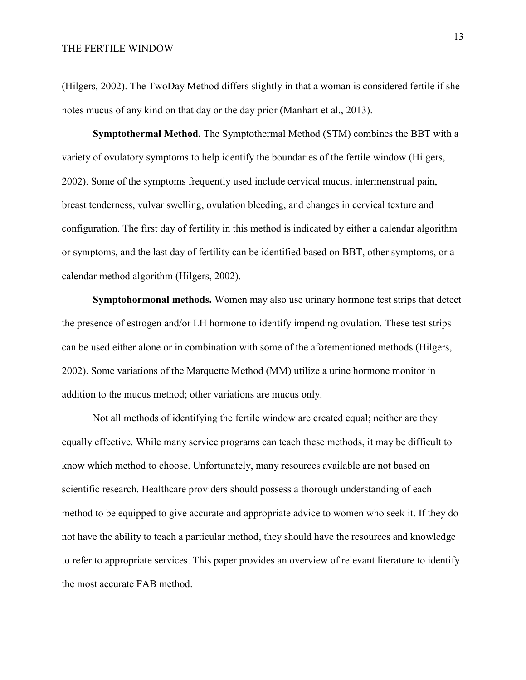(Hilgers, 2002). The TwoDay Method differs slightly in that a woman is considered fertile if she notes mucus of any kind on that day or the day prior (Manhart et al., 2013).

**Symptothermal Method.** The Symptothermal Method (STM) combines the BBT with a variety of ovulatory symptoms to help identify the boundaries of the fertile window (Hilgers, 2002). Some of the symptoms frequently used include cervical mucus, intermenstrual pain, breast tenderness, vulvar swelling, ovulation bleeding, and changes in cervical texture and configuration. The first day of fertility in this method is indicated by either a calendar algorithm or symptoms, and the last day of fertility can be identified based on BBT, other symptoms, or a calendar method algorithm (Hilgers, 2002).

**Symptohormonal methods.** Women may also use urinary hormone test strips that detect the presence of estrogen and/or LH hormone to identify impending ovulation. These test strips can be used either alone or in combination with some of the aforementioned methods (Hilgers, 2002). Some variations of the Marquette Method (MM) utilize a urine hormone monitor in addition to the mucus method; other variations are mucus only.

Not all methods of identifying the fertile window are created equal; neither are they equally effective. While many service programs can teach these methods, it may be difficult to know which method to choose. Unfortunately, many resources available are not based on scientific research. Healthcare providers should possess a thorough understanding of each method to be equipped to give accurate and appropriate advice to women who seek it. If they do not have the ability to teach a particular method, they should have the resources and knowledge to refer to appropriate services. This paper provides an overview of relevant literature to identify the most accurate FAB method.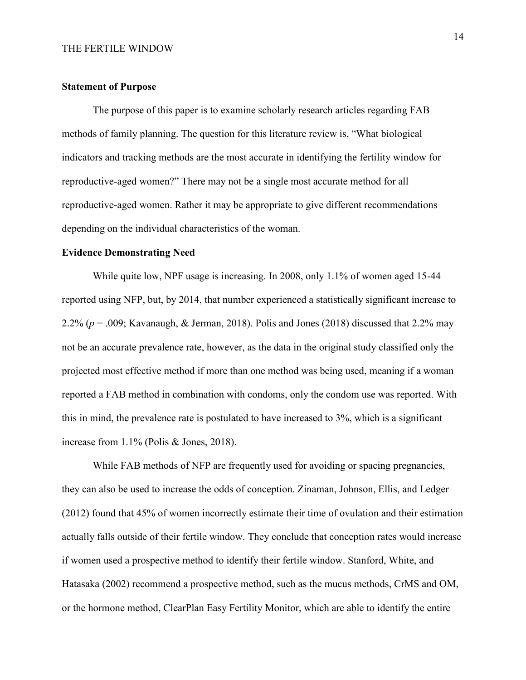#### **Statement of Purpose**

The purpose of this paper is to examine scholarly research articles regarding FAB methods of family planning. The question for this literature review is, "What biological indicators and tracking methods are the most accurate in identifying the fertility window for reproductive-aged women?" There may not be a single most accurate method for all reproductive-aged women. Rather it may be appropriate to give different recommendations depending on the individual characteristics of the woman.

#### **Evidence Demonstrating Need**

While quite low, NPF usage is increasing. In 2008, only 1.1% of women aged 15-44 reported using NFP, but, by 2014, that number experienced a statistically significant increase to 2.2% ( $p = 0.009$ ; Kavanaugh, & Jerman, 2018). Polis and Jones (2018) discussed that 2.2% may not be an accurate prevalence rate, however, as the data in the original study classified only the projected most effective method if more than one method was being used, meaning if a woman reported a FAB method in combination with condoms, only the condom use was reported. With this in mind, the prevalence rate is postulated to have increased to 3%, which is a significant increase from 1.1% (Polis & Jones, 2018).

While FAB methods of NFP are frequently used for avoiding or spacing pregnancies, they can also be used to increase the odds of conception. Zinaman, Johnson, Ellis, and Ledger (2012) found that 45% of women incorrectly estimate their time of ovulation and their estimation actually falls outside of their fertile window. They conclude that conception rates would increase if women used a prospective method to identify their fertile window. Stanford, White, and Hatasaka (2002) recommend a prospective method, such as the mucus methods, CrMS and OM, or the hormone method, ClearPlan Easy Fertility Monitor, which are able to identify the entire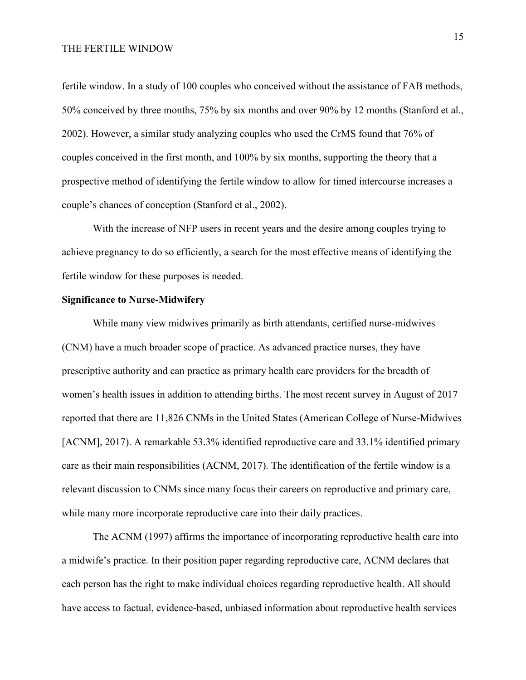fertile window. In a study of 100 couples who conceived without the assistance of FAB methods, 50% conceived by three months, 75% by six months and over 90% by 12 months (Stanford et al., 2002). However, a similar study analyzing couples who used the CrMS found that 76% of couples conceived in the first month, and 100% by six months, supporting the theory that a prospective method of identifying the fertile window to allow for timed intercourse increases a couple's chances of conception (Stanford et al., 2002).

With the increase of NFP users in recent years and the desire among couples trying to achieve pregnancy to do so efficiently, a search for the most effective means of identifying the fertile window for these purposes is needed.

#### **Significance to Nurse-Midwifery**

While many view midwives primarily as birth attendants, certified nurse-midwives (CNM) have a much broader scope of practice. As advanced practice nurses, they have prescriptive authority and can practice as primary health care providers for the breadth of women's health issues in addition to attending births. The most recent survey in August of 2017 reported that there are 11,826 CNMs in the United States (American College of Nurse-Midwives [ACNM], 2017). A remarkable 53.3% identified reproductive care and 33.1% identified primary care as their main responsibilities (ACNM, 2017). The identification of the fertile window is a relevant discussion to CNMs since many focus their careers on reproductive and primary care, while many more incorporate reproductive care into their daily practices.

The ACNM (1997) affirms the importance of incorporating reproductive health care into a midwife's practice. In their position paper regarding reproductive care, ACNM declares that each person has the right to make individual choices regarding reproductive health. All should have access to factual, evidence-based, unbiased information about reproductive health services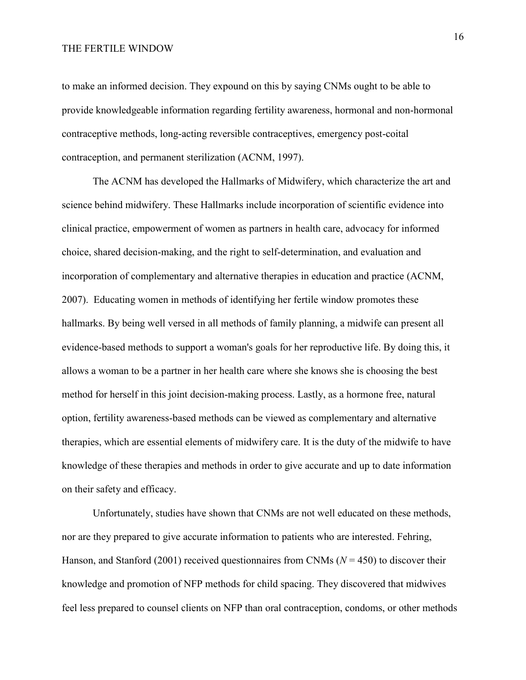to make an informed decision. They expound on this by saying CNMs ought to be able to provide knowledgeable information regarding fertility awareness, hormonal and non-hormonal contraceptive methods, long-acting reversible contraceptives, emergency post-coital contraception, and permanent sterilization (ACNM, 1997).

The ACNM has developed the Hallmarks of Midwifery, which characterize the art and science behind midwifery. These Hallmarks include incorporation of scientific evidence into clinical practice, empowerment of women as partners in health care, advocacy for informed choice, shared decision-making, and the right to self-determination, and evaluation and incorporation of complementary and alternative therapies in education and practice (ACNM, 2007). Educating women in methods of identifying her fertile window promotes these hallmarks. By being well versed in all methods of family planning, a midwife can present all evidence-based methods to support a woman's goals for her reproductive life. By doing this, it allows a woman to be a partner in her health care where she knows she is choosing the best method for herself in this joint decision-making process. Lastly, as a hormone free, natural option, fertility awareness-based methods can be viewed as complementary and alternative therapies, which are essential elements of midwifery care. It is the duty of the midwife to have knowledge of these therapies and methods in order to give accurate and up to date information on their safety and efficacy.

Unfortunately, studies have shown that CNMs are not well educated on these methods, nor are they prepared to give accurate information to patients who are interested. Fehring, Hanson, and Stanford (2001) received questionnaires from CNMs (*N* = 450) to discover their knowledge and promotion of NFP methods for child spacing. They discovered that midwives feel less prepared to counsel clients on NFP than oral contraception, condoms, or other methods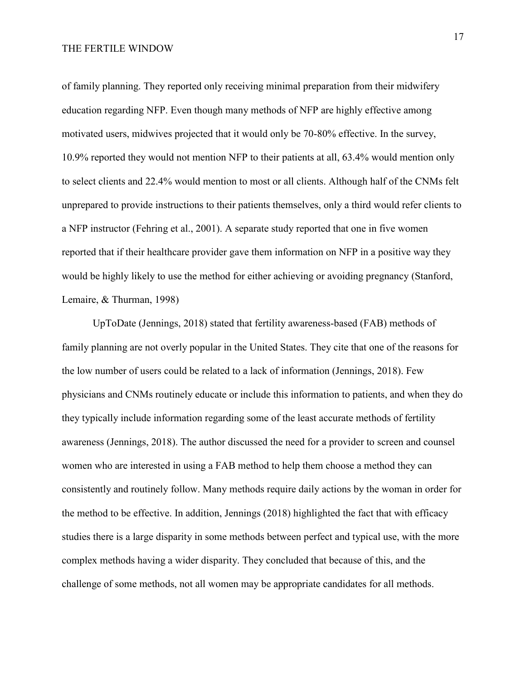of family planning. They reported only receiving minimal preparation from their midwifery education regarding NFP. Even though many methods of NFP are highly effective among motivated users, midwives projected that it would only be 70-80% effective. In the survey, 10.9% reported they would not mention NFP to their patients at all, 63.4% would mention only to select clients and 22.4% would mention to most or all clients. Although half of the CNMs felt unprepared to provide instructions to their patients themselves, only a third would refer clients to a NFP instructor (Fehring et al., 2001). A separate study reported that one in five women reported that if their healthcare provider gave them information on NFP in a positive way they would be highly likely to use the method for either achieving or avoiding pregnancy (Stanford, Lemaire, & Thurman, 1998)

UpToDate (Jennings, 2018) stated that fertility awareness-based (FAB) methods of family planning are not overly popular in the United States. They cite that one of the reasons for the low number of users could be related to a lack of information (Jennings, 2018). Few physicians and CNMs routinely educate or include this information to patients, and when they do they typically include information regarding some of the least accurate methods of fertility awareness (Jennings, 2018). The author discussed the need for a provider to screen and counsel women who are interested in using a FAB method to help them choose a method they can consistently and routinely follow. Many methods require daily actions by the woman in order for the method to be effective. In addition, Jennings (2018) highlighted the fact that with efficacy studies there is a large disparity in some methods between perfect and typical use, with the more complex methods having a wider disparity. They concluded that because of this, and the challenge of some methods, not all women may be appropriate candidates for all methods.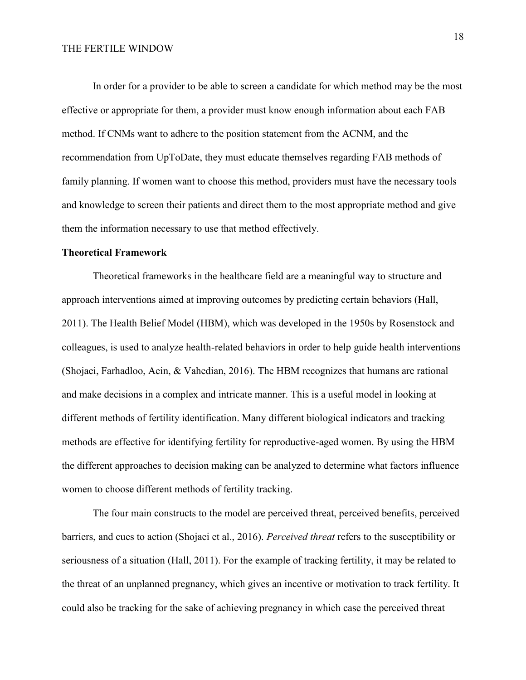In order for a provider to be able to screen a candidate for which method may be the most effective or appropriate for them, a provider must know enough information about each FAB method. If CNMs want to adhere to the position statement from the ACNM, and the recommendation from UpToDate, they must educate themselves regarding FAB methods of family planning. If women want to choose this method, providers must have the necessary tools and knowledge to screen their patients and direct them to the most appropriate method and give them the information necessary to use that method effectively.

#### **Theoretical Framework**

Theoretical frameworks in the healthcare field are a meaningful way to structure and approach interventions aimed at improving outcomes by predicting certain behaviors (Hall, 2011). The Health Belief Model (HBM), which was developed in the 1950s by Rosenstock and colleagues, is used to analyze health-related behaviors in order to help guide health interventions (Shojaei, Farhadloo, Aein, & Vahedian, 2016). The HBM recognizes that humans are rational and make decisions in a complex and intricate manner. This is a useful model in looking at different methods of fertility identification. Many different biological indicators and tracking methods are effective for identifying fertility for reproductive-aged women. By using the HBM the different approaches to decision making can be analyzed to determine what factors influence women to choose different methods of fertility tracking.

The four main constructs to the model are perceived threat, perceived benefits, perceived barriers, and cues to action (Shojaei et al., 2016). *Perceived threat* refers to the susceptibility or seriousness of a situation (Hall, 2011). For the example of tracking fertility, it may be related to the threat of an unplanned pregnancy, which gives an incentive or motivation to track fertility. It could also be tracking for the sake of achieving pregnancy in which case the perceived threat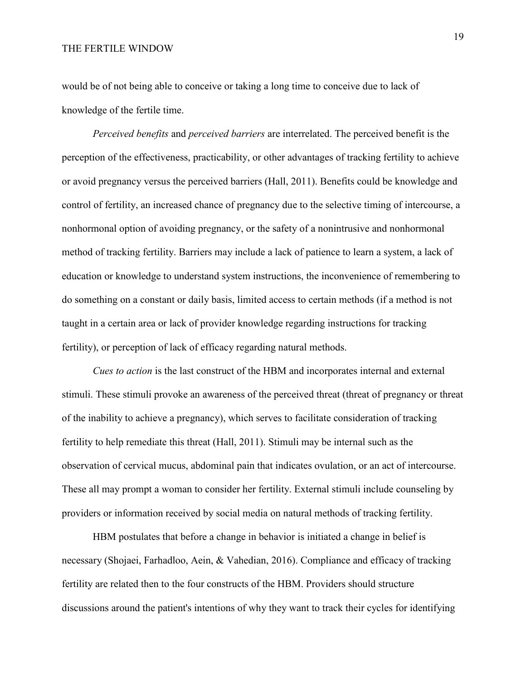would be of not being able to conceive or taking a long time to conceive due to lack of knowledge of the fertile time.

*Perceived benefits* and *perceived barriers* are interrelated. The perceived benefit is the perception of the effectiveness, practicability, or other advantages of tracking fertility to achieve or avoid pregnancy versus the perceived barriers (Hall, 2011). Benefits could be knowledge and control of fertility, an increased chance of pregnancy due to the selective timing of intercourse, a nonhormonal option of avoiding pregnancy, or the safety of a nonintrusive and nonhormonal method of tracking fertility. Barriers may include a lack of patience to learn a system, a lack of education or knowledge to understand system instructions, the inconvenience of remembering to do something on a constant or daily basis, limited access to certain methods (if a method is not taught in a certain area or lack of provider knowledge regarding instructions for tracking fertility), or perception of lack of efficacy regarding natural methods.

*Cues to action* is the last construct of the HBM and incorporates internal and external stimuli. These stimuli provoke an awareness of the perceived threat (threat of pregnancy or threat of the inability to achieve a pregnancy), which serves to facilitate consideration of tracking fertility to help remediate this threat (Hall, 2011). Stimuli may be internal such as the observation of cervical mucus, abdominal pain that indicates ovulation, or an act of intercourse. These all may prompt a woman to consider her fertility. External stimuli include counseling by providers or information received by social media on natural methods of tracking fertility.

HBM postulates that before a change in behavior is initiated a change in belief is necessary (Shojaei, Farhadloo, Aein, & Vahedian, 2016). Compliance and efficacy of tracking fertility are related then to the four constructs of the HBM. Providers should structure discussions around the patient's intentions of why they want to track their cycles for identifying

19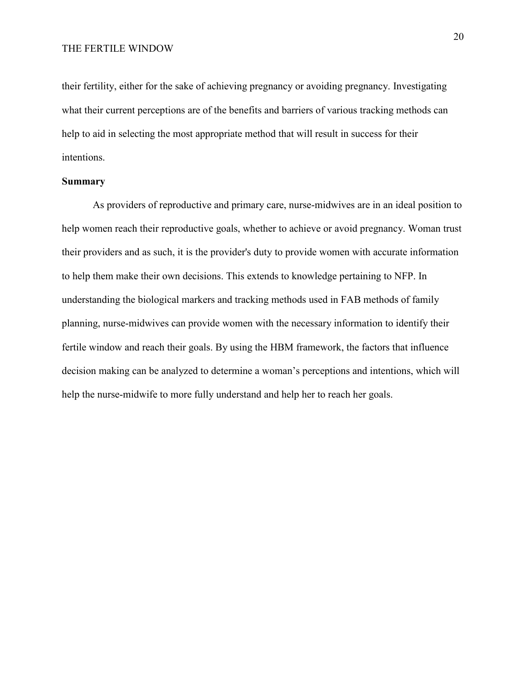their fertility, either for the sake of achieving pregnancy or avoiding pregnancy. Investigating what their current perceptions are of the benefits and barriers of various tracking methods can help to aid in selecting the most appropriate method that will result in success for their intentions.

#### **Summary**

As providers of reproductive and primary care, nurse-midwives are in an ideal position to help women reach their reproductive goals, whether to achieve or avoid pregnancy. Woman trust their providers and as such, it is the provider's duty to provide women with accurate information to help them make their own decisions. This extends to knowledge pertaining to NFP. In understanding the biological markers and tracking methods used in FAB methods of family planning, nurse-midwives can provide women with the necessary information to identify their fertile window and reach their goals. By using the HBM framework, the factors that influence decision making can be analyzed to determine a woman's perceptions and intentions, which will help the nurse-midwife to more fully understand and help her to reach her goals.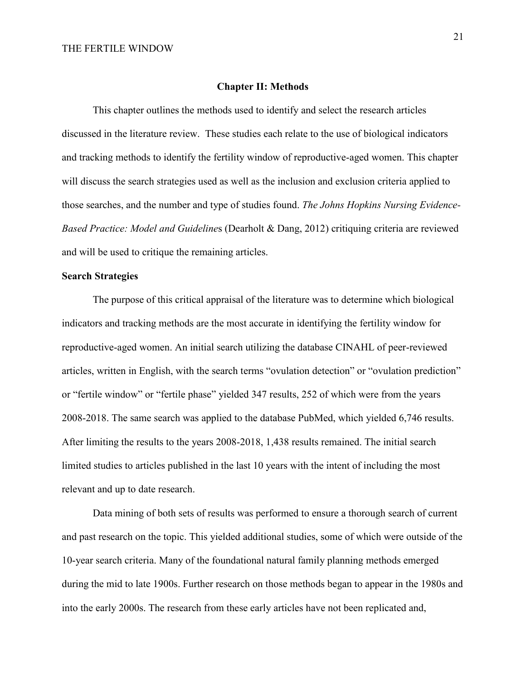#### **Chapter II: Methods**

This chapter outlines the methods used to identify and select the research articles discussed in the literature review. These studies each relate to the use of biological indicators and tracking methods to identify the fertility window of reproductive-aged women. This chapter will discuss the search strategies used as well as the inclusion and exclusion criteria applied to those searches, and the number and type of studies found. *The Johns Hopkins Nursing Evidence-Based Practice: Model and Guideline*s (Dearholt & Dang, 2012) critiquing criteria are reviewed and will be used to critique the remaining articles.

### **Search Strategies**

The purpose of this critical appraisal of the literature was to determine which biological indicators and tracking methods are the most accurate in identifying the fertility window for reproductive-aged women. An initial search utilizing the database CINAHL of peer-reviewed articles, written in English, with the search terms "ovulation detection" or "ovulation prediction" or "fertile window" or "fertile phase" yielded 347 results, 252 of which were from the years 2008-2018. The same search was applied to the database PubMed, which yielded 6,746 results. After limiting the results to the years 2008-2018, 1,438 results remained. The initial search limited studies to articles published in the last 10 years with the intent of including the most relevant and up to date research.

Data mining of both sets of results was performed to ensure a thorough search of current and past research on the topic. This yielded additional studies, some of which were outside of the 10-year search criteria. Many of the foundational natural family planning methods emerged during the mid to late 1900s. Further research on those methods began to appear in the 1980s and into the early 2000s. The research from these early articles have not been replicated and,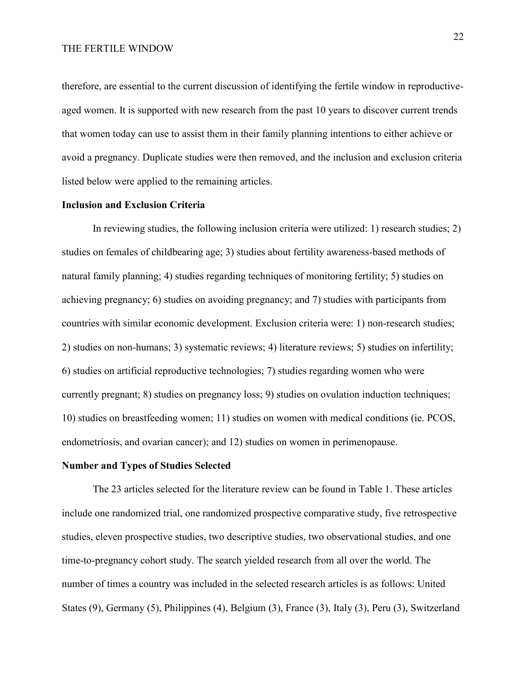therefore, are essential to the current discussion of identifying the fertile window in reproductiveaged women. It is supported with new research from the past 10 years to discover current trends that women today can use to assist them in their family planning intentions to either achieve or avoid a pregnancy. Duplicate studies were then removed, and the inclusion and exclusion criteria listed below were applied to the remaining articles.

### **Inclusion and Exclusion Criteria**

In reviewing studies, the following inclusion criteria were utilized: 1) research studies; 2) studies on females of childbearing age; 3) studies about fertility awareness-based methods of natural family planning; 4) studies regarding techniques of monitoring fertility; 5) studies on achieving pregnancy; 6) studies on avoiding pregnancy; and 7) studies with participants from countries with similar economic development. Exclusion criteria were: 1) non-research studies; 2) studies on non-humans; 3) systematic reviews; 4) literature reviews; 5) studies on infertility; 6) studies on artificial reproductive technologies; 7) studies regarding women who were currently pregnant; 8) studies on pregnancy loss; 9) studies on ovulation induction techniques; 10) studies on breastfeeding women; 11) studies on women with medical conditions (ie. PCOS, endometriosis, and ovarian cancer); and 12) studies on women in perimenopause.

#### **Number and Types of Studies Selected**

The 23 articles selected for the literature review can be found in Table 1. These articles include one randomized trial, one randomized prospective comparative study, five retrospective studies, eleven prospective studies, two descriptive studies, two observational studies, and one time-to-pregnancy cohort study. The search yielded research from all over the world. The number of times a country was included in the selected research articles is as follows: United States (9), Germany (5), Philippines (4), Belgium (3), France (3), Italy (3), Peru (3), Switzerland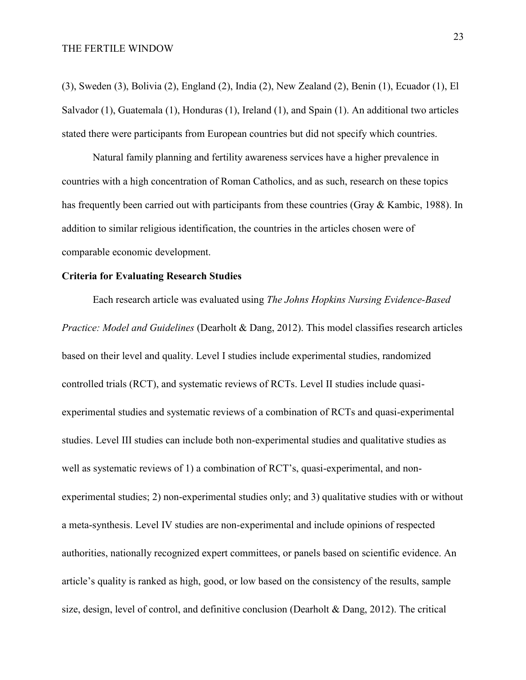(3), Sweden (3), Bolivia (2), England (2), India (2), New Zealand (2), Benin (1), Ecuador (1), El Salvador (1), Guatemala (1), Honduras (1), Ireland (1), and Spain (1). An additional two articles stated there were participants from European countries but did not specify which countries.

Natural family planning and fertility awareness services have a higher prevalence in countries with a high concentration of Roman Catholics, and as such, research on these topics has frequently been carried out with participants from these countries (Gray & Kambic, 1988). In addition to similar religious identification, the countries in the articles chosen were of comparable economic development.

#### **Criteria for Evaluating Research Studies**

Each research article was evaluated using *The Johns Hopkins Nursing Evidence-Based Practice: Model and Guidelines* (Dearholt & Dang, 2012). This model classifies research articles based on their level and quality. Level I studies include experimental studies, randomized controlled trials (RCT), and systematic reviews of RCTs. Level II studies include quasiexperimental studies and systematic reviews of a combination of RCTs and quasi-experimental studies. Level III studies can include both non-experimental studies and qualitative studies as well as systematic reviews of 1) a combination of RCT's, quasi-experimental, and nonexperimental studies; 2) non-experimental studies only; and 3) qualitative studies with or without a meta-synthesis. Level IV studies are non-experimental and include opinions of respected authorities, nationally recognized expert committees, or panels based on scientific evidence. An article's quality is ranked as high, good, or low based on the consistency of the results, sample size, design, level of control, and definitive conclusion (Dearholt & Dang, 2012). The critical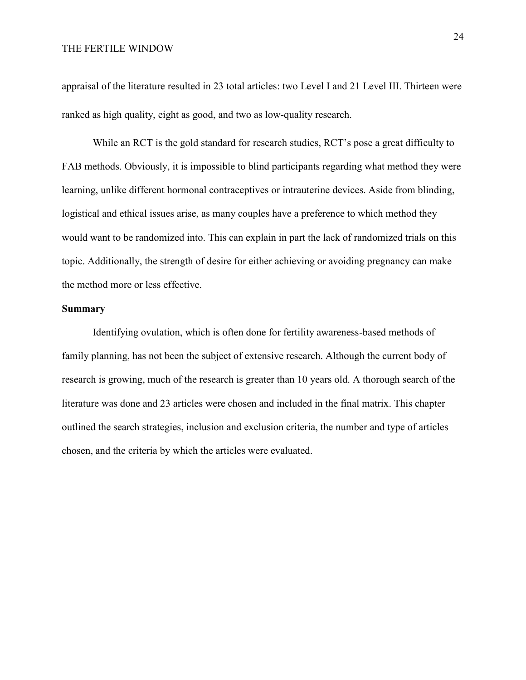appraisal of the literature resulted in 23 total articles: two Level I and 21 Level III. Thirteen were ranked as high quality, eight as good, and two as low-quality research.

While an RCT is the gold standard for research studies, RCT's pose a great difficulty to FAB methods. Obviously, it is impossible to blind participants regarding what method they were learning, unlike different hormonal contraceptives or intrauterine devices. Aside from blinding, logistical and ethical issues arise, as many couples have a preference to which method they would want to be randomized into. This can explain in part the lack of randomized trials on this topic. Additionally, the strength of desire for either achieving or avoiding pregnancy can make the method more or less effective.

#### **Summary**

Identifying ovulation, which is often done for fertility awareness-based methods of family planning, has not been the subject of extensive research. Although the current body of research is growing, much of the research is greater than 10 years old. A thorough search of the literature was done and 23 articles were chosen and included in the final matrix. This chapter outlined the search strategies, inclusion and exclusion criteria, the number and type of articles chosen, and the criteria by which the articles were evaluated.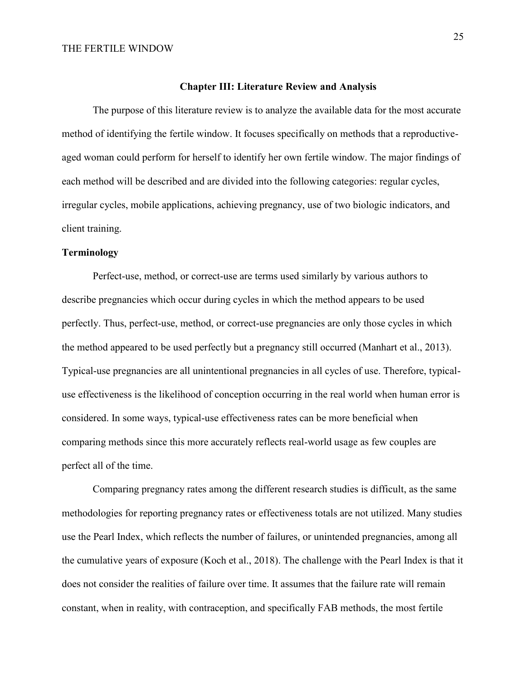#### **Chapter III: Literature Review and Analysis**

The purpose of this literature review is to analyze the available data for the most accurate method of identifying the fertile window. It focuses specifically on methods that a reproductiveaged woman could perform for herself to identify her own fertile window. The major findings of each method will be described and are divided into the following categories: regular cycles, irregular cycles, mobile applications, achieving pregnancy, use of two biologic indicators, and client training.

## **Terminology**

Perfect-use, method, or correct-use are terms used similarly by various authors to describe pregnancies which occur during cycles in which the method appears to be used perfectly. Thus, perfect-use, method, or correct-use pregnancies are only those cycles in which the method appeared to be used perfectly but a pregnancy still occurred (Manhart et al., 2013). Typical-use pregnancies are all unintentional pregnancies in all cycles of use. Therefore, typicaluse effectiveness is the likelihood of conception occurring in the real world when human error is considered. In some ways, typical-use effectiveness rates can be more beneficial when comparing methods since this more accurately reflects real-world usage as few couples are perfect all of the time.

Comparing pregnancy rates among the different research studies is difficult, as the same methodologies for reporting pregnancy rates or effectiveness totals are not utilized. Many studies use the Pearl Index, which reflects the number of failures, or unintended pregnancies, among all the cumulative years of exposure (Koch et al., 2018). The challenge with the Pearl Index is that it does not consider the realities of failure over time. It assumes that the failure rate will remain constant, when in reality, with contraception, and specifically FAB methods, the most fertile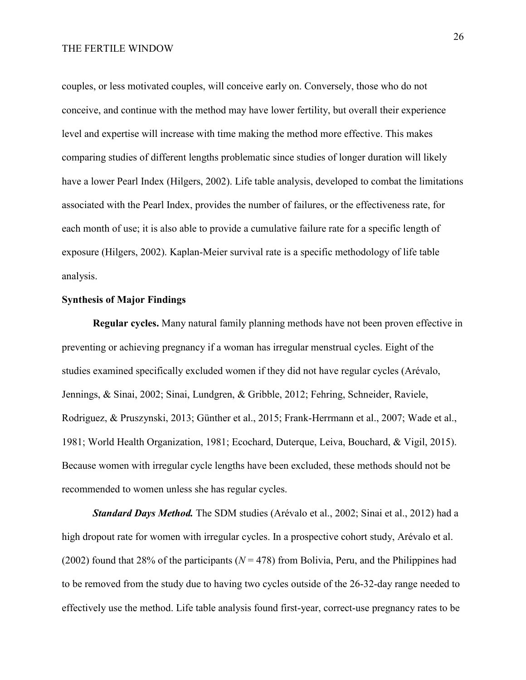couples, or less motivated couples, will conceive early on. Conversely, those who do not conceive, and continue with the method may have lower fertility, but overall their experience level and expertise will increase with time making the method more effective. This makes comparing studies of different lengths problematic since studies of longer duration will likely have a lower Pearl Index (Hilgers, 2002). Life table analysis, developed to combat the limitations associated with the Pearl Index, provides the number of failures, or the effectiveness rate, for each month of use; it is also able to provide a cumulative failure rate for a specific length of exposure (Hilgers, 2002). Kaplan-Meier survival rate is a specific methodology of life table analysis.

## **Synthesis of Major Findings**

**Regular cycles.** Many natural family planning methods have not been proven effective in preventing or achieving pregnancy if a woman has irregular menstrual cycles. Eight of the studies examined specifically excluded women if they did not have regular cycles (Arévalo, Jennings, & Sinai, 2002; Sinai, Lundgren, & Gribble, 2012; Fehring, Schneider, Raviele, Rodriguez, & Pruszynski, 2013; Günther et al., 2015; Frank-Herrmann et al., 2007; Wade et al., 1981; World Health Organization, 1981; Ecochard, Duterque, Leiva, Bouchard, & Vigil, 2015). Because women with irregular cycle lengths have been excluded, these methods should not be recommended to women unless she has regular cycles.

*Standard Days Method.* The SDM studies (Arévalo et al., 2002; Sinai et al., 2012) had a high dropout rate for women with irregular cycles. In a prospective cohort study, Arévalo et al. (2002) found that 28% of the participants ( $N = 478$ ) from Bolivia, Peru, and the Philippines had to be removed from the study due to having two cycles outside of the 26-32-day range needed to effectively use the method. Life table analysis found first-year, correct-use pregnancy rates to be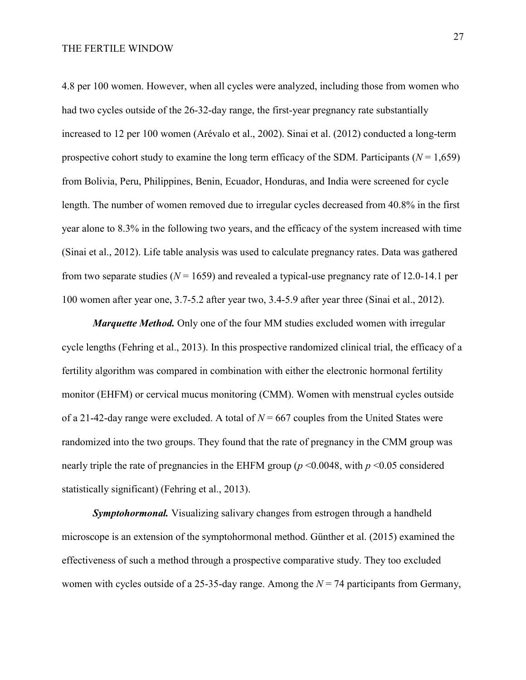4.8 per 100 women. However, when all cycles were analyzed, including those from women who had two cycles outside of the 26-32-day range, the first-year pregnancy rate substantially increased to 12 per 100 women (Arévalo et al., 2002). Sinai et al. (2012) conducted a long-term prospective cohort study to examine the long term efficacy of the SDM. Participants ( $N = 1,659$ ) from Bolivia, Peru, Philippines, Benin, Ecuador, Honduras, and India were screened for cycle length. The number of women removed due to irregular cycles decreased from 40.8% in the first year alone to 8.3% in the following two years, and the efficacy of the system increased with time (Sinai et al., 2012). Life table analysis was used to calculate pregnancy rates. Data was gathered from two separate studies ( $N = 1659$ ) and revealed a typical-use pregnancy rate of 12.0-14.1 per 100 women after year one, 3.7-5.2 after year two, 3.4-5.9 after year three (Sinai et al., 2012).

*Marquette Method.* Only one of the four MM studies excluded women with irregular cycle lengths (Fehring et al., 2013). In this prospective randomized clinical trial, the efficacy of a fertility algorithm was compared in combination with either the electronic hormonal fertility monitor (EHFM) or cervical mucus monitoring (CMM). Women with menstrual cycles outside of a 21-42-day range were excluded. A total of  $N = 667$  couples from the United States were randomized into the two groups. They found that the rate of pregnancy in the CMM group was nearly triple the rate of pregnancies in the EHFM group (*p* <0.0048, with *p* <0.05 considered statistically significant) (Fehring et al., 2013).

*Symptohormonal.* Visualizing salivary changes from estrogen through a handheld microscope is an extension of the symptohormonal method. Günther et al. (2015) examined the effectiveness of such a method through a prospective comparative study. They too excluded women with cycles outside of a 25-35-day range. Among the *N* = 74 participants from Germany,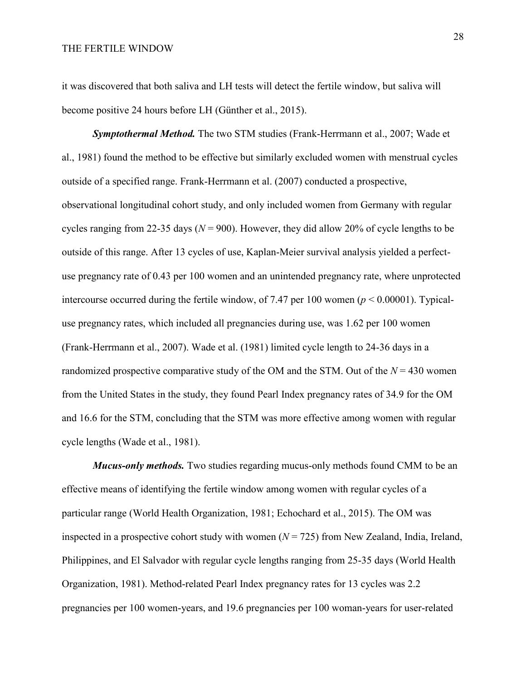it was discovered that both saliva and LH tests will detect the fertile window, but saliva will become positive 24 hours before LH (Günther et al., 2015).

*Symptothermal Method.* The two STM studies (Frank-Herrmann et al., 2007; Wade et al., 1981) found the method to be effective but similarly excluded women with menstrual cycles outside of a specified range. Frank-Herrmann et al. (2007) conducted a prospective, observational longitudinal cohort study, and only included women from Germany with regular cycles ranging from 22-35 days ( $N = 900$ ). However, they did allow 20% of cycle lengths to be outside of this range. After 13 cycles of use, Kaplan-Meier survival analysis yielded a perfectuse pregnancy rate of 0.43 per 100 women and an unintended pregnancy rate, where unprotected intercourse occurred during the fertile window, of 7.47 per 100 women ( $p \le 0.00001$ ). Typicaluse pregnancy rates, which included all pregnancies during use, was 1.62 per 100 women (Frank-Herrmann et al., 2007). Wade et al. (1981) limited cycle length to 24-36 days in a randomized prospective comparative study of the OM and the STM. Out of the  $N = 430$  women from the United States in the study, they found Pearl Index pregnancy rates of 34.9 for the OM and 16.6 for the STM, concluding that the STM was more effective among women with regular cycle lengths (Wade et al., 1981).

*Mucus-only methods.* Two studies regarding mucus-only methods found CMM to be an effective means of identifying the fertile window among women with regular cycles of a particular range (World Health Organization, 1981; Echochard et al., 2015). The OM was inspected in a prospective cohort study with women  $(N = 725)$  from New Zealand, India, Ireland, Philippines, and El Salvador with regular cycle lengths ranging from 25-35 days (World Health Organization, 1981). Method-related Pearl Index pregnancy rates for 13 cycles was 2.2 pregnancies per 100 women-years, and 19.6 pregnancies per 100 woman-years for user-related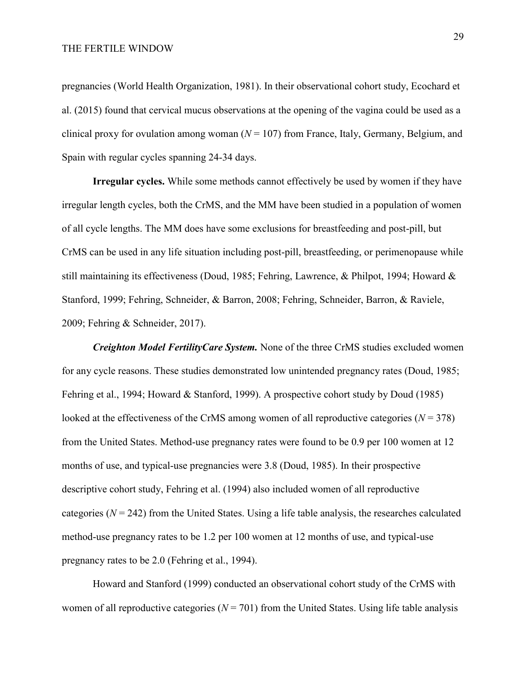pregnancies (World Health Organization, 1981). In their observational cohort study, Ecochard et al. (2015) found that cervical mucus observations at the opening of the vagina could be used as a clinical proxy for ovulation among woman  $(N = 107)$  from France, Italy, Germany, Belgium, and Spain with regular cycles spanning 24-34 days.

**Irregular cycles.** While some methods cannot effectively be used by women if they have irregular length cycles, both the CrMS, and the MM have been studied in a population of women of all cycle lengths. The MM does have some exclusions for breastfeeding and post-pill, but CrMS can be used in any life situation including post-pill, breastfeeding, or perimenopause while still maintaining its effectiveness (Doud, 1985; Fehring, Lawrence, & Philpot, 1994; Howard & Stanford, 1999; Fehring, Schneider, & Barron, 2008; Fehring, Schneider, Barron, & Raviele, 2009; Fehring & Schneider, 2017).

*Creighton Model FertilityCare System.* None of the three CrMS studies excluded women for any cycle reasons. These studies demonstrated low unintended pregnancy rates (Doud, 1985; Fehring et al., 1994; Howard & Stanford, 1999). A prospective cohort study by Doud (1985) looked at the effectiveness of the CrMS among women of all reproductive categories (*N* = 378) from the United States. Method-use pregnancy rates were found to be 0.9 per 100 women at 12 months of use, and typical-use pregnancies were 3.8 (Doud, 1985). In their prospective descriptive cohort study, Fehring et al. (1994) also included women of all reproductive categories  $(N = 242)$  from the United States. Using a life table analysis, the researches calculated method-use pregnancy rates to be 1.2 per 100 women at 12 months of use, and typical-use pregnancy rates to be 2.0 (Fehring et al., 1994).

Howard and Stanford (1999) conducted an observational cohort study of the CrMS with women of all reproductive categories  $(N = 701)$  from the United States. Using life table analysis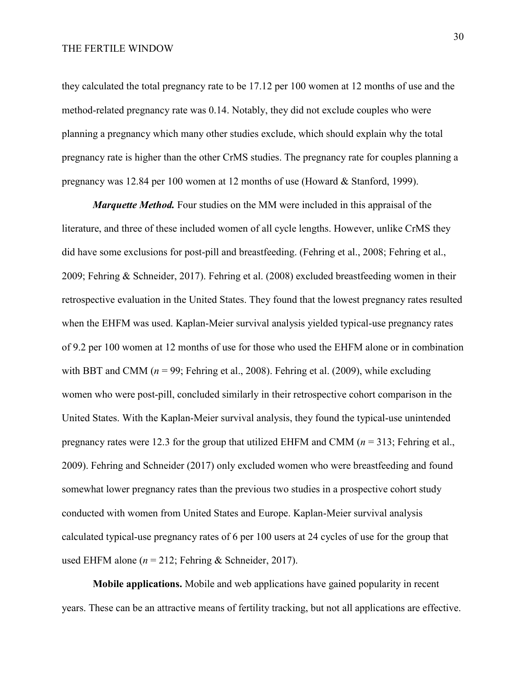they calculated the total pregnancy rate to be 17.12 per 100 women at 12 months of use and the method-related pregnancy rate was 0.14. Notably, they did not exclude couples who were planning a pregnancy which many other studies exclude, which should explain why the total pregnancy rate is higher than the other CrMS studies. The pregnancy rate for couples planning a pregnancy was 12.84 per 100 women at 12 months of use (Howard & Stanford, 1999).

*Marquette Method.* Four studies on the MM were included in this appraisal of the literature, and three of these included women of all cycle lengths. However, unlike CrMS they did have some exclusions for post-pill and breastfeeding. (Fehring et al., 2008; Fehring et al., 2009; Fehring & Schneider, 2017). Fehring et al. (2008) excluded breastfeeding women in their retrospective evaluation in the United States. They found that the lowest pregnancy rates resulted when the EHFM was used. Kaplan-Meier survival analysis yielded typical-use pregnancy rates of 9.2 per 100 women at 12 months of use for those who used the EHFM alone or in combination with BBT and CMM  $(n = 99)$ ; Fehring et al., 2008). Fehring et al. (2009), while excluding women who were post-pill, concluded similarly in their retrospective cohort comparison in the United States. With the Kaplan-Meier survival analysis, they found the typical-use unintended pregnancy rates were 12.3 for the group that utilized EHFM and CMM (*n* = 313; Fehring et al., 2009). Fehring and Schneider (2017) only excluded women who were breastfeeding and found somewhat lower pregnancy rates than the previous two studies in a prospective cohort study conducted with women from United States and Europe. Kaplan-Meier survival analysis calculated typical-use pregnancy rates of 6 per 100 users at 24 cycles of use for the group that used EHFM alone ( $n = 212$ ; Fehring & Schneider, 2017).

**Mobile applications.** Mobile and web applications have gained popularity in recent years. These can be an attractive means of fertility tracking, but not all applications are effective.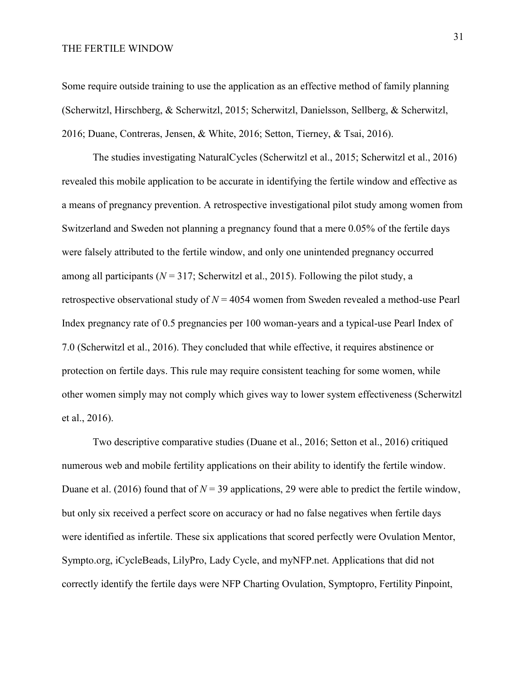Some require outside training to use the application as an effective method of family planning (Scherwitzl, Hirschberg, & Scherwitzl, 2015; Scherwitzl, Danielsson, Sellberg, & Scherwitzl, 2016; Duane, Contreras, Jensen, & White, 2016; Setton, Tierney, & Tsai, 2016).

The studies investigating NaturalCycles (Scherwitzl et al., 2015; Scherwitzl et al., 2016) revealed this mobile application to be accurate in identifying the fertile window and effective as a means of pregnancy prevention. A retrospective investigational pilot study among women from Switzerland and Sweden not planning a pregnancy found that a mere 0.05% of the fertile days were falsely attributed to the fertile window, and only one unintended pregnancy occurred among all participants ( $N = 317$ ; Scherwitzl et al., 2015). Following the pilot study, a retrospective observational study of *N* = 4054 women from Sweden revealed a method-use Pearl Index pregnancy rate of 0.5 pregnancies per 100 woman-years and a typical-use Pearl Index of 7.0 (Scherwitzl et al., 2016). They concluded that while effective, it requires abstinence or protection on fertile days. This rule may require consistent teaching for some women, while other women simply may not comply which gives way to lower system effectiveness (Scherwitzl et al., 2016).

Two descriptive comparative studies (Duane et al., 2016; Setton et al., 2016) critiqued numerous web and mobile fertility applications on their ability to identify the fertile window. Duane et al. (2016) found that of  $N = 39$  applications, 29 were able to predict the fertile window, but only six received a perfect score on accuracy or had no false negatives when fertile days were identified as infertile. These six applications that scored perfectly were Ovulation Mentor, Sympto.org, iCycleBeads, LilyPro, Lady Cycle, and myNFP.net. Applications that did not correctly identify the fertile days were NFP Charting Ovulation, Symptopro, Fertility Pinpoint,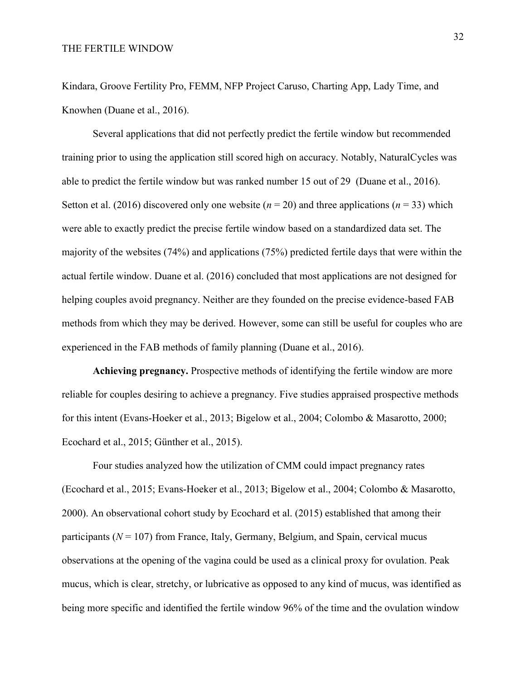Kindara, Groove Fertility Pro, FEMM, NFP Project Caruso, Charting App, Lady Time, and Knowhen (Duane et al., 2016).

Several applications that did not perfectly predict the fertile window but recommended training prior to using the application still scored high on accuracy. Notably, NaturalCycles was able to predict the fertile window but was ranked number 15 out of 29 (Duane et al., 2016). Setton et al. (2016) discovered only one website ( $n = 20$ ) and three applications ( $n = 33$ ) which were able to exactly predict the precise fertile window based on a standardized data set. The majority of the websites (74%) and applications (75%) predicted fertile days that were within the actual fertile window. Duane et al. (2016) concluded that most applications are not designed for helping couples avoid pregnancy. Neither are they founded on the precise evidence-based FAB methods from which they may be derived. However, some can still be useful for couples who are experienced in the FAB methods of family planning (Duane et al., 2016).

**Achieving pregnancy.** Prospective methods of identifying the fertile window are more reliable for couples desiring to achieve a pregnancy. Five studies appraised prospective methods for this intent (Evans-Hoeker et al., 2013; Bigelow et al., 2004; Colombo & Masarotto, 2000; Ecochard et al., 2015; Günther et al., 2015).

Four studies analyzed how the utilization of CMM could impact pregnancy rates (Ecochard et al., 2015; Evans-Hoeker et al., 2013; Bigelow et al., 2004; Colombo & Masarotto, 2000). An observational cohort study by Ecochard et al. (2015) established that among their participants  $(N = 107)$  from France, Italy, Germany, Belgium, and Spain, cervical mucus observations at the opening of the vagina could be used as a clinical proxy for ovulation. Peak mucus, which is clear, stretchy, or lubricative as opposed to any kind of mucus, was identified as being more specific and identified the fertile window 96% of the time and the ovulation window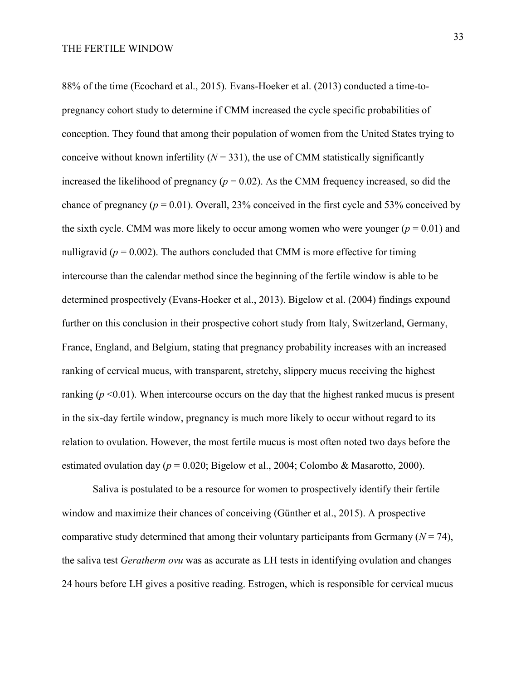88% of the time (Ecochard et al., 2015). Evans-Hoeker et al. (2013) conducted a time-topregnancy cohort study to determine if CMM increased the cycle specific probabilities of conception. They found that among their population of women from the United States trying to conceive without known infertility  $(N = 331)$ , the use of CMM statistically significantly increased the likelihood of pregnancy ( $p = 0.02$ ). As the CMM frequency increased, so did the chance of pregnancy ( $p = 0.01$ ). Overall, 23% conceived in the first cycle and 53% conceived by the sixth cycle. CMM was more likely to occur among women who were younger  $(p = 0.01)$  and nulligravid ( $p = 0.002$ ). The authors concluded that CMM is more effective for timing intercourse than the calendar method since the beginning of the fertile window is able to be determined prospectively (Evans-Hoeker et al., 2013). Bigelow et al. (2004) findings expound further on this conclusion in their prospective cohort study from Italy, Switzerland, Germany, France, England, and Belgium, stating that pregnancy probability increases with an increased ranking of cervical mucus, with transparent, stretchy, slippery mucus receiving the highest ranking  $(p \le 0.01)$ . When intercourse occurs on the day that the highest ranked mucus is present in the six-day fertile window, pregnancy is much more likely to occur without regard to its relation to ovulation. However, the most fertile mucus is most often noted two days before the estimated ovulation day ( $p = 0.020$ ; Bigelow et al., 2004; Colombo & Masarotto, 2000).

Saliva is postulated to be a resource for women to prospectively identify their fertile window and maximize their chances of conceiving (Günther et al., 2015). A prospective comparative study determined that among their voluntary participants from Germany  $(N = 74)$ , the saliva test *Geratherm ovu* was as accurate as LH tests in identifying ovulation and changes 24 hours before LH gives a positive reading. Estrogen, which is responsible for cervical mucus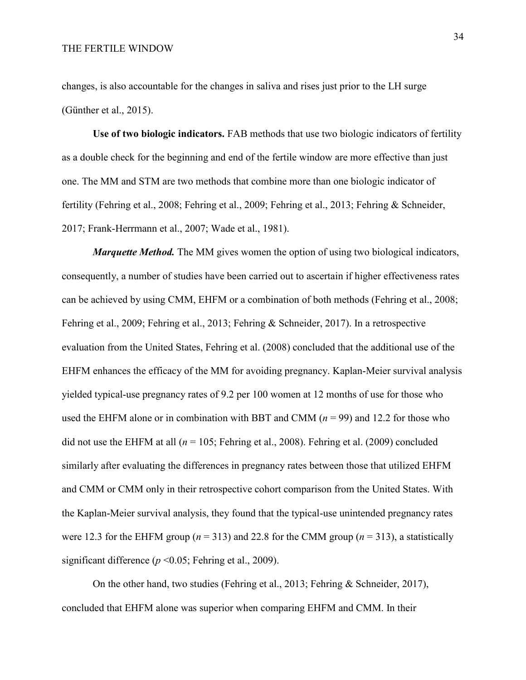changes, is also accountable for the changes in saliva and rises just prior to the LH surge (Günther et al., 2015).

**Use of two biologic indicators.** FAB methods that use two biologic indicators of fertility as a double check for the beginning and end of the fertile window are more effective than just one. The MM and STM are two methods that combine more than one biologic indicator of fertility (Fehring et al., 2008; Fehring et al., 2009; Fehring et al., 2013; Fehring & Schneider, 2017; Frank-Herrmann et al., 2007; Wade et al., 1981).

*Marquette Method.* The MM gives women the option of using two biological indicators, consequently, a number of studies have been carried out to ascertain if higher effectiveness rates can be achieved by using CMM, EHFM or a combination of both methods (Fehring et al., 2008; Fehring et al., 2009; Fehring et al., 2013; Fehring & Schneider, 2017). In a retrospective evaluation from the United States, Fehring et al. (2008) concluded that the additional use of the EHFM enhances the efficacy of the MM for avoiding pregnancy. Kaplan-Meier survival analysis yielded typical-use pregnancy rates of 9.2 per 100 women at 12 months of use for those who used the EHFM alone or in combination with BBT and CMM ( $n = 99$ ) and 12.2 for those who did not use the EHFM at all (*n* = 105; Fehring et al., 2008). Fehring et al. (2009) concluded similarly after evaluating the differences in pregnancy rates between those that utilized EHFM and CMM or CMM only in their retrospective cohort comparison from the United States. With the Kaplan-Meier survival analysis, they found that the typical-use unintended pregnancy rates were 12.3 for the EHFM group ( $n = 313$ ) and 22.8 for the CMM group ( $n = 313$ ), a statistically significant difference ( $p \le 0.05$ ; Fehring et al., 2009).

On the other hand, two studies (Fehring et al., 2013; Fehring & Schneider, 2017), concluded that EHFM alone was superior when comparing EHFM and CMM. In their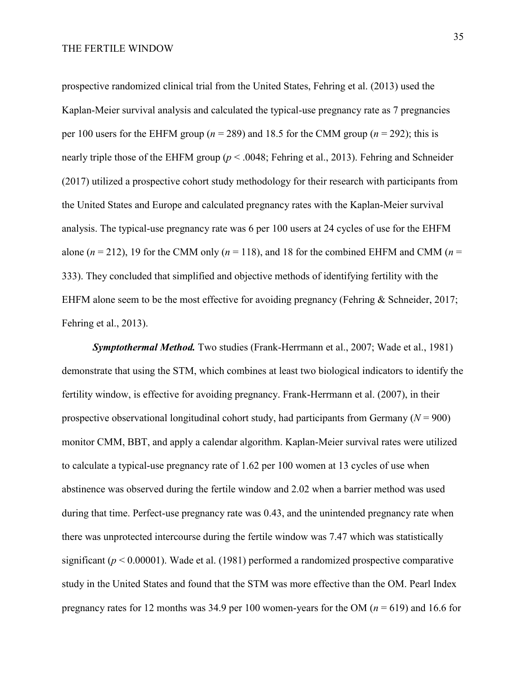prospective randomized clinical trial from the United States, Fehring et al. (2013) used the Kaplan-Meier survival analysis and calculated the typical-use pregnancy rate as 7 pregnancies per 100 users for the EHFM group ( $n = 289$ ) and 18.5 for the CMM group ( $n = 292$ ); this is nearly triple those of the EHFM group (*p* < .0048; Fehring et al., 2013). Fehring and Schneider (2017) utilized a prospective cohort study methodology for their research with participants from the United States and Europe and calculated pregnancy rates with the Kaplan-Meier survival analysis. The typical-use pregnancy rate was 6 per 100 users at 24 cycles of use for the EHFM alone  $(n = 212)$ , 19 for the CMM only  $(n = 118)$ , and 18 for the combined EHFM and CMM  $(n = 118)$ 333). They concluded that simplified and objective methods of identifying fertility with the EHFM alone seem to be the most effective for avoiding pregnancy (Fehring & Schneider, 2017; Fehring et al., 2013).

*Symptothermal Method.* Two studies (Frank-Herrmann et al., 2007; Wade et al., 1981) demonstrate that using the STM, which combines at least two biological indicators to identify the fertility window, is effective for avoiding pregnancy. Frank-Herrmann et al. (2007), in their prospective observational longitudinal cohort study, had participants from Germany (*N* = 900) monitor CMM, BBT, and apply a calendar algorithm. Kaplan-Meier survival rates were utilized to calculate a typical-use pregnancy rate of 1.62 per 100 women at 13 cycles of use when abstinence was observed during the fertile window and 2.02 when a barrier method was used during that time. Perfect-use pregnancy rate was 0.43, and the unintended pregnancy rate when there was unprotected intercourse during the fertile window was 7.47 which was statistically significant ( $p < 0.00001$ ). Wade et al. (1981) performed a randomized prospective comparative study in the United States and found that the STM was more effective than the OM. Pearl Index pregnancy rates for 12 months was  $34.9$  per 100 women-years for the OM ( $n = 619$ ) and 16.6 for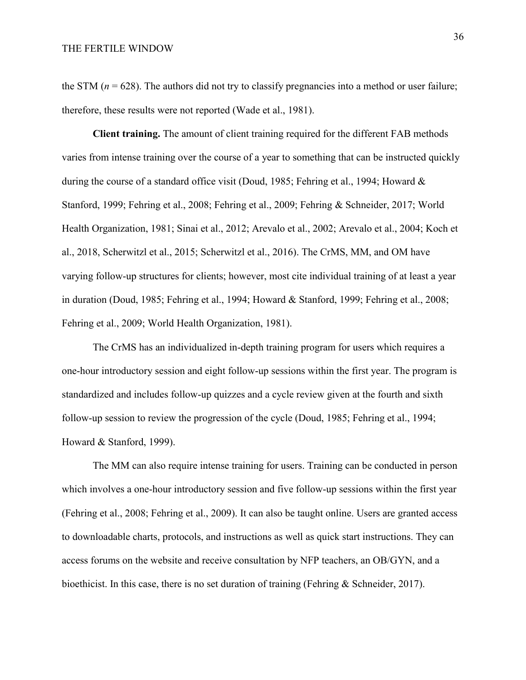the STM ( $n = 628$ ). The authors did not try to classify pregnancies into a method or user failure; therefore, these results were not reported (Wade et al., 1981).

**Client training.** The amount of client training required for the different FAB methods varies from intense training over the course of a year to something that can be instructed quickly during the course of a standard office visit (Doud, 1985; Fehring et al., 1994; Howard & Stanford, 1999; Fehring et al., 2008; Fehring et al., 2009; Fehring & Schneider, 2017; World Health Organization, 1981; Sinai et al., 2012; Arevalo et al., 2002; Arevalo et al., 2004; Koch et al., 2018, Scherwitzl et al., 2015; Scherwitzl et al., 2016). The CrMS, MM, and OM have varying follow-up structures for clients; however, most cite individual training of at least a year in duration (Doud, 1985; Fehring et al., 1994; Howard & Stanford, 1999; Fehring et al., 2008; Fehring et al., 2009; World Health Organization, 1981).

The CrMS has an individualized in-depth training program for users which requires a one-hour introductory session and eight follow-up sessions within the first year. The program is standardized and includes follow-up quizzes and a cycle review given at the fourth and sixth follow-up session to review the progression of the cycle (Doud, 1985; Fehring et al., 1994; Howard & Stanford, 1999).

The MM can also require intense training for users. Training can be conducted in person which involves a one-hour introductory session and five follow-up sessions within the first year (Fehring et al., 2008; Fehring et al., 2009). It can also be taught online. Users are granted access to downloadable charts, protocols, and instructions as well as quick start instructions. They can access forums on the website and receive consultation by NFP teachers, an OB/GYN, and a bioethicist. In this case, there is no set duration of training (Fehring & Schneider, 2017).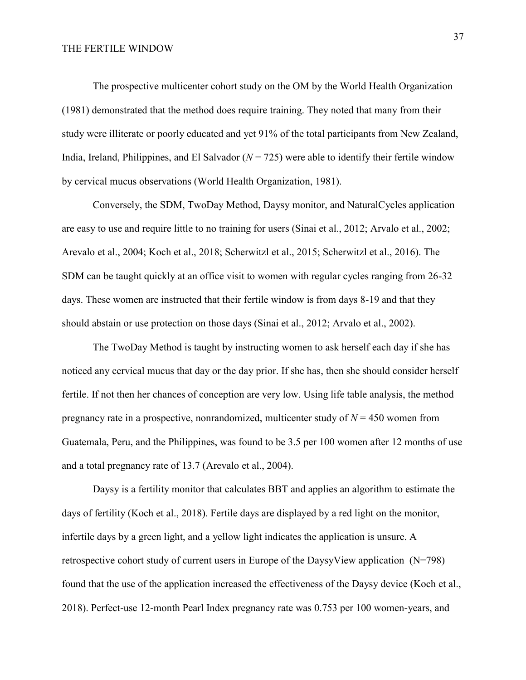The prospective multicenter cohort study on the OM by the World Health Organization (1981) demonstrated that the method does require training. They noted that many from their study were illiterate or poorly educated and yet 91% of the total participants from New Zealand, India, Ireland, Philippines, and El Salvador  $(N = 725)$  were able to identify their fertile window by cervical mucus observations (World Health Organization, 1981).

Conversely, the SDM, TwoDay Method, Daysy monitor, and NaturalCycles application are easy to use and require little to no training for users (Sinai et al., 2012; Arvalo et al., 2002; Arevalo et al., 2004; Koch et al., 2018; Scherwitzl et al., 2015; Scherwitzl et al., 2016). The SDM can be taught quickly at an office visit to women with regular cycles ranging from 26-32 days. These women are instructed that their fertile window is from days 8-19 and that they should abstain or use protection on those days (Sinai et al., 2012; Arvalo et al., 2002).

The TwoDay Method is taught by instructing women to ask herself each day if she has noticed any cervical mucus that day or the day prior. If she has, then she should consider herself fertile. If not then her chances of conception are very low. Using life table analysis, the method pregnancy rate in a prospective, nonrandomized, multicenter study of  $N = 450$  women from Guatemala, Peru, and the Philippines, was found to be 3.5 per 100 women after 12 months of use and a total pregnancy rate of 13.7 (Arevalo et al., 2004).

Daysy is a fertility monitor that calculates BBT and applies an algorithm to estimate the days of fertility (Koch et al., 2018). Fertile days are displayed by a red light on the monitor, infertile days by a green light, and a yellow light indicates the application is unsure. A retrospective cohort study of current users in Europe of the DaysyView application (N=798) found that the use of the application increased the effectiveness of the Daysy device (Koch et al., 2018). Perfect-use 12-month Pearl Index pregnancy rate was 0.753 per 100 women-years, and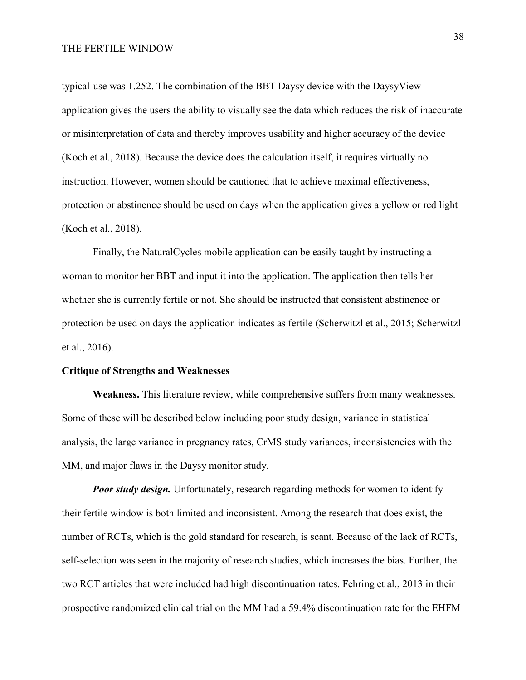typical-use was 1.252. The combination of the BBT Daysy device with the DaysyView application gives the users the ability to visually see the data which reduces the risk of inaccurate or misinterpretation of data and thereby improves usability and higher accuracy of the device (Koch et al., 2018). Because the device does the calculation itself, it requires virtually no instruction. However, women should be cautioned that to achieve maximal effectiveness, protection or abstinence should be used on days when the application gives a yellow or red light (Koch et al., 2018).

Finally, the NaturalCycles mobile application can be easily taught by instructing a woman to monitor her BBT and input it into the application. The application then tells her whether she is currently fertile or not. She should be instructed that consistent abstinence or protection be used on days the application indicates as fertile (Scherwitzl et al., 2015; Scherwitzl et al., 2016).

### **Critique of Strengths and Weaknesses**

**Weakness.** This literature review, while comprehensive suffers from many weaknesses. Some of these will be described below including poor study design, variance in statistical analysis, the large variance in pregnancy rates, CrMS study variances, inconsistencies with the MM, and major flaws in the Daysy monitor study.

*Poor study design.* Unfortunately, research regarding methods for women to identify their fertile window is both limited and inconsistent. Among the research that does exist, the number of RCTs, which is the gold standard for research, is scant. Because of the lack of RCTs, self-selection was seen in the majority of research studies, which increases the bias. Further, the two RCT articles that were included had high discontinuation rates. Fehring et al., 2013 in their prospective randomized clinical trial on the MM had a 59.4% discontinuation rate for the EHFM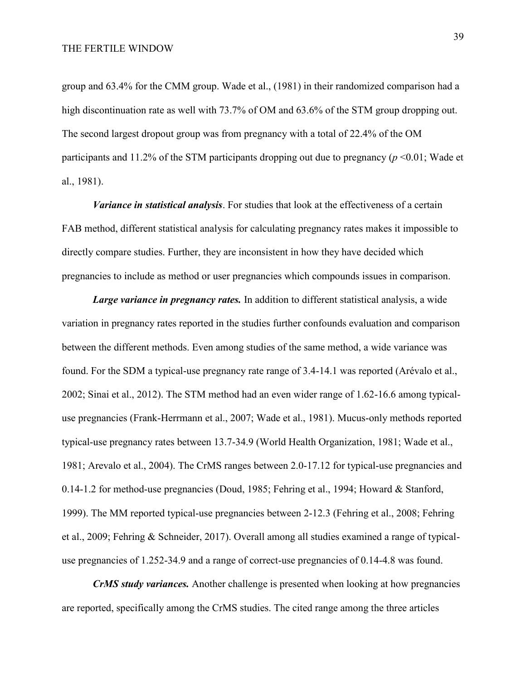group and 63.4% for the CMM group. Wade et al., (1981) in their randomized comparison had a high discontinuation rate as well with 73.7% of OM and 63.6% of the STM group dropping out. The second largest dropout group was from pregnancy with a total of 22.4% of the OM participants and 11.2% of the STM participants dropping out due to pregnancy ( $p \le 0.01$ ; Wade et al., 1981).

*Variance in statistical analysis*. For studies that look at the effectiveness of a certain FAB method, different statistical analysis for calculating pregnancy rates makes it impossible to directly compare studies. Further, they are inconsistent in how they have decided which pregnancies to include as method or user pregnancies which compounds issues in comparison.

*Large variance in pregnancy rates.* In addition to different statistical analysis, a wide variation in pregnancy rates reported in the studies further confounds evaluation and comparison between the different methods. Even among studies of the same method, a wide variance was found. For the SDM a typical-use pregnancy rate range of 3.4-14.1 was reported (Arévalo et al., 2002; Sinai et al., 2012). The STM method had an even wider range of 1.62-16.6 among typicaluse pregnancies (Frank-Herrmann et al., 2007; Wade et al., 1981). Mucus-only methods reported typical-use pregnancy rates between 13.7-34.9 (World Health Organization, 1981; Wade et al., 1981; Arevalo et al., 2004). The CrMS ranges between 2.0-17.12 for typical-use pregnancies and 0.14-1.2 for method-use pregnancies (Doud, 1985; Fehring et al., 1994; Howard & Stanford, 1999). The MM reported typical-use pregnancies between 2-12.3 (Fehring et al., 2008; Fehring et al., 2009; Fehring & Schneider, 2017). Overall among all studies examined a range of typicaluse pregnancies of 1.252-34.9 and a range of correct-use pregnancies of 0.14-4.8 was found.

*CrMS study variances.* Another challenge is presented when looking at how pregnancies are reported, specifically among the CrMS studies. The cited range among the three articles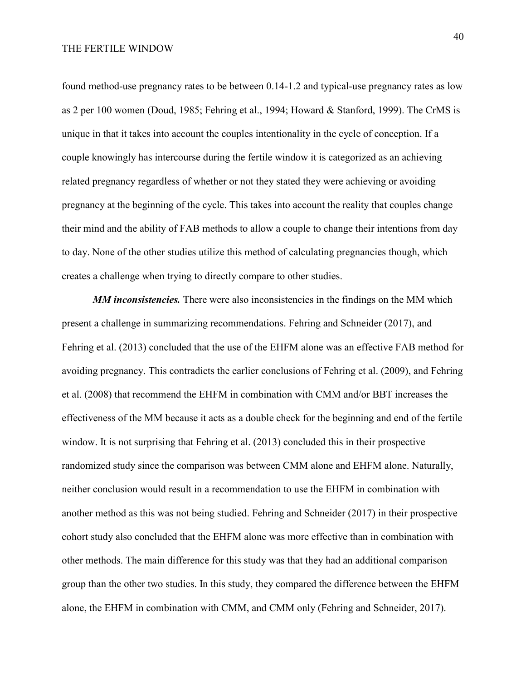found method-use pregnancy rates to be between 0.14-1.2 and typical-use pregnancy rates as low as 2 per 100 women (Doud, 1985; Fehring et al., 1994; Howard & Stanford, 1999). The CrMS is unique in that it takes into account the couples intentionality in the cycle of conception. If a couple knowingly has intercourse during the fertile window it is categorized as an achieving related pregnancy regardless of whether or not they stated they were achieving or avoiding pregnancy at the beginning of the cycle. This takes into account the reality that couples change their mind and the ability of FAB methods to allow a couple to change their intentions from day to day. None of the other studies utilize this method of calculating pregnancies though, which creates a challenge when trying to directly compare to other studies.

*MM inconsistencies.* There were also inconsistencies in the findings on the MM which present a challenge in summarizing recommendations. Fehring and Schneider (2017), and Fehring et al. (2013) concluded that the use of the EHFM alone was an effective FAB method for avoiding pregnancy. This contradicts the earlier conclusions of Fehring et al. (2009), and Fehring et al. (2008) that recommend the EHFM in combination with CMM and/or BBT increases the effectiveness of the MM because it acts as a double check for the beginning and end of the fertile window. It is not surprising that Fehring et al. (2013) concluded this in their prospective randomized study since the comparison was between CMM alone and EHFM alone. Naturally, neither conclusion would result in a recommendation to use the EHFM in combination with another method as this was not being studied. Fehring and Schneider (2017) in their prospective cohort study also concluded that the EHFM alone was more effective than in combination with other methods. The main difference for this study was that they had an additional comparison group than the other two studies. In this study, they compared the difference between the EHFM alone, the EHFM in combination with CMM, and CMM only (Fehring and Schneider, 2017).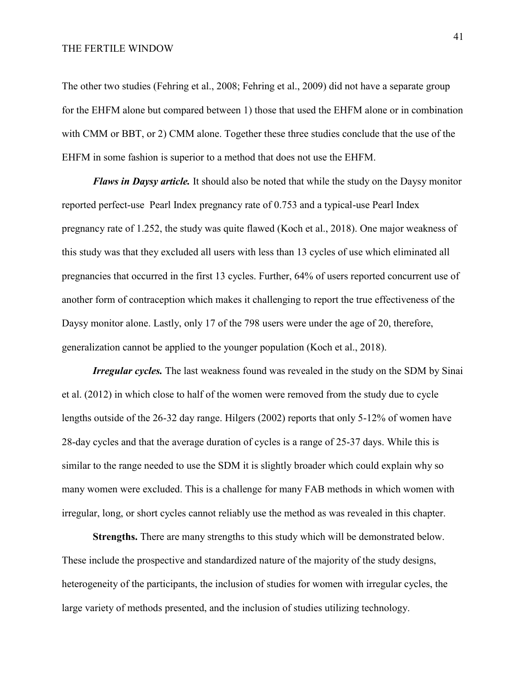The other two studies (Fehring et al., 2008; Fehring et al., 2009) did not have a separate group for the EHFM alone but compared between 1) those that used the EHFM alone or in combination with CMM or BBT, or 2) CMM alone. Together these three studies conclude that the use of the EHFM in some fashion is superior to a method that does not use the EHFM.

*Flaws in Daysy article.* It should also be noted that while the study on the Daysy monitor reported perfect-use Pearl Index pregnancy rate of 0.753 and a typical-use Pearl Index pregnancy rate of 1.252, the study was quite flawed (Koch et al., 2018). One major weakness of this study was that they excluded all users with less than 13 cycles of use which eliminated all pregnancies that occurred in the first 13 cycles. Further, 64% of users reported concurrent use of another form of contraception which makes it challenging to report the true effectiveness of the Daysy monitor alone. Lastly, only 17 of the 798 users were under the age of 20, therefore, generalization cannot be applied to the younger population (Koch et al., 2018).

*Irregular cycles.* The last weakness found was revealed in the study on the SDM by Sinai et al. (2012) in which close to half of the women were removed from the study due to cycle lengths outside of the 26-32 day range. Hilgers (2002) reports that only 5-12% of women have 28-day cycles and that the average duration of cycles is a range of 25-37 days. While this is similar to the range needed to use the SDM it is slightly broader which could explain why so many women were excluded. This is a challenge for many FAB methods in which women with irregular, long, or short cycles cannot reliably use the method as was revealed in this chapter.

**Strengths.** There are many strengths to this study which will be demonstrated below. These include the prospective and standardized nature of the majority of the study designs, heterogeneity of the participants, the inclusion of studies for women with irregular cycles, the large variety of methods presented, and the inclusion of studies utilizing technology.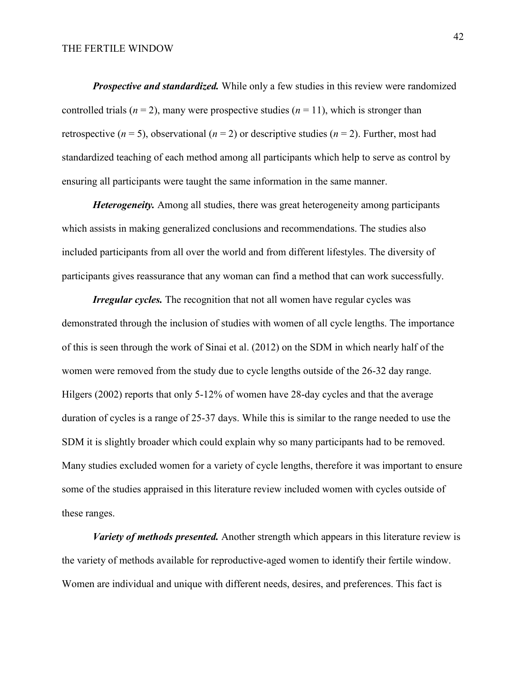*Prospective and standardized.* While only a few studies in this review were randomized controlled trials ( $n = 2$ ), many were prospective studies ( $n = 11$ ), which is stronger than retrospective ( $n = 5$ ), observational ( $n = 2$ ) or descriptive studies ( $n = 2$ ). Further, most had standardized teaching of each method among all participants which help to serve as control by ensuring all participants were taught the same information in the same manner.

*Heterogeneity.* Among all studies, there was great heterogeneity among participants which assists in making generalized conclusions and recommendations. The studies also included participants from all over the world and from different lifestyles. The diversity of participants gives reassurance that any woman can find a method that can work successfully.

*Irregular cycles.* The recognition that not all women have regular cycles was demonstrated through the inclusion of studies with women of all cycle lengths. The importance of this is seen through the work of Sinai et al. (2012) on the SDM in which nearly half of the women were removed from the study due to cycle lengths outside of the 26-32 day range. Hilgers (2002) reports that only 5-12% of women have 28-day cycles and that the average duration of cycles is a range of 25-37 days. While this is similar to the range needed to use the SDM it is slightly broader which could explain why so many participants had to be removed. Many studies excluded women for a variety of cycle lengths, therefore it was important to ensure some of the studies appraised in this literature review included women with cycles outside of these ranges.

*Variety of methods presented.* Another strength which appears in this literature review is the variety of methods available for reproductive-aged women to identify their fertile window. Women are individual and unique with different needs, desires, and preferences. This fact is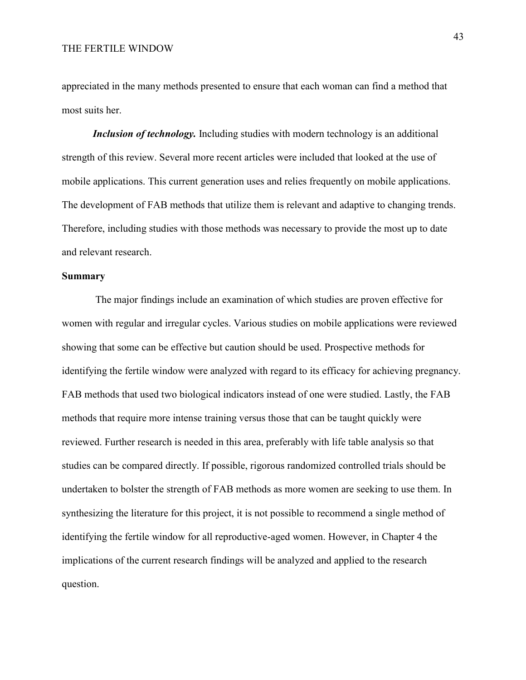appreciated in the many methods presented to ensure that each woman can find a method that most suits her.

*Inclusion of technology.* Including studies with modern technology is an additional strength of this review. Several more recent articles were included that looked at the use of mobile applications. This current generation uses and relies frequently on mobile applications. The development of FAB methods that utilize them is relevant and adaptive to changing trends. Therefore, including studies with those methods was necessary to provide the most up to date and relevant research.

### **Summary**

The major findings include an examination of which studies are proven effective for women with regular and irregular cycles. Various studies on mobile applications were reviewed showing that some can be effective but caution should be used. Prospective methods for identifying the fertile window were analyzed with regard to its efficacy for achieving pregnancy. FAB methods that used two biological indicators instead of one were studied. Lastly, the FAB methods that require more intense training versus those that can be taught quickly were reviewed. Further research is needed in this area, preferably with life table analysis so that studies can be compared directly. If possible, rigorous randomized controlled trials should be undertaken to bolster the strength of FAB methods as more women are seeking to use them. In synthesizing the literature for this project, it is not possible to recommend a single method of identifying the fertile window for all reproductive-aged women. However, in Chapter 4 the implications of the current research findings will be analyzed and applied to the research question.

43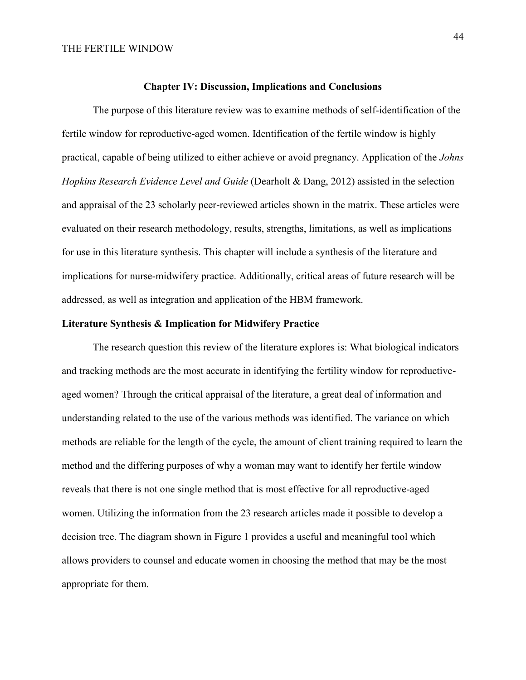#### **Chapter IV: Discussion, Implications and Conclusions**

The purpose of this literature review was to examine methods of self-identification of the fertile window for reproductive-aged women. Identification of the fertile window is highly practical, capable of being utilized to either achieve or avoid pregnancy. Application of the *Johns Hopkins Research Evidence Level and Guide* (Dearholt & Dang, 2012) assisted in the selection and appraisal of the 23 scholarly peer-reviewed articles shown in the matrix. These articles were evaluated on their research methodology, results, strengths, limitations, as well as implications for use in this literature synthesis. This chapter will include a synthesis of the literature and implications for nurse-midwifery practice. Additionally, critical areas of future research will be addressed, as well as integration and application of the HBM framework.

### **Literature Synthesis & Implication for Midwifery Practice**

The research question this review of the literature explores is: What biological indicators and tracking methods are the most accurate in identifying the fertility window for reproductiveaged women? Through the critical appraisal of the literature, a great deal of information and understanding related to the use of the various methods was identified. The variance on which methods are reliable for the length of the cycle, the amount of client training required to learn the method and the differing purposes of why a woman may want to identify her fertile window reveals that there is not one single method that is most effective for all reproductive-aged women. Utilizing the information from the 23 research articles made it possible to develop a decision tree. The diagram shown in Figure 1 provides a useful and meaningful tool which allows providers to counsel and educate women in choosing the method that may be the most appropriate for them.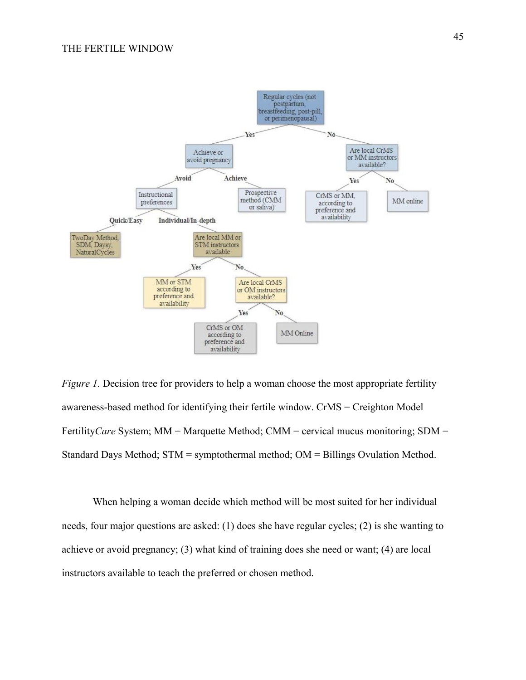

*Figure 1.* Decision tree for providers to help a woman choose the most appropriate fertility awareness-based method for identifying their fertile window. CrMS = Creighton Model Fertility*Care* System; MM = Marquette Method; CMM = cervical mucus monitoring; SDM = Standard Days Method; STM = symptothermal method; OM = Billings Ovulation Method.

When helping a woman decide which method will be most suited for her individual needs, four major questions are asked: (1) does she have regular cycles; (2) is she wanting to achieve or avoid pregnancy; (3) what kind of training does she need or want; (4) are local instructors available to teach the preferred or chosen method.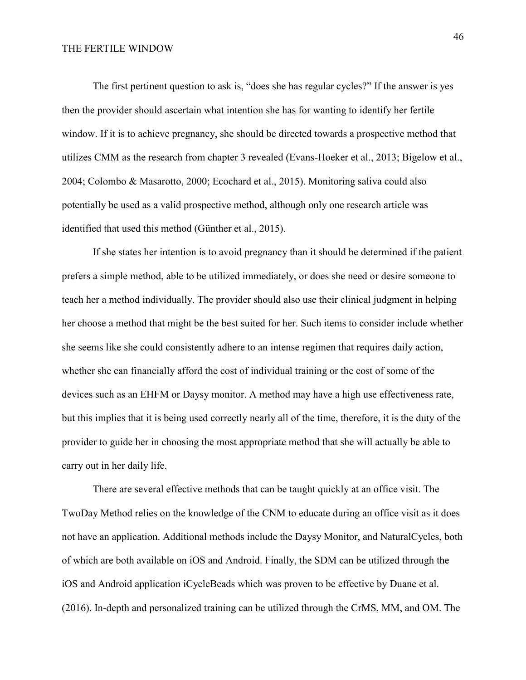The first pertinent question to ask is, "does she has regular cycles?" If the answer is yes then the provider should ascertain what intention she has for wanting to identify her fertile window. If it is to achieve pregnancy, she should be directed towards a prospective method that utilizes CMM as the research from chapter 3 revealed (Evans-Hoeker et al., 2013; Bigelow et al., 2004; Colombo & Masarotto, 2000; Ecochard et al., 2015). Monitoring saliva could also potentially be used as a valid prospective method, although only one research article was identified that used this method (Günther et al., 2015).

If she states her intention is to avoid pregnancy than it should be determined if the patient prefers a simple method, able to be utilized immediately, or does she need or desire someone to teach her a method individually. The provider should also use their clinical judgment in helping her choose a method that might be the best suited for her. Such items to consider include whether she seems like she could consistently adhere to an intense regimen that requires daily action, whether she can financially afford the cost of individual training or the cost of some of the devices such as an EHFM or Daysy monitor. A method may have a high use effectiveness rate, but this implies that it is being used correctly nearly all of the time, therefore, it is the duty of the provider to guide her in choosing the most appropriate method that she will actually be able to carry out in her daily life.

There are several effective methods that can be taught quickly at an office visit. The TwoDay Method relies on the knowledge of the CNM to educate during an office visit as it does not have an application. Additional methods include the Daysy Monitor, and NaturalCycles, both of which are both available on iOS and Android. Finally, the SDM can be utilized through the iOS and Android application iCycleBeads which was proven to be effective by Duane et al. (2016). In-depth and personalized training can be utilized through the CrMS, MM, and OM. The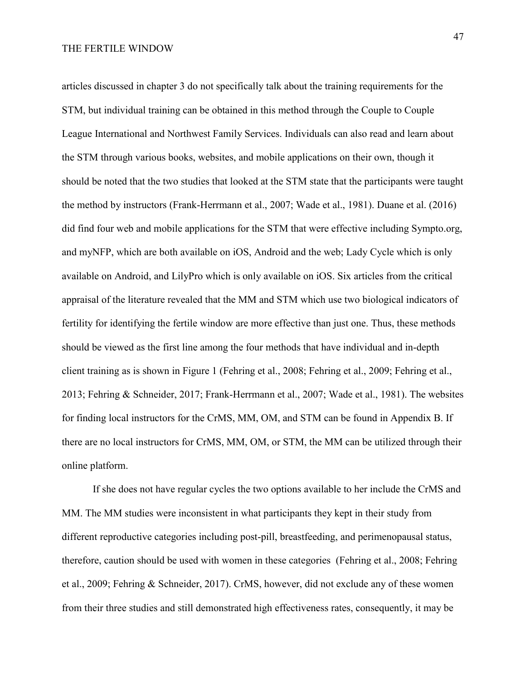articles discussed in chapter 3 do not specifically talk about the training requirements for the STM, but individual training can be obtained in this method through the Couple to Couple League International and Northwest Family Services. Individuals can also read and learn about the STM through various books, websites, and mobile applications on their own, though it should be noted that the two studies that looked at the STM state that the participants were taught the method by instructors (Frank-Herrmann et al., 2007; Wade et al., 1981). Duane et al. (2016) did find four web and mobile applications for the STM that were effective including Sympto.org, and myNFP, which are both available on iOS, Android and the web; Lady Cycle which is only available on Android, and LilyPro which is only available on iOS. Six articles from the critical appraisal of the literature revealed that the MM and STM which use two biological indicators of fertility for identifying the fertile window are more effective than just one. Thus, these methods should be viewed as the first line among the four methods that have individual and in-depth client training as is shown in Figure 1 (Fehring et al., 2008; Fehring et al., 2009; Fehring et al., 2013; Fehring & Schneider, 2017; Frank-Herrmann et al., 2007; Wade et al., 1981). The websites for finding local instructors for the CrMS, MM, OM, and STM can be found in Appendix B. If there are no local instructors for CrMS, MM, OM, or STM, the MM can be utilized through their online platform.

If she does not have regular cycles the two options available to her include the CrMS and MM. The MM studies were inconsistent in what participants they kept in their study from different reproductive categories including post-pill, breastfeeding, and perimenopausal status, therefore, caution should be used with women in these categories (Fehring et al., 2008; Fehring et al., 2009; Fehring & Schneider, 2017). CrMS, however, did not exclude any of these women from their three studies and still demonstrated high effectiveness rates, consequently, it may be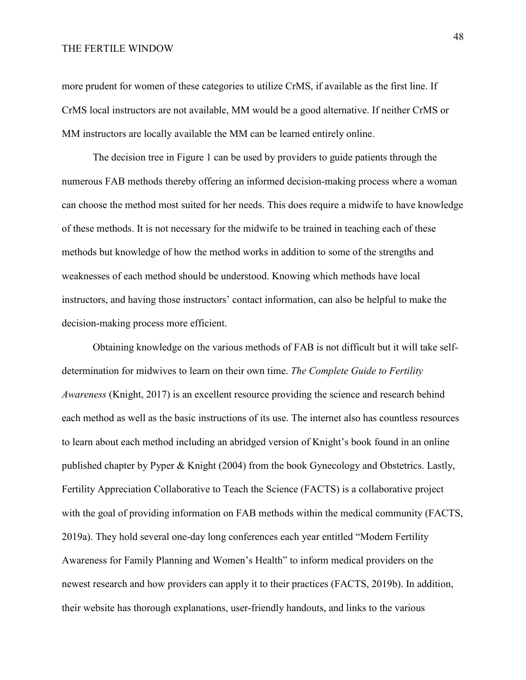more prudent for women of these categories to utilize CrMS, if available as the first line. If CrMS local instructors are not available, MM would be a good alternative. If neither CrMS or MM instructors are locally available the MM can be learned entirely online.

The decision tree in Figure 1 can be used by providers to guide patients through the numerous FAB methods thereby offering an informed decision-making process where a woman can choose the method most suited for her needs. This does require a midwife to have knowledge of these methods. It is not necessary for the midwife to be trained in teaching each of these methods but knowledge of how the method works in addition to some of the strengths and weaknesses of each method should be understood. Knowing which methods have local instructors, and having those instructors' contact information, can also be helpful to make the decision-making process more efficient.

Obtaining knowledge on the various methods of FAB is not difficult but it will take selfdetermination for midwives to learn on their own time. *The Complete Guide to Fertility Awareness* (Knight, 2017) is an excellent resource providing the science and research behind each method as well as the basic instructions of its use. The internet also has countless resources to learn about each method including an abridged version of Knight's book found in an online published chapter by Pyper & Knight (2004) from the book Gynecology and Obstetrics. Lastly, Fertility Appreciation Collaborative to Teach the Science (FACTS) is a collaborative project with the goal of providing information on FAB methods within the medical community (FACTS, 2019a). They hold several one-day long conferences each year entitled "Modern Fertility Awareness for Family Planning and Women's Health" to inform medical providers on the newest research and how providers can apply it to their practices (FACTS, 2019b). In addition, their website has thorough explanations, user-friendly handouts, and links to the various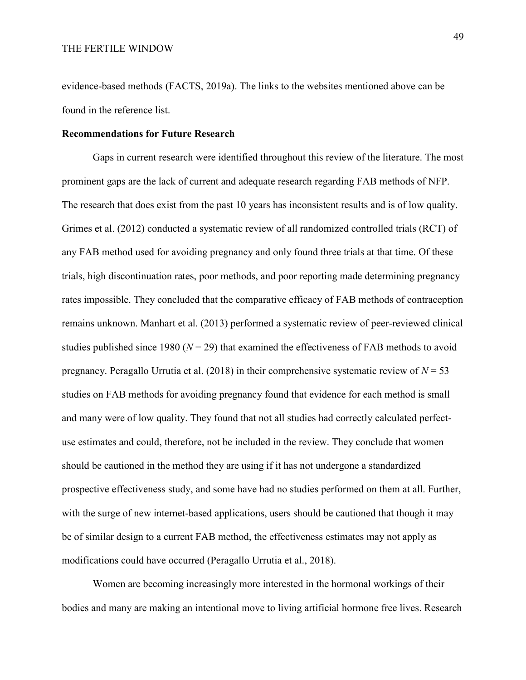evidence-based methods (FACTS, 2019a). The links to the websites mentioned above can be found in the reference list.

#### **Recommendations for Future Research**

Gaps in current research were identified throughout this review of the literature. The most prominent gaps are the lack of current and adequate research regarding FAB methods of NFP. The research that does exist from the past 10 years has inconsistent results and is of low quality. Grimes et al. (2012) conducted a systematic review of all randomized controlled trials (RCT) of any FAB method used for avoiding pregnancy and only found three trials at that time. Of these trials, high discontinuation rates, poor methods, and poor reporting made determining pregnancy rates impossible. They concluded that the comparative efficacy of FAB methods of contraception remains unknown. Manhart et al. (2013) performed a systematic review of peer-reviewed clinical studies published since 1980  $(N = 29)$  that examined the effectiveness of FAB methods to avoid pregnancy. Peragallo Urrutia et al. (2018) in their comprehensive systematic review of *N* = 53 studies on FAB methods for avoiding pregnancy found that evidence for each method is small and many were of low quality. They found that not all studies had correctly calculated perfectuse estimates and could, therefore, not be included in the review. They conclude that women should be cautioned in the method they are using if it has not undergone a standardized prospective effectiveness study, and some have had no studies performed on them at all. Further, with the surge of new internet-based applications, users should be cautioned that though it may be of similar design to a current FAB method, the effectiveness estimates may not apply as modifications could have occurred (Peragallo Urrutia et al., 2018).

Women are becoming increasingly more interested in the hormonal workings of their bodies and many are making an intentional move to living artificial hormone free lives. Research

49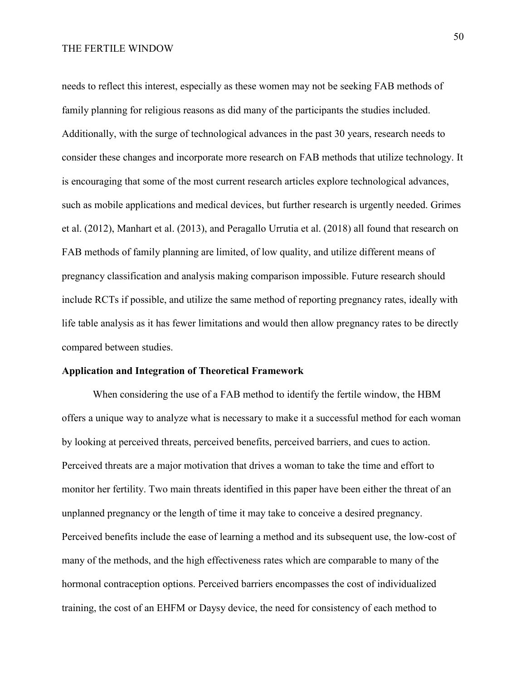needs to reflect this interest, especially as these women may not be seeking FAB methods of family planning for religious reasons as did many of the participants the studies included. Additionally, with the surge of technological advances in the past 30 years, research needs to consider these changes and incorporate more research on FAB methods that utilize technology. It is encouraging that some of the most current research articles explore technological advances, such as mobile applications and medical devices, but further research is urgently needed. Grimes et al. (2012), Manhart et al. (2013), and Peragallo Urrutia et al. (2018) all found that research on FAB methods of family planning are limited, of low quality, and utilize different means of pregnancy classification and analysis making comparison impossible. Future research should include RCTs if possible, and utilize the same method of reporting pregnancy rates, ideally with life table analysis as it has fewer limitations and would then allow pregnancy rates to be directly compared between studies.

#### **Application and Integration of Theoretical Framework**

When considering the use of a FAB method to identify the fertile window, the HBM offers a unique way to analyze what is necessary to make it a successful method for each woman by looking at perceived threats, perceived benefits, perceived barriers, and cues to action. Perceived threats are a major motivation that drives a woman to take the time and effort to monitor her fertility. Two main threats identified in this paper have been either the threat of an unplanned pregnancy or the length of time it may take to conceive a desired pregnancy. Perceived benefits include the ease of learning a method and its subsequent use, the low-cost of many of the methods, and the high effectiveness rates which are comparable to many of the hormonal contraception options. Perceived barriers encompasses the cost of individualized training, the cost of an EHFM or Daysy device, the need for consistency of each method to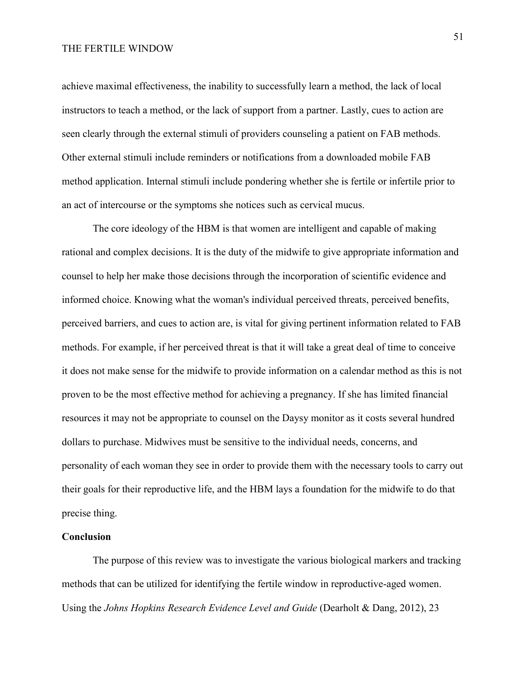achieve maximal effectiveness, the inability to successfully learn a method, the lack of local instructors to teach a method, or the lack of support from a partner. Lastly, cues to action are seen clearly through the external stimuli of providers counseling a patient on FAB methods. Other external stimuli include reminders or notifications from a downloaded mobile FAB method application. Internal stimuli include pondering whether she is fertile or infertile prior to an act of intercourse or the symptoms she notices such as cervical mucus.

The core ideology of the HBM is that women are intelligent and capable of making rational and complex decisions. It is the duty of the midwife to give appropriate information and counsel to help her make those decisions through the incorporation of scientific evidence and informed choice. Knowing what the woman's individual perceived threats, perceived benefits, perceived barriers, and cues to action are, is vital for giving pertinent information related to FAB methods. For example, if her perceived threat is that it will take a great deal of time to conceive it does not make sense for the midwife to provide information on a calendar method as this is not proven to be the most effective method for achieving a pregnancy. If she has limited financial resources it may not be appropriate to counsel on the Daysy monitor as it costs several hundred dollars to purchase. Midwives must be sensitive to the individual needs, concerns, and personality of each woman they see in order to provide them with the necessary tools to carry out their goals for their reproductive life, and the HBM lays a foundation for the midwife to do that precise thing.

#### **Conclusion**

The purpose of this review was to investigate the various biological markers and tracking methods that can be utilized for identifying the fertile window in reproductive-aged women. Using the *Johns Hopkins Research Evidence Level and Guide* (Dearholt & Dang, 2012), 23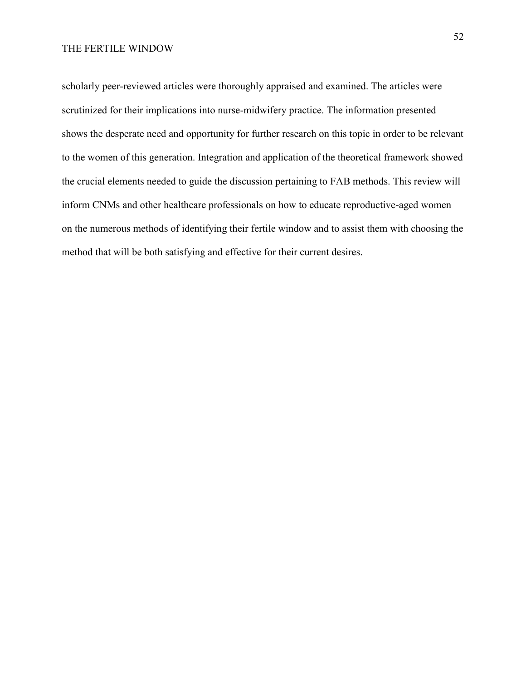scholarly peer-reviewed articles were thoroughly appraised and examined. The articles were scrutinized for their implications into nurse-midwifery practice. The information presented shows the desperate need and opportunity for further research on this topic in order to be relevant to the women of this generation. Integration and application of the theoretical framework showed the crucial elements needed to guide the discussion pertaining to FAB methods. This review will inform CNMs and other healthcare professionals on how to educate reproductive-aged women on the numerous methods of identifying their fertile window and to assist them with choosing the method that will be both satisfying and effective for their current desires.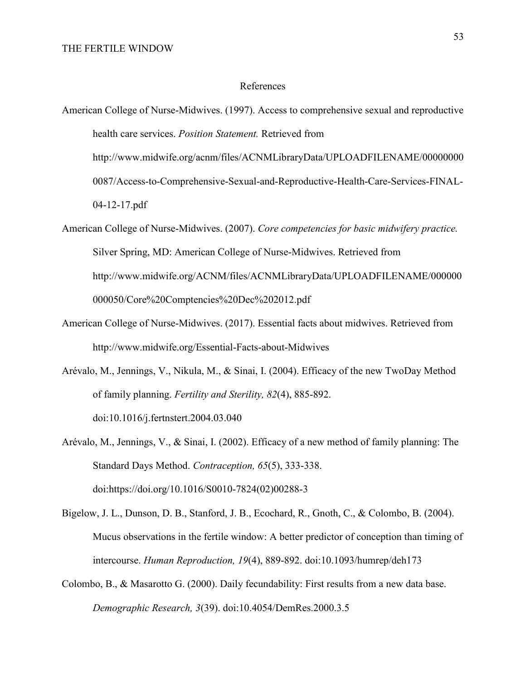#### References

American College of Nurse-Midwives. (1997). Access to comprehensive sexual and reproductive health care services. *Position Statement.* Retrieved from http://www.midwife.org/acnm/files/ACNMLibraryData/UPLOADFILENAME/00000000 0087/Access-to-Comprehensive-Sexual-and-Reproductive-Health-Care-Services-FINAL-04-12-17.pdf

- American College of Nurse-Midwives. (2007). *Core competencies for basic midwifery practice.* Silver Spring, MD: American College of Nurse-Midwives. Retrieved from http://www.midwife.org/ACNM/files/ACNMLibraryData/UPLOADFILENAME/000000 000050/Core%20Comptencies%20Dec%202012.pdf
- American College of Nurse-Midwives. (2017). Essential facts about midwives. Retrieved from http://www.midwife.org/Essential-Facts-about-Midwives
- Arévalo, M., Jennings, V., Nikula, M., & Sinai, I. (2004). Efficacy of the new TwoDay Method of family planning. *Fertility and Sterility, 82*(4), 885-892. doi:10.1016/j.fertnstert.2004.03.040
- Arévalo, M., Jennings, V., & Sinai, I. (2002). Efficacy of a new method of family planning: The Standard Days Method. *Contraception, 65*(5), 333-338. doi:https://doi.org/10.1016/S0010-7824(02)00288-3
- Bigelow, J. L., Dunson, D. B., Stanford, J. B., Ecochard, R., Gnoth, C., & Colombo, B. (2004). Mucus observations in the fertile window: A better predictor of conception than timing of intercourse. *Human Reproduction, 19*(4), 889-892. doi:10.1093/humrep/deh173
- Colombo, B., & Masarotto G. (2000). Daily fecundability: First results from a new data base. *Demographic Research, 3*(39). doi:10.4054/DemRes.2000.3.5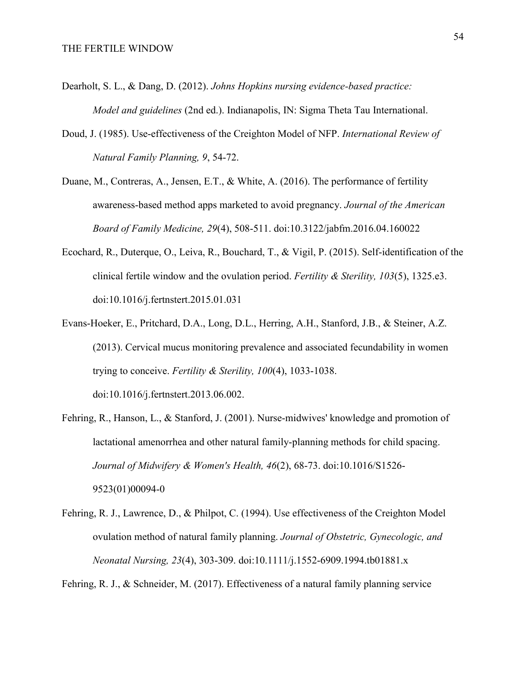- Dearholt, S. L., & Dang, D. (2012). *Johns Hopkins nursing evidence-based practice: Model and guidelines* (2nd ed.). Indianapolis, IN: Sigma Theta Tau International.
- Doud, J. (1985). Use-effectiveness of the Creighton Model of NFP. *International Review of Natural Family Planning, 9*, 54-72.
- Duane, M., Contreras, A., Jensen, E.T., & White, A. (2016). The performance of fertility awareness-based method apps marketed to avoid pregnancy. *Journal of the American Board of Family Medicine, 29*(4), 508-511. doi:10.3122/jabfm.2016.04.160022
- Ecochard, R., Duterque, O., Leiva, R., Bouchard, T., & Vigil, P. (2015). Self-identification of the clinical fertile window and the ovulation period. *Fertility & Sterility, 103*(5), 1325.e3. doi:10.1016/j.fertnstert.2015.01.031
- Evans-Hoeker, E., Pritchard, D.A., Long, D.L., Herring, A.H., Stanford, J.B., & Steiner, A.Z. (2013). Cervical mucus monitoring prevalence and associated fecundability in women trying to conceive. *Fertility & Sterility, 100*(4), 1033-1038.

doi:10.1016/j.fertnstert.2013.06.002.

- Fehring, R., Hanson, L., & Stanford, J. (2001). Nurse-midwives' knowledge and promotion of lactational amenorrhea and other natural family-planning methods for child spacing. *Journal of Midwifery & Women's Health, 46*(2), 68-73. doi:10.1016/S1526- 9523(01)00094-0
- Fehring, R. J., Lawrence, D., & Philpot, C. (1994). Use effectiveness of the Creighton Model ovulation method of natural family planning. *Journal of Obstetric, Gynecologic, and Neonatal Nursing, 23*(4), 303-309. doi:10.1111/j.1552-6909.1994.tb01881.x

Fehring, R. J., & Schneider, M. (2017). Effectiveness of a natural family planning service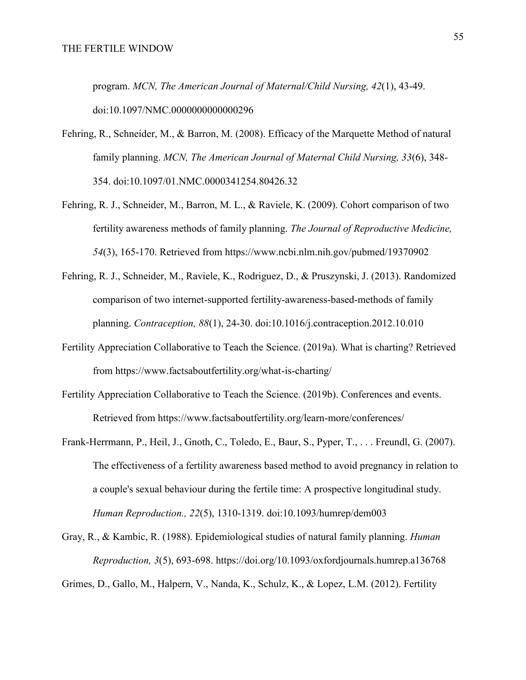program. *MCN, The American Journal of Maternal/Child Nursing, 42*(1), 43-49. doi:10.1097/NMC.0000000000000296

- Fehring, R., Schneider, M., & Barron, M. (2008). Efficacy of the Marquette Method of natural family planning. *MCN, The American Journal of Maternal Child Nursing, 33*(6), 348- 354. doi:10.1097/01.NMC.0000341254.80426.32
- Fehring, R. J., Schneider, M., Barron, M. L., & Raviele, K. (2009). Cohort comparison of two fertility awareness methods of family planning. *The Journal of Reproductive Medicine, 54*(3), 165-170. Retrieved from https://www.ncbi.nlm.nih.gov/pubmed/19370902
- Fehring, R. J., Schneider, M., Raviele, K., Rodriguez, D., & Pruszynski, J. (2013). Randomized comparison of two internet-supported fertility-awareness-based-methods of family planning. *Contraception, 88*(1), 24-30. doi:10.1016/j.contraception.2012.10.010
- Fertility Appreciation Collaborative to Teach the Science. (2019a). What is charting? Retrieved from https://www.factsaboutfertility.org/what-is-charting/
- Fertility Appreciation Collaborative to Teach the Science. (2019b). Conferences and events. Retrieved from https://www.factsaboutfertility.org/learn-more/conferences/
- Frank-Herrmann, P., Heil, J., Gnoth, C., Toledo, E., Baur, S., Pyper, T., . . . Freundl, G. (2007). The effectiveness of a fertility awareness based method to avoid pregnancy in relation to a couple's sexual behaviour during the fertile time: A prospective longitudinal study. *Human Reproduction., 22*(5), 1310-1319. doi:10.1093/humrep/dem003
- Gray, R., & Kambic, R. (1988). Epidemiological studies of natural family planning. *Human Reproduction, 3*(5), 693-698. https://doi.org/10.1093/oxfordjournals.humrep.a136768

Grimes, D., Gallo, M., Halpern, V., Nanda, K., Schulz, K., & Lopez, L.M. (2012). Fertility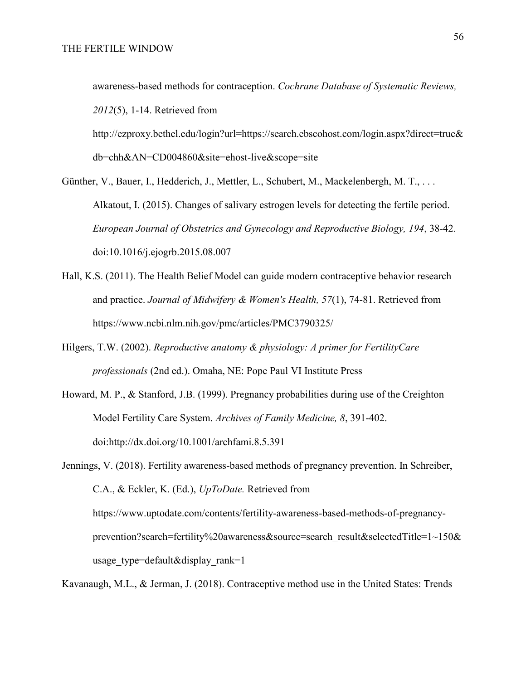awareness-based methods for contraception. *Cochrane Database of Systematic Reviews, 2012*(5), 1-14. Retrieved from

http://ezproxy.bethel.edu/login?url=https://search.ebscohost.com/login.aspx?direct=true& db=chh&AN=CD004860&site=ehost-live&scope=site

Günther, V., Bauer, I., Hedderich, J., Mettler, L., Schubert, M., Mackelenbergh, M. T., . . . Alkatout, I. (2015). Changes of salivary estrogen levels for detecting the fertile period. *European Journal of Obstetrics and Gynecology and Reproductive Biology, 194*, 38-42. doi:10.1016/j.ejogrb.2015.08.007

- Hall, K.S. (2011). The Health Belief Model can guide modern contraceptive behavior research and practice. *Journal of Midwifery & Women's Health, 57*(1), 74-81. Retrieved from https://www.ncbi.nlm.nih.gov/pmc/articles/PMC3790325/
- Hilgers, T.W. (2002). *Reproductive anatomy & physiology: A primer for FertilityCare professionals* (2nd ed.). Omaha, NE: Pope Paul VI Institute Press
- Howard, M. P., & Stanford, J.B. (1999). Pregnancy probabilities during use of the Creighton Model Fertility Care System. *Archives of Family Medicine, 8*, 391-402. doi:http://dx.doi.org/10.1001/archfami.8.5.391

Jennings, V. (2018). Fertility awareness-based methods of pregnancy prevention. In Schreiber, C.A., & Eckler, K. (Ed.), *UpToDate.* Retrieved from https://www.uptodate.com/contents/fertility-awareness-based-methods-of-pregnancyprevention?search=fertility%20awareness&source=search\_result&selectedTitle=1~150& usage type=default&display rank=1

Kavanaugh, M.L., & Jerman, J. (2018). Contraceptive method use in the United States: Trends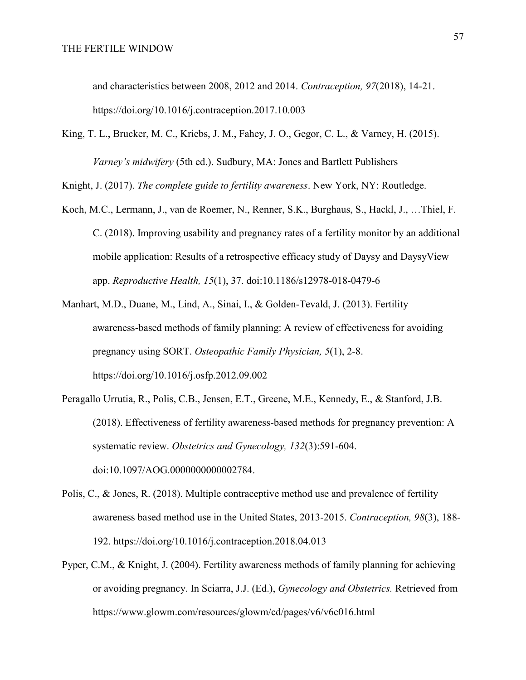and characteristics between 2008, 2012 and 2014. *Contraception, 97*(2018), 14-21. https://doi.org/10.1016/j.contraception.2017.10.003

King, T. L., Brucker, M. C., Kriebs, J. M., Fahey, J. O., Gegor, C. L., & Varney, H. (2015). *Varney's midwifery* (5th ed.). Sudbury, MA: Jones and Bartlett Publishers

Knight, J. (2017). *The complete guide to fertility awareness*. New York, NY: Routledge.

- Koch, M.C., Lermann, J., van de Roemer, N., Renner, S.K., Burghaus, S., Hackl, J., …Thiel, F. C. (2018). Improving usability and pregnancy rates of a fertility monitor by an additional mobile application: Results of a retrospective efficacy study of Daysy and DaysyView app. *Reproductive Health, 15*(1), 37. doi:10.1186/s12978-018-0479-6
- Manhart, M.D., Duane, M., Lind, A., Sinai, I., & Golden-Tevald, J. (2013). Fertility awareness-based methods of family planning: A review of effectiveness for avoiding pregnancy using SORT. *Osteopathic Family Physician, 5*(1), 2-8. https://doi.org/10.1016/j.osfp.2012.09.002
- Peragallo Urrutia, R., Polis, C.B., Jensen, E.T., Greene, M.E., Kennedy, E., & Stanford, J.B. (2018). Effectiveness of fertility awareness-based methods for pregnancy prevention: A systematic review. *Obstetrics and Gynecology, 132*(3):591-604. doi:10.1097/AOG.0000000000002784.
- Polis, C., & Jones, R. (2018). Multiple contraceptive method use and prevalence of fertility awareness based method use in the United States, 2013-2015. *Contraception, 98*(3), 188- 192. https://doi.org/10.1016/j.contraception.2018.04.013
- Pyper, C.M., & Knight, J. (2004). Fertility awareness methods of family planning for achieving or avoiding pregnancy. In Sciarra, J.J. (Ed.), *Gynecology and Obstetrics.* Retrieved from https://www.glowm.com/resources/glowm/cd/pages/v6/v6c016.html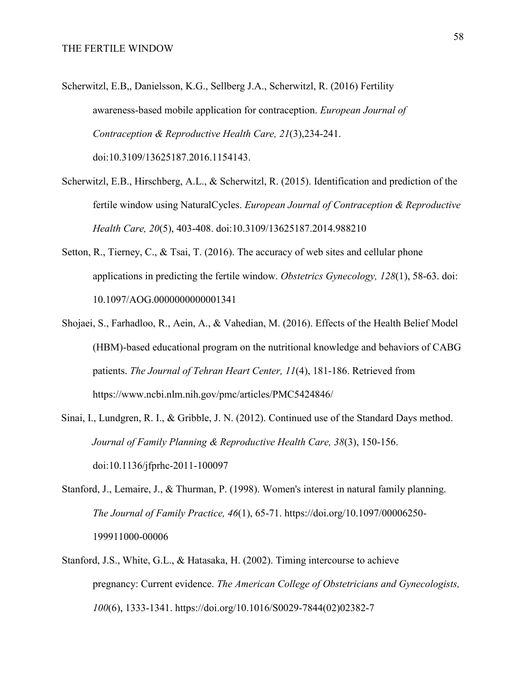- Scherwitzl, E.B,, Danielsson, K.G., Sellberg J.A., Scherwitzl, R. (2016) Fertility awareness-based mobile application for contraception. *European Journal of Contraception & Reproductive Health Care, 21*(3),234-241. doi:10.3109/13625187.2016.1154143.
- Scherwitzl, E.B., Hirschberg, A.L., & Scherwitzl, R. (2015). Identification and prediction of the fertile window using NaturalCycles. *European Journal of Contraception & Reproductive Health Care, 20*(5), 403-408. doi:10.3109/13625187.2014.988210
- Setton, R., Tierney, C., & Tsai, T. (2016). The accuracy of web sites and cellular phone applications in predicting the fertile window. *Obstetrics Gynecology, 128*(1), 58-63. doi: 10.1097/AOG.0000000000001341
- Shojaei, S., Farhadloo, R., Aein, A., & Vahedian, M. (2016). Effects of the Health Belief Model (HBM)-based educational program on the nutritional knowledge and behaviors of CABG patients. *The Journal of Tehran Heart Center, 11*(4), 181-186. Retrieved from https://www.ncbi.nlm.nih.gov/pmc/articles/PMC5424846/
- Sinai, I., Lundgren, R. I., & Gribble, J. N. (2012). Continued use of the Standard Days method. *Journal of Family Planning & Reproductive Health Care, 38*(3), 150-156. doi:10.1136/jfprhc-2011-100097
- Stanford, J., Lemaire, J., & Thurman, P. (1998). Women's interest in natural family planning. *The Journal of Family Practice, 46*(1), 65-71. https://doi.org/10.1097/00006250- 199911000-00006
- Stanford, J.S., White, G.L., & Hatasaka, H. (2002). Timing intercourse to achieve pregnancy: Current evidence. *The American College of Obstetricians and Gynecologists, 100*(6), 1333-1341. https://doi.org/10.1016/S0029-7844(02)02382-7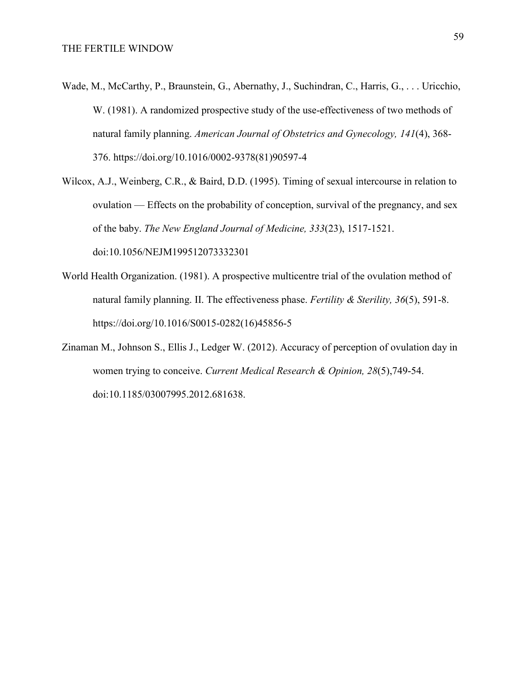- Wade, M., McCarthy, P., Braunstein, G., Abernathy, J., Suchindran, C., Harris, G., . . . Uricchio, W. (1981). A randomized prospective study of the use-effectiveness of two methods of natural family planning. *American Journal of Obstetrics and Gynecology, 141*(4), 368- 376. https://doi.org/10.1016/0002-9378(81)90597-4
- Wilcox, A.J., Weinberg, C.R., & Baird, D.D. (1995). Timing of sexual intercourse in relation to ovulation — Effects on the probability of conception, survival of the pregnancy, and sex of the baby. *The New England Journal of Medicine, 333*(23), 1517-1521. doi:10.1056/NEJM199512073332301
- World Health Organization. (1981). A prospective multicentre trial of the ovulation method of natural family planning. II. The effectiveness phase. *Fertility & Sterility, 36*(5), 591-8. https://doi.org/10.1016/S0015-0282(16)45856-5
- Zinaman M., Johnson S., Ellis J., Ledger W. (2012). Accuracy of perception of ovulation day in women trying to conceive. *Current Medical Research & Opinion, 28*(5),749-54. doi:10.1185/03007995.2012.681638.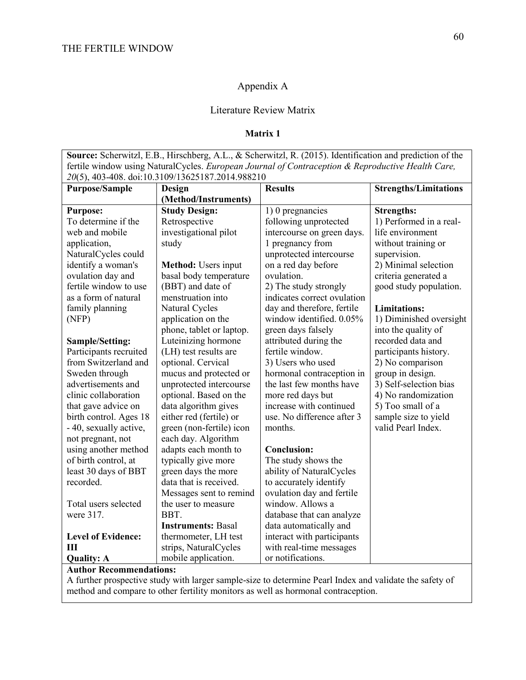### Appendix A

### Literature Review Matrix

### **Matrix 1**

**Source:** Scherwitzl, E.B., Hirschberg, A.L., & Scherwitzl, R. (2015). Identification and prediction of the fertile window using NaturalCycles. *European Journal of Contraception & Reproductive Health Care, 20*(5), 403-408. doi:10.3109/13625187.2014.988210

| <b>Purpose/Sample</b>     | Design                     | <b>Results</b>              | <b>Strengths/Limitations</b> |
|---------------------------|----------------------------|-----------------------------|------------------------------|
|                           | (Method/Instruments)       |                             |                              |
| <b>Purpose:</b>           | <b>Study Design:</b>       | 1) 0 pregnancies            | <b>Strengths:</b>            |
| To determine if the       | Retrospective              | following unprotected       | 1) Performed in a real-      |
| web and mobile            | investigational pilot      | intercourse on green days.  | life environment             |
| application,              | study                      | 1 pregnancy from            | without training or          |
| NaturalCycles could       |                            | unprotected intercourse     | supervision.                 |
| identify a woman's        | <b>Method:</b> Users input | on a red day before         | 2) Minimal selection         |
| ovulation day and         | basal body temperature     | ovulation.                  | criteria generated a         |
| fertile window to use     | (BBT) and date of          | 2) The study strongly       | good study population.       |
| as a form of natural      | menstruation into          | indicates correct ovulation |                              |
| family planning           | Natural Cycles             | day and therefore, fertile  | <b>Limitations:</b>          |
| (NFP)                     | application on the         | window identified. 0.05%    | 1) Diminished oversight      |
|                           | phone, tablet or laptop.   | green days falsely          | into the quality of          |
| Sample/Setting:           | Luteinizing hormone        | attributed during the       | recorded data and            |
| Participants recruited    | (LH) test results are      | fertile window.             | participants history.        |
| from Switzerland and      | optional. Cervical         | 3) Users who used           | 2) No comparison             |
| Sweden through            | mucus and protected or     | hormonal contraception in   | group in design.             |
| advertisements and        | unprotected intercourse    | the last few months have    | 3) Self-selection bias       |
| clinic collaboration      | optional. Based on the     | more red days but           | 4) No randomization          |
| that gave advice on       | data algorithm gives       | increase with continued     | 5) Too small of a            |
| birth control. Ages 18    | either red (fertile) or    | use. No difference after 3  | sample size to yield         |
| - 40, sexually active,    | green (non-fertile) icon   | months.                     | valid Pearl Index.           |
| not pregnant, not         | each day. Algorithm        |                             |                              |
| using another method      | adapts each month to       | <b>Conclusion:</b>          |                              |
| of birth control, at      | typically give more        | The study shows the         |                              |
| least 30 days of BBT      | green days the more        | ability of NaturalCycles    |                              |
| recorded.                 | data that is received.     | to accurately identify      |                              |
|                           | Messages sent to remind    | ovulation day and fertile   |                              |
| Total users selected      | the user to measure        | window. Allows a            |                              |
| were 317.                 | BBT.                       | database that can analyze   |                              |
|                           | <b>Instruments: Basal</b>  | data automatically and      |                              |
| <b>Level of Evidence:</b> | thermometer, LH test       | interact with participants  |                              |
| Ш                         | strips, NaturalCycles      | with real-time messages     |                              |
| <b>Quality: A</b>         | mobile application.        | or notifications.           |                              |

### **Author Recommendations:**

A further prospective study with larger sample-size to determine Pearl Index and validate the safety of method and compare to other fertility monitors as well as hormonal contraception.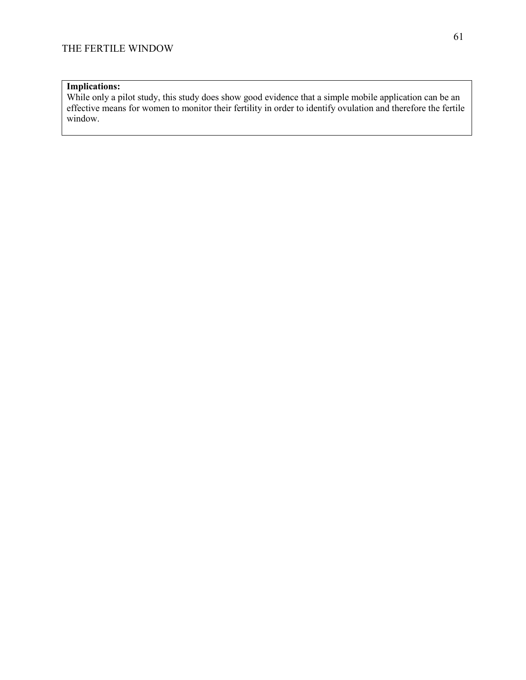# **Implications:**

While only a pilot study, this study does show good evidence that a simple mobile application can be an effective means for women to monitor their fertility in order to identify ovulation and therefore the fertile window.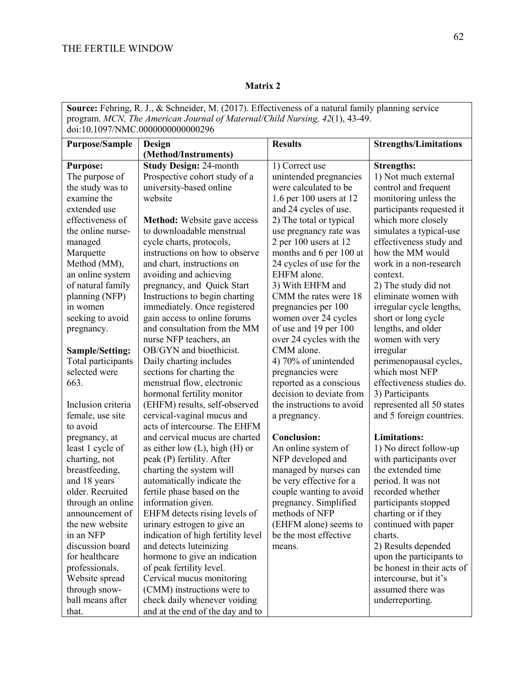| Source: Fehring, R. J., & Schneider, M. (2017). Effectiveness of a natural family planning service |                                     |                           |                              |
|----------------------------------------------------------------------------------------------------|-------------------------------------|---------------------------|------------------------------|
| program. MCN, The American Journal of Maternal/Child Nursing, 42(1), 43-49.                        |                                     |                           |                              |
| doi:10.1097/NMC.0000000000000296                                                                   |                                     |                           |                              |
| <b>Purpose/Sample</b>                                                                              | Design                              | <b>Results</b>            | <b>Strengths/Limitations</b> |
|                                                                                                    | (Method/Instruments)                |                           |                              |
| <b>Purpose:</b>                                                                                    | <b>Study Design: 24-month</b>       | 1) Correct use            | <b>Strengths:</b>            |
| The purpose of                                                                                     | Prospective cohort study of a       | unintended pregnancies    | 1) Not much external         |
| the study was to                                                                                   | university-based online             | were calculated to be     | control and frequent         |
| examine the                                                                                        | website                             | 1.6 per 100 users at $12$ | monitoring unless the        |
| extended use                                                                                       |                                     | and 24 cycles of use.     | participants requested it    |
| effectiveness of                                                                                   | <b>Method:</b> Website gave access  | 2) The total or typical   | which more closely           |
| the online nurse-                                                                                  | to downloadable menstrual           | use pregnancy rate was    | simulates a typical-use      |
| managed                                                                                            | cycle charts, protocols,            | 2 per 100 users at 12     | effectiveness study and      |
| Marquette                                                                                          | instructions on how to observe      | months and 6 per 100 at   | how the MM would             |
| Method (MM),                                                                                       | and chart, instructions on          | 24 cycles of use for the  | work in a non-research       |
| an online system                                                                                   | avoiding and achieving              | EHFM alone.               | context.                     |
| of natural family                                                                                  | pregnancy, and Quick Start          | 3) With EHFM and          | 2) The study did not         |
| planning (NFP)                                                                                     | Instructions to begin charting      | CMM the rates were 18     | eliminate women with         |
| in women                                                                                           | immediately. Once registered        | pregnancies per 100       | irregular cycle lengths,     |
| seeking to avoid                                                                                   | gain access to online forums        | women over 24 cycles      | short or long cycle          |
| pregnancy.                                                                                         | and consultation from the MM        | of use and 19 per 100     | lengths, and older           |
|                                                                                                    | nurse NFP teachers, an              | over 24 cycles with the   | women with very              |
| <b>Sample/Setting:</b>                                                                             | OB/GYN and bioethicist.             | CMM alone.                | irregular                    |
| Total participants                                                                                 | Daily charting includes             | 4) 70% of unintended      | perimenopausal cycles,       |
| selected were                                                                                      | sections for charting the           | pregnancies were          | which most NFP               |
| 663.                                                                                               | menstrual flow, electronic          | reported as a conscious   | effectiveness studies do.    |
|                                                                                                    | hormonal fertility monitor          | decision to deviate from  | 3) Participants              |
| Inclusion criteria                                                                                 | (EHFM) results, self-observed       | the instructions to avoid | represented all 50 states    |
| female, use site                                                                                   | cervical-vaginal mucus and          | a pregnancy.              | and 5 foreign countries.     |
| to avoid                                                                                           | acts of intercourse. The EHFM       |                           |                              |
| pregnancy, at                                                                                      | and cervical mucus are charted      | <b>Conclusion:</b>        | <b>Limitations:</b>          |
| least 1 cycle of                                                                                   | as either low $(L)$ , high $(H)$ or | An online system of       | 1) No direct follow-up       |
| charting, not                                                                                      | peak (P) fertility. After           | NFP developed and         | with participants over       |
| breastfeeding,                                                                                     | charting the system will            | managed by nurses can     | the extended time            |
| and 18 years                                                                                       | automatically indicate the          | be very effective for a   | period. It was not           |
| older. Recruited                                                                                   | fertile phase based on the          | couple wanting to avoid   | recorded whether             |
| through an online                                                                                  | information given.                  | pregnancy. Simplified     | participants stopped         |
| announcement of                                                                                    | EHFM detects rising levels of       | methods of NFP            | charting or if they          |
| the new website                                                                                    | urinary estrogen to give an         | (EHFM alone) seems to     | continued with paper         |
| in an NFP                                                                                          | indication of high fertility level  | be the most effective     | charts.                      |
| discussion board                                                                                   | and detects luteinizing             | means.                    | 2) Results depended          |
| for healthcare                                                                                     | hormone to give an indication       |                           | upon the participants to     |
| professionals.                                                                                     | of peak fertility level.            |                           | be honest in their acts of   |
| Website spread                                                                                     | Cervical mucus monitoring           |                           | intercourse, but it's        |
| through snow-                                                                                      | (CMM) instructions were to          |                           | assumed there was            |
| ball means after                                                                                   | check daily whenever voiding        |                           | underreporting.              |
| that.                                                                                              | and at the end of the day and to    |                           |                              |

# **Matrix 2**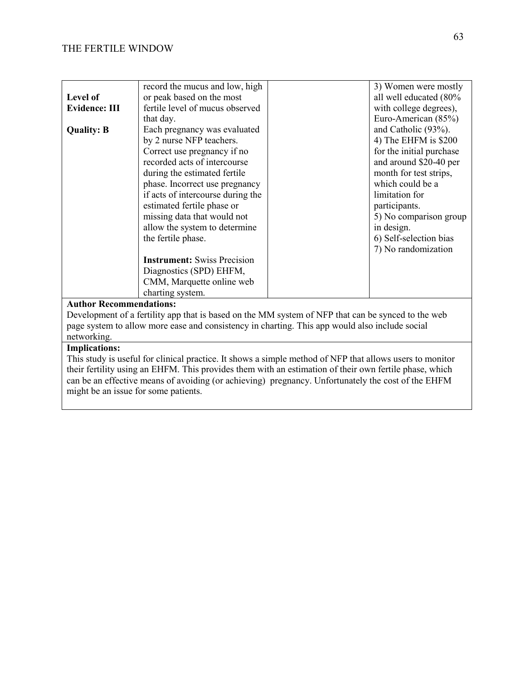|                                                                                                    | record the mucus and low, high     |  | 3) Women were mostly     |  |
|----------------------------------------------------------------------------------------------------|------------------------------------|--|--------------------------|--|
| Level of                                                                                           | or peak based on the most          |  | all well educated (80%   |  |
| <b>Evidence: III</b>                                                                               | fertile level of mucus observed    |  | with college degrees),   |  |
|                                                                                                    | that day.                          |  | Euro-American (85%)      |  |
| <b>Quality: B</b>                                                                                  | Each pregnancy was evaluated       |  | and Catholic (93%).      |  |
|                                                                                                    | by 2 nurse NFP teachers.           |  | 4) The EHFM is $$200$    |  |
|                                                                                                    | Correct use pregnancy if no        |  | for the initial purchase |  |
|                                                                                                    | recorded acts of intercourse       |  | and around \$20-40 per   |  |
|                                                                                                    | during the estimated fertile       |  | month for test strips,   |  |
|                                                                                                    | phase. Incorrect use pregnancy     |  | which could be a         |  |
|                                                                                                    | if acts of intercourse during the  |  | limitation for           |  |
|                                                                                                    | estimated fertile phase or         |  | participants.            |  |
|                                                                                                    | missing data that would not        |  | 5) No comparison group   |  |
|                                                                                                    | allow the system to determine      |  | in design.               |  |
|                                                                                                    | the fertile phase.                 |  | 6) Self-selection bias   |  |
|                                                                                                    |                                    |  | 7) No randomization      |  |
|                                                                                                    | <b>Instrument:</b> Swiss Precision |  |                          |  |
|                                                                                                    | Diagnostics (SPD) EHFM,            |  |                          |  |
|                                                                                                    | CMM, Marquette online web          |  |                          |  |
|                                                                                                    | charting system.                   |  |                          |  |
| <b>Author Recommendations:</b>                                                                     |                                    |  |                          |  |
| Development of a fertility app that is based on the MM system of NFP that can be synced to the web |                                    |  |                          |  |
| page system to allow more ease and consistency in charting. This app would also include social     |                                    |  |                          |  |

# networking.

# **Implications:**

This study is useful for clinical practice. It shows a simple method of NFP that allows users to monitor their fertility using an EHFM. This provides them with an estimation of their own fertile phase, which can be an effective means of avoiding (or achieving) pregnancy. Unfortunately the cost of the EHFM might be an issue for some patients.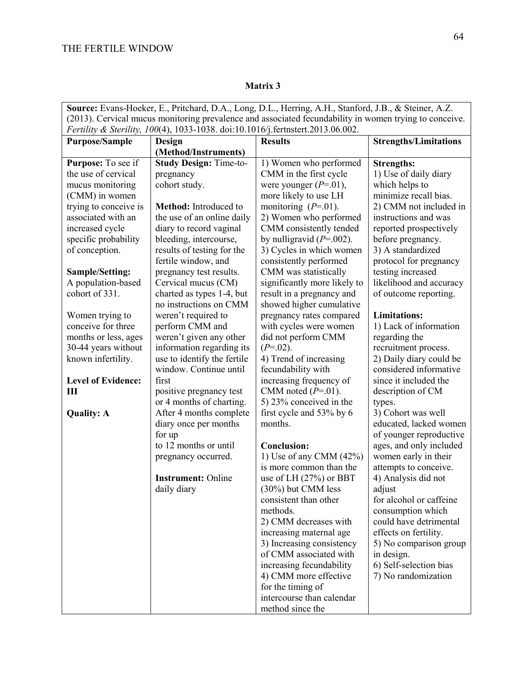| Source: Evans-Hoeker, E., Pritchard, D.A., Long, D.L., Herring, A.H., Stanford, J.B., & Steiner, A.Z.  |  |  |  |  |
|--------------------------------------------------------------------------------------------------------|--|--|--|--|
| (2013). Cervical mucus monitoring prevalence and associated fecundability in women trying to conceive. |  |  |  |  |
| Fertility & Sterility, 100(4), 1033-1038. doi:10.1016/j.fertnstert.2013.06.002.                        |  |  |  |  |
| <b>Strengths/Limitations</b><br><b>Purpose/Sample</b><br><b>Results</b><br>Design                      |  |  |  |  |
| (Method/Instruments)                                                                                   |  |  |  |  |
| Purpose: To see if<br><b>Study Design: Time-to-</b><br>1) Women who performed<br><b>Strengths:</b>     |  |  |  |  |
| the use of cervical<br>CMM in the first cycle<br>1) Use of daily diary<br>pregnancy                    |  |  |  |  |
| mucus monitoring<br>cohort study.<br>were younger $(P=01)$ ,<br>which helps to                         |  |  |  |  |
| (CMM) in women<br>more likely to use LH<br>minimize recall bias.                                       |  |  |  |  |
| trying to conceive is<br>monitoring $(P=01)$ .<br>Method: Introduced to<br>2) CMM not included in      |  |  |  |  |
| associated with an<br>the use of an online daily<br>instructions and was<br>2) Women who performed     |  |  |  |  |
| CMM consistently tended<br>increased cycle<br>diary to record vaginal<br>reported prospectively        |  |  |  |  |
| specific probability<br>bleeding, intercourse,<br>by nulligravid $(P=0.002)$ .<br>before pregnancy.    |  |  |  |  |
| of conception.<br>3) A standardized<br>results of testing for the<br>3) Cycles in which women          |  |  |  |  |
| protocol for pregnancy<br>fertile window, and<br>consistently performed                                |  |  |  |  |
| CMM was statistically<br>testing increased<br>pregnancy test results.<br><b>Sample/Setting:</b>        |  |  |  |  |
| A population-based<br>significantly more likely to<br>likelihood and accuracy<br>Cervical mucus (CM)   |  |  |  |  |
| cohort of 331.<br>charted as types 1-4, but<br>result in a pregnancy and<br>of outcome reporting.      |  |  |  |  |
| showed higher cumulative<br>no instructions on CMM                                                     |  |  |  |  |
| Women trying to<br>weren't required to<br>pregnancy rates compared<br><b>Limitations:</b>              |  |  |  |  |
| conceive for three<br>1) Lack of information<br>perform CMM and<br>with cycles were women              |  |  |  |  |
| months or less, ages<br>weren't given any other<br>did not perform CMM<br>regarding the                |  |  |  |  |
| information regarding its<br>30-44 years without<br>$(P=02)$ .<br>recruitment process.                 |  |  |  |  |
| 2) Daily diary could be<br>known infertility.<br>use to identify the fertile<br>4) Trend of increasing |  |  |  |  |
| window. Continue until<br>fecundability with<br>considered informative                                 |  |  |  |  |
| <b>Level of Evidence:</b><br>increasing frequency of<br>since it included the<br>first                 |  |  |  |  |
| Ш<br>CMM noted $(P=01)$ .<br>description of CM<br>positive pregnancy test                              |  |  |  |  |
| or 4 months of charting.<br>5) 23% conceived in the<br>types.                                          |  |  |  |  |
| After 4 months complete<br>first cycle and 53% by 6<br>3) Cohort was well<br><b>Quality: A</b>         |  |  |  |  |
| educated, lacked women<br>diary once per months<br>months.                                             |  |  |  |  |
| of younger reproductive<br>for up                                                                      |  |  |  |  |
| to 12 months or until<br>ages, and only included<br><b>Conclusion:</b>                                 |  |  |  |  |
| 1) Use of any CMM $(42%)$<br>women early in their<br>pregnancy occurred.                               |  |  |  |  |
| attempts to conceive.<br>is more common than the<br><b>Instrument: Online</b>                          |  |  |  |  |
| use of LH $(27%)$ or BBT<br>4) Analysis did not                                                        |  |  |  |  |
| daily diary<br>(30%) but CMM less<br>adjust<br>consistent than other<br>for alcohol or caffeine        |  |  |  |  |
| methods.                                                                                               |  |  |  |  |
| consumption which<br>2) CMM decreases with<br>could have detrimental                                   |  |  |  |  |
| effects on fertility.<br>increasing maternal age                                                       |  |  |  |  |
| 3) Increasing consistency<br>5) No comparison group                                                    |  |  |  |  |
| of CMM associated with<br>in design.                                                                   |  |  |  |  |
| 6) Self-selection bias<br>increasing fecundability                                                     |  |  |  |  |
| 4) CMM more effective<br>7) No randomization                                                           |  |  |  |  |
| for the timing of                                                                                      |  |  |  |  |
| intercourse than calendar                                                                              |  |  |  |  |
| method since the                                                                                       |  |  |  |  |

# **Matrix 3**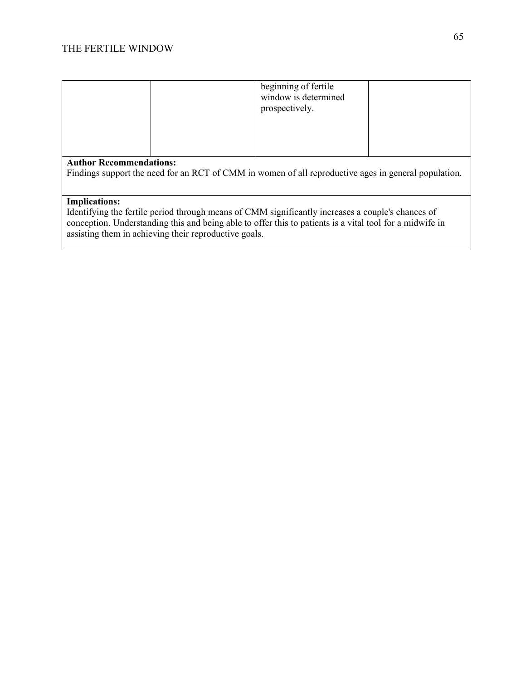|                                                                                                                                        |  | beginning of fertile<br>window is determined<br>prospectively. |  |
|----------------------------------------------------------------------------------------------------------------------------------------|--|----------------------------------------------------------------|--|
| <b>Author Recommendations:</b><br>Findings support the need for an RCT of CMM in women of all reproductive ages in general population. |  |                                                                |  |

### **Implications:**

Identifying the fertile period through means of CMM significantly increases a couple's chances of conception. Understanding this and being able to offer this to patients is a vital tool for a midwife in assisting them in achieving their reproductive goals.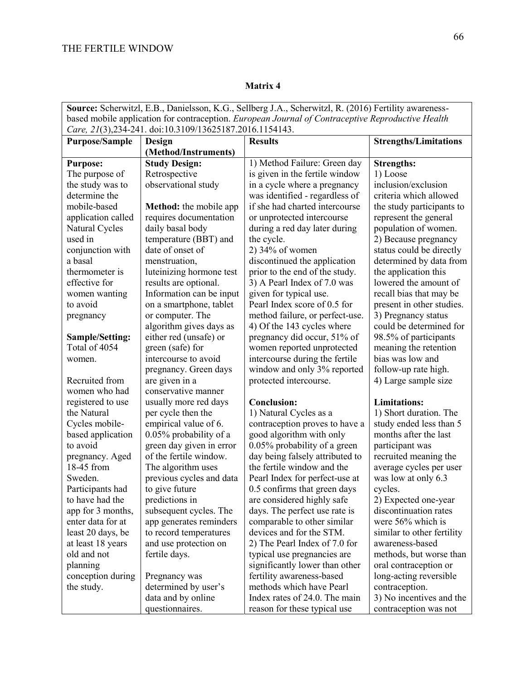| Source: Scherwitzl, E.B., Danielsson, K.G., Sellberg J.A., Scherwitzl, R. (2016) Fertility awareness- |                               |                                 |                              |
|-------------------------------------------------------------------------------------------------------|-------------------------------|---------------------------------|------------------------------|
| based mobile application for contraception. European Journal of Contraceptive Reproductive Health     |                               |                                 |                              |
| Care, 21(3),234-241. doi:10.3109/13625187.2016.1154143.                                               |                               |                                 |                              |
| <b>Purpose/Sample</b>                                                                                 | Design                        | <b>Results</b>                  | <b>Strengths/Limitations</b> |
|                                                                                                       | (Method/Instruments)          |                                 |                              |
| <b>Purpose:</b>                                                                                       | <b>Study Design:</b>          | 1) Method Failure: Green day    | <b>Strengths:</b>            |
| The purpose of                                                                                        | Retrospective                 | is given in the fertile window  | 1) Loose                     |
| the study was to                                                                                      | observational study           | in a cycle where a pregnancy    | inclusion/exclusion          |
| determine the                                                                                         |                               | was identified - regardless of  | criteria which allowed       |
| mobile-based                                                                                          | <b>Method:</b> the mobile app | if she had charted intercourse  | the study participants to    |
| application called                                                                                    | requires documentation        | or unprotected intercourse      | represent the general        |
| Natural Cycles                                                                                        | daily basal body              | during a red day later during   | population of women.         |
| used in                                                                                               | temperature (BBT) and         | the cycle.                      | 2) Because pregnancy         |
| conjunction with                                                                                      | date of onset of              | $2)$ 34% of women               | status could be directly     |
| a basal                                                                                               | menstruation,                 | discontinued the application    | determined by data from      |
| thermometer is                                                                                        | luteinizing hormone test      | prior to the end of the study.  | the application this         |
| effective for                                                                                         | results are optional.         | 3) A Pearl Index of 7.0 was     | lowered the amount of        |
| women wanting                                                                                         | Information can be input      | given for typical use.          | recall bias that may be      |
| to avoid                                                                                              | on a smartphone, tablet       | Pearl Index score of 0.5 for    | present in other studies.    |
| pregnancy                                                                                             | or computer. The              | method failure, or perfect-use. | 3) Pregnancy status          |
|                                                                                                       | algorithm gives days as       | 4) Of the 143 cycles where      | could be determined for      |
| Sample/Setting:                                                                                       | either red (unsafe) or        | pregnancy did occur, 51% of     | 98.5% of participants        |
| Total of 4054                                                                                         | green (safe) for              | women reported unprotected      | meaning the retention        |
| women.                                                                                                | intercourse to avoid          | intercourse during the fertile  | bias was low and             |
|                                                                                                       | pregnancy. Green days         | window and only 3% reported     | follow-up rate high.         |
| Recruited from                                                                                        | are given in a                | protected intercourse.          | 4) Large sample size         |
| women who had                                                                                         | conservative manner           |                                 |                              |
| registered to use                                                                                     | usually more red days         | <b>Conclusion:</b>              | <b>Limitations:</b>          |
| the Natural                                                                                           | per cycle then the            | 1) Natural Cycles as a          | 1) Short duration. The       |
| Cycles mobile-                                                                                        | empirical value of 6.         | contraception proves to have a  | study ended less than 5      |
| based application                                                                                     | 0.05% probability of a        | good algorithm with only        | months after the last        |
| to avoid                                                                                              | green day given in error      | 0.05% probability of a green    | participant was              |
| pregnancy. Aged                                                                                       | of the fertile window.        | day being falsely attributed to | recruited meaning the        |
| 18-45 from                                                                                            | The algorithm uses            | the fertile window and the      | average cycles per user      |
| Sweden.                                                                                               | previous cycles and data      | Pearl Index for perfect-use at  | was low at only 6.3          |
| Participants had                                                                                      | to give future                | 0.5 confirms that green days    | cycles.                      |
| to have had the                                                                                       | predictions in                | are considered highly safe      | 2) Expected one-year         |
| app for 3 months,                                                                                     | subsequent cycles. The        | days. The perfect use rate is   | discontinuation rates        |
| enter data for at                                                                                     | app generates reminders       | comparable to other similar     | were 56% which is            |
| least 20 days, be                                                                                     | to record temperatures        | devices and for the STM.        | similar to other fertility   |
| at least 18 years                                                                                     | and use protection on         | 2) The Pearl Index of 7.0 for   | awareness-based              |
| old and not                                                                                           | fertile days.                 | typical use pregnancies are     | methods, but worse than      |
| planning                                                                                              |                               | significantly lower than other  | oral contraception or        |
| conception during                                                                                     | Pregnancy was                 | fertility awareness-based       | long-acting reversible       |
| the study.                                                                                            | determined by user's          | methods which have Pearl        | contraception.               |
|                                                                                                       | data and by online            | Index rates of 24.0. The main   | 3) No incentives and the     |
|                                                                                                       | questionnaires.               | reason for these typical use    | contraception was not        |

# **Matrix 4**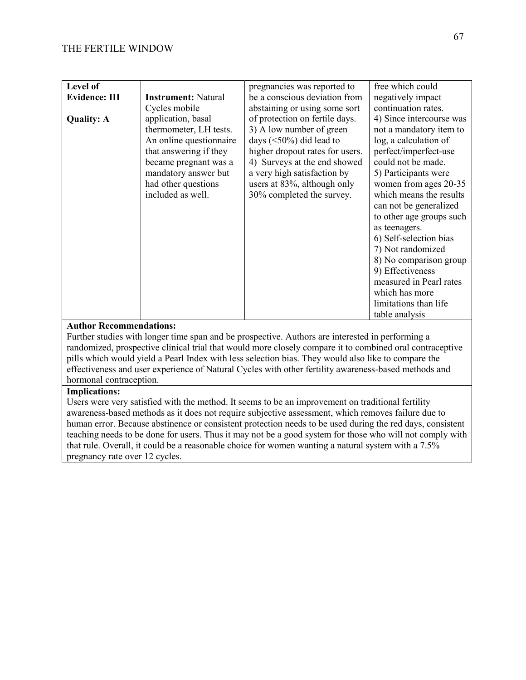| Level of             |                            | pregnancies was reported to     | free which could         |
|----------------------|----------------------------|---------------------------------|--------------------------|
| <b>Evidence: III</b> | <b>Instrument: Natural</b> | be a conscious deviation from   | negatively impact        |
|                      | Cycles mobile              | abstaining or using some sort   | continuation rates.      |
| <b>Quality: A</b>    | application, basal         | of protection on fertile days.  | 4) Since intercourse was |
|                      | thermometer, LH tests.     | 3) A low number of green        | not a mandatory item to  |
|                      | An online questionnaire    | days $(<50\%)$ did lead to      | log, a calculation of    |
|                      | that answering if they     | higher dropout rates for users. | perfect/imperfect-use    |
|                      | became pregnant was a      | 4) Surveys at the end showed    | could not be made.       |
|                      | mandatory answer but       | a very high satisfaction by     | 5) Participants were     |
|                      | had other questions        | users at 83%, although only     | women from ages 20-35    |
|                      | included as well.          | 30% completed the survey.       | which means the results  |
|                      |                            |                                 | can not be generalized   |
|                      |                            |                                 | to other age groups such |
|                      |                            |                                 | as teenagers.            |
|                      |                            |                                 | 6) Self-selection bias   |
|                      |                            |                                 | 7) Not randomized        |
|                      |                            |                                 | 8) No comparison group   |
|                      |                            |                                 | 9) Effectiveness         |
|                      |                            |                                 | measured in Pearl rates  |
|                      |                            |                                 | which has more           |
|                      |                            |                                 | limitations than life    |
|                      |                            |                                 | table analysis           |

### **Author Recommendations:**

Further studies with longer time span and be prospective. Authors are interested in performing a randomized, prospective clinical trial that would more closely compare it to combined oral contraceptive pills which would yield a Pearl Index with less selection bias. They would also like to compare the effectiveness and user experience of Natural Cycles with other fertility awareness-based methods and hormonal contraception.

#### **Implications:**

Users were very satisfied with the method. It seems to be an improvement on traditional fertility awareness-based methods as it does not require subjective assessment, which removes failure due to human error. Because abstinence or consistent protection needs to be used during the red days, consistent teaching needs to be done for users. Thus it may not be a good system for those who will not comply with that rule. Overall, it could be a reasonable choice for women wanting a natural system with a 7.5% pregnancy rate over 12 cycles.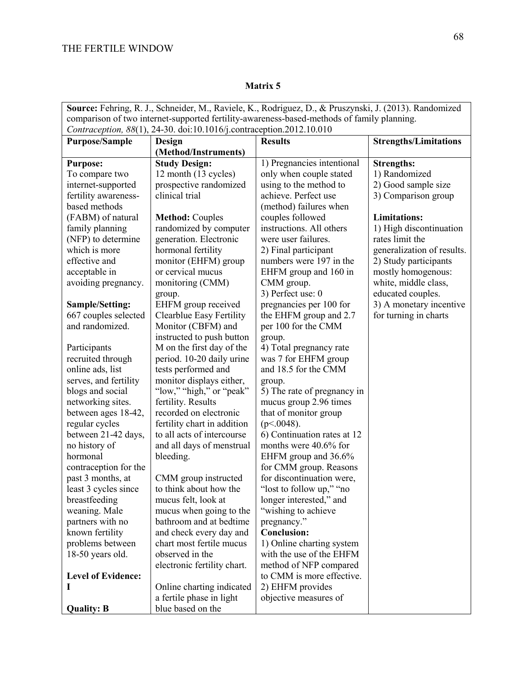|                                                                                            | Source: Fehring, R. J., Schneider, M., Raviele, K., Rodriguez, D., & Pruszynski, J. (2013). Randomized |                             |                              |  |
|--------------------------------------------------------------------------------------------|--------------------------------------------------------------------------------------------------------|-----------------------------|------------------------------|--|
| comparison of two internet-supported fertility-awareness-based-methods of family planning. |                                                                                                        |                             |                              |  |
| Contraception, 88(1), 24-30. doi:10.1016/j.contraception.2012.10.010                       |                                                                                                        |                             |                              |  |
| <b>Purpose/Sample</b>                                                                      | Design                                                                                                 | <b>Results</b>              | <b>Strengths/Limitations</b> |  |
|                                                                                            | (Method/Instruments)                                                                                   |                             |                              |  |
| <b>Purpose:</b>                                                                            | <b>Study Design:</b>                                                                                   | 1) Pregnancies intentional  | <b>Strengths:</b>            |  |
| To compare two                                                                             | 12 month (13 cycles)                                                                                   | only when couple stated     | 1) Randomized                |  |
| internet-supported                                                                         | prospective randomized                                                                                 | using to the method to      | 2) Good sample size          |  |
| fertility awareness-                                                                       | clinical trial                                                                                         | achieve. Perfect use        | 3) Comparison group          |  |
| based methods                                                                              |                                                                                                        | (method) failures when      |                              |  |
| (FABM) of natural                                                                          | <b>Method: Couples</b>                                                                                 | couples followed            | <b>Limitations:</b>          |  |
| family planning                                                                            | randomized by computer                                                                                 | instructions. All others    | 1) High discontinuation      |  |
| (NFP) to determine                                                                         | generation. Electronic                                                                                 | were user failures.         | rates limit the              |  |
| which is more                                                                              | hormonal fertility                                                                                     | 2) Final participant        | generalization of results.   |  |
| effective and                                                                              | monitor (EHFM) group                                                                                   | numbers were 197 in the     | 2) Study participants        |  |
| acceptable in                                                                              | or cervical mucus                                                                                      | EHFM group and 160 in       | mostly homogenous:           |  |
| avoiding pregnancy.                                                                        | monitoring (CMM)                                                                                       | CMM group.                  | white, middle class,         |  |
|                                                                                            | group.                                                                                                 | 3) Perfect use: 0           | educated couples.            |  |
| Sample/Setting:                                                                            | EHFM group received                                                                                    | pregnancies per 100 for     | 3) A monetary incentive      |  |
| 667 couples selected                                                                       | Clearblue Easy Fertility                                                                               | the EHFM group and 2.7      | for turning in charts        |  |
| and randomized.                                                                            | Monitor (CBFM) and                                                                                     | per 100 for the CMM         |                              |  |
|                                                                                            | instructed to push button                                                                              | group.                      |                              |  |
| Participants                                                                               | M on the first day of the                                                                              | 4) Total pregnancy rate     |                              |  |
| recruited through                                                                          | period. 10-20 daily urine                                                                              | was 7 for EHFM group        |                              |  |
| online ads, list                                                                           | tests performed and                                                                                    | and 18.5 for the CMM        |                              |  |
| serves, and fertility                                                                      | monitor displays either,                                                                               | group.                      |                              |  |
| blogs and social                                                                           | "low," "high," or "peak"                                                                               | 5) The rate of pregnancy in |                              |  |
| networking sites.                                                                          | fertility. Results                                                                                     | mucus group 2.96 times      |                              |  |
| between ages 18-42,                                                                        | recorded on electronic                                                                                 | that of monitor group       |                              |  |
| regular cycles                                                                             | fertility chart in addition                                                                            | $(p<.0048)$ .               |                              |  |
| between 21-42 days,                                                                        | to all acts of intercourse                                                                             | 6) Continuation rates at 12 |                              |  |
| no history of                                                                              | and all days of menstrual                                                                              | months were 40.6% for       |                              |  |
| hormonal                                                                                   | bleeding.                                                                                              | EHFM group and 36.6%        |                              |  |
| contraception for the                                                                      |                                                                                                        | for CMM group. Reasons      |                              |  |
| past 3 months, at                                                                          | CMM group instructed                                                                                   | for discontinuation were,   |                              |  |
| least 3 cycles since                                                                       | to think about how the                                                                                 | 'lost to follow up," "no    |                              |  |
| breastfeeding                                                                              | mucus felt, look at                                                                                    | longer interested," and     |                              |  |
| weaning. Male                                                                              | mucus when going to the                                                                                | "wishing to achieve"        |                              |  |
| partners with no                                                                           | bathroom and at bedtime                                                                                | pregnancy."                 |                              |  |
| known fertility                                                                            | and check every day and                                                                                | <b>Conclusion:</b>          |                              |  |
| problems between                                                                           | chart most fertile mucus                                                                               | 1) Online charting system   |                              |  |
| 18-50 years old.                                                                           | observed in the                                                                                        | with the use of the EHFM    |                              |  |
|                                                                                            | electronic fertility chart.                                                                            | method of NFP compared      |                              |  |
| <b>Level of Evidence:</b>                                                                  |                                                                                                        | to CMM is more effective.   |                              |  |
| L                                                                                          | Online charting indicated                                                                              | 2) EHFM provides            |                              |  |
|                                                                                            | a fertile phase in light                                                                               | objective measures of       |                              |  |
| <b>Quality: B</b>                                                                          | blue based on the                                                                                      |                             |                              |  |

### **Matrix 5**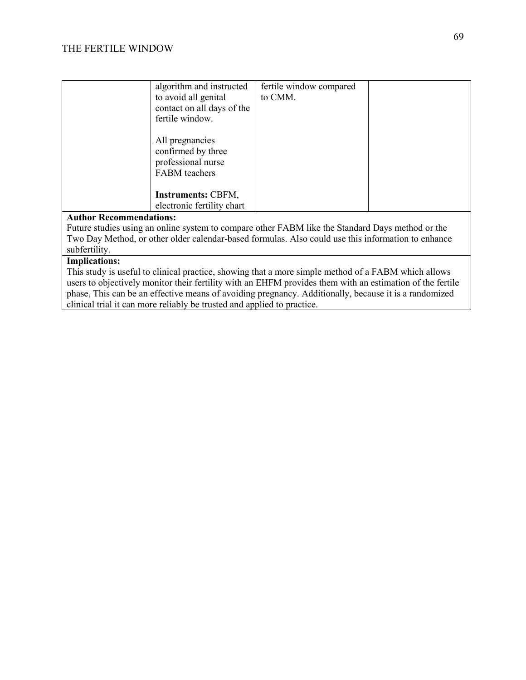| algorithm and instructed<br>to avoid all genital<br>contact on all days of the<br>fertile window. | fertile window compared<br>to CMM. |  |
|---------------------------------------------------------------------------------------------------|------------------------------------|--|
| All pregnancies<br>confirmed by three<br>professional nurse<br>FABM teachers                      |                                    |  |
| <b>Instruments: CBFM,</b><br>electronic fertility chart                                           |                                    |  |

### **Author Recommendations:**

Future studies using an online system to compare other FABM like the Standard Days method or the Two Day Method, or other older calendar-based formulas. Also could use this information to enhance subfertility.

# **Implications:**

This study is useful to clinical practice, showing that a more simple method of a FABM which allows users to objectively monitor their fertility with an EHFM provides them with an estimation of the fertile phase, This can be an effective means of avoiding pregnancy. Additionally, because it is a randomized clinical trial it can more reliably be trusted and applied to practice.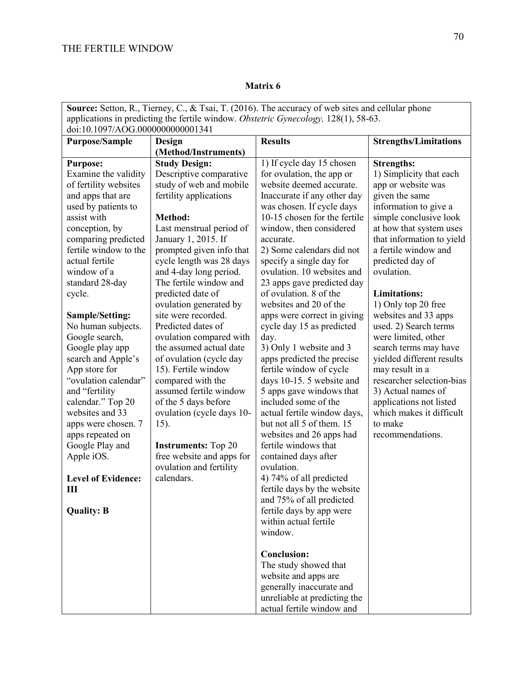### **Matrix 6**

| Source: Setton, R., Tierney, C., & Tsai, T. (2016). The accuracy of web sites and cellular phone |                                                    |                                                       |                                              |  |
|--------------------------------------------------------------------------------------------------|----------------------------------------------------|-------------------------------------------------------|----------------------------------------------|--|
| applications in predicting the fertile window. Obstetric Gynecology, 128(1), 58-63.              |                                                    |                                                       |                                              |  |
| doi:10.1097/AOG.0000000000001341                                                                 |                                                    |                                                       |                                              |  |
| <b>Purpose/Sample</b>                                                                            | Design                                             | <b>Results</b>                                        | <b>Strengths/Limitations</b>                 |  |
|                                                                                                  | (Method/Instruments)                               |                                                       |                                              |  |
| <b>Purpose:</b>                                                                                  | <b>Study Design:</b>                               | 1) If cycle day 15 chosen                             | <b>Strengths:</b>                            |  |
| Examine the validity                                                                             | Descriptive comparative                            | for ovulation, the app or                             | 1) Simplicity that each                      |  |
| of fertility websites                                                                            | study of web and mobile                            | website deemed accurate.                              | app or website was                           |  |
| and apps that are                                                                                | fertility applications                             | Inaccurate if any other day                           | given the same                               |  |
| used by patients to                                                                              |                                                    | was chosen. If cycle days                             | information to give a                        |  |
| assist with                                                                                      | Method:                                            | 10-15 chosen for the fertile                          | simple conclusive look                       |  |
| conception, by                                                                                   | Last menstrual period of                           | window, then considered                               | at how that system uses                      |  |
| comparing predicted                                                                              | January 1, 2015. If                                | accurate.                                             | that information to yield                    |  |
| fertile window to the                                                                            | prompted given info that                           | 2) Some calendars did not                             | a fertile window and                         |  |
| actual fertile                                                                                   | cycle length was 28 days                           | specify a single day for                              | predicted day of                             |  |
| window of a                                                                                      | and 4-day long period.                             | ovulation. 10 websites and                            | ovulation.                                   |  |
| standard 28-day                                                                                  | The fertile window and                             | 23 apps gave predicted day                            |                                              |  |
| cycle.                                                                                           | predicted date of                                  | of ovulation. 8 of the                                | <b>Limitations:</b>                          |  |
|                                                                                                  | ovulation generated by                             | websites and 20 of the                                | 1) Only top 20 free                          |  |
| <b>Sample/Setting:</b>                                                                           | site were recorded.                                | apps were correct in giving                           | websites and 33 apps                         |  |
| No human subjects.                                                                               | Predicted dates of                                 | cycle day 15 as predicted                             | used. 2) Search terms                        |  |
| Google search,                                                                                   | ovulation compared with<br>the assumed actual date | day.                                                  | were limited, other                          |  |
| Google play app                                                                                  |                                                    | 3) Only 1 website and 3                               | search terms may have                        |  |
| search and Apple's                                                                               | of ovulation (cycle day                            | apps predicted the precise                            | yielded different results                    |  |
| App store for<br>"ovulation calendar"                                                            | 15). Fertile window                                | fertile window of cycle                               | may result in a<br>researcher selection-bias |  |
|                                                                                                  | compared with the<br>assumed fertile window        | days 10-15. 5 website and<br>5 apps gave windows that | 3) Actual names of                           |  |
| and "fertility<br>calendar." Top 20                                                              | of the 5 days before                               | included some of the                                  | applications not listed                      |  |
| websites and 33                                                                                  | ovulation (cycle days 10-                          | actual fertile window days,                           | which makes it difficult                     |  |
| apps were chosen. 7                                                                              | 15).                                               | but not all 5 of them. 15                             | to make                                      |  |
| apps repeated on                                                                                 |                                                    | websites and 26 apps had                              | recommendations.                             |  |
| Google Play and                                                                                  | <b>Instruments:</b> Top 20                         | fertile windows that                                  |                                              |  |
| Apple iOS.                                                                                       | free website and apps for                          | contained days after                                  |                                              |  |
|                                                                                                  | ovulation and fertility                            | ovulation.                                            |                                              |  |
| <b>Level of Evidence:</b>                                                                        | calendars.                                         | 4) 74% of all predicted                               |                                              |  |
| ш                                                                                                |                                                    | fertile days by the website                           |                                              |  |
|                                                                                                  |                                                    | and 75% of all predicted                              |                                              |  |
| <b>Quality: B</b>                                                                                |                                                    | fertile days by app were                              |                                              |  |
|                                                                                                  |                                                    | within actual fertile                                 |                                              |  |
|                                                                                                  |                                                    | window.                                               |                                              |  |
|                                                                                                  |                                                    |                                                       |                                              |  |
|                                                                                                  |                                                    | <b>Conclusion:</b>                                    |                                              |  |
|                                                                                                  |                                                    | The study showed that                                 |                                              |  |
|                                                                                                  |                                                    | website and apps are                                  |                                              |  |
|                                                                                                  |                                                    | generally inaccurate and                              |                                              |  |
|                                                                                                  |                                                    | unreliable at predicting the                          |                                              |  |
|                                                                                                  |                                                    | actual fertile window and                             |                                              |  |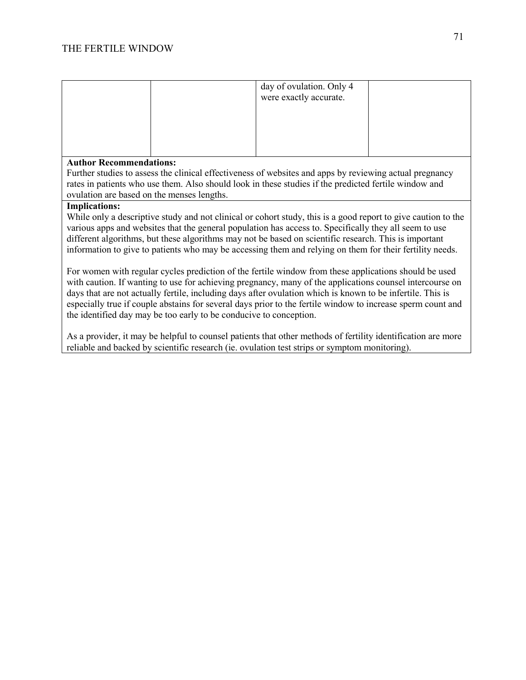|                                |  | day of ovulation. Only 4<br>were exactly accurate. |  |
|--------------------------------|--|----------------------------------------------------|--|
| <b>Author Recommendations:</b> |  |                                                    |  |

Further studies to assess the clinical effectiveness of websites and apps by reviewing actual pregnancy rates in patients who use them. Also should look in these studies if the predicted fertile window and ovulation are based on the menses lengths.

### **Implications:**

While only a descriptive study and not clinical or cohort study, this is a good report to give caution to the various apps and websites that the general population has access to. Specifically they all seem to use different algorithms, but these algorithms may not be based on scientific research. This is important information to give to patients who may be accessing them and relying on them for their fertility needs.

For women with regular cycles prediction of the fertile window from these applications should be used with caution. If wanting to use for achieving pregnancy, many of the applications counsel intercourse on days that are not actually fertile, including days after ovulation which is known to be infertile. This is especially true if couple abstains for several days prior to the fertile window to increase sperm count and the identified day may be too early to be conducive to conception.

As a provider, it may be helpful to counsel patients that other methods of fertility identification are more reliable and backed by scientific research (ie. ovulation test strips or symptom monitoring).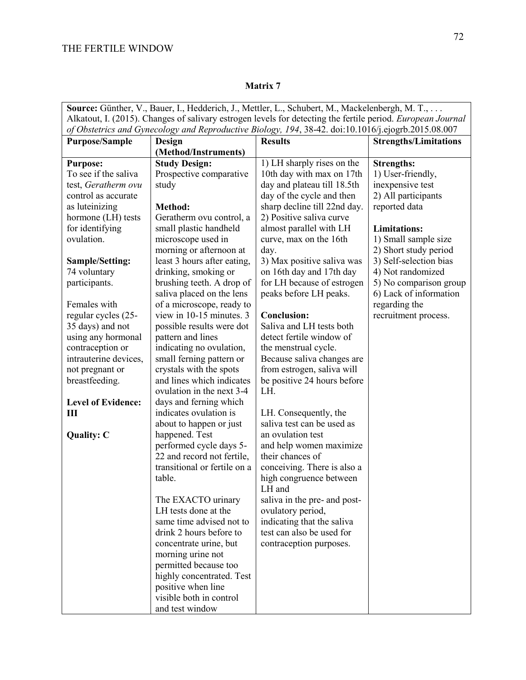|                                                                                                                    | Source: Günther, V., Bauer, I., Hedderich, J., Mettler, L., Schubert, M., Mackelenbergh, M. T., |                                   |                              |  |
|--------------------------------------------------------------------------------------------------------------------|-------------------------------------------------------------------------------------------------|-----------------------------------|------------------------------|--|
| Alkatout, I. (2015). Changes of salivary estrogen levels for detecting the fertile period. <i>European Journal</i> |                                                                                                 |                                   |                              |  |
| of Obstetrics and Gynecology and Reproductive Biology, 194, 38-42. doi:10.1016/j.ejogrb.2015.08.007                |                                                                                                 |                                   |                              |  |
| <b>Purpose/Sample</b>                                                                                              | Design                                                                                          | <b>Results</b>                    | <b>Strengths/Limitations</b> |  |
|                                                                                                                    | (Method/Instruments)                                                                            |                                   |                              |  |
| <b>Purpose:</b>                                                                                                    | <b>Study Design:</b>                                                                            | 1) LH sharply rises on the        | <b>Strengths:</b>            |  |
| To see if the saliva                                                                                               | Prospective comparative                                                                         | 10th day with max on 17th         | 1) User-friendly,            |  |
| test, Geratherm ovu                                                                                                | study                                                                                           | day and plateau till 18.5th       | inexpensive test             |  |
| control as accurate                                                                                                |                                                                                                 | day of the cycle and then         | 2) All participants          |  |
| as luteinizing                                                                                                     | Method:                                                                                         | sharp decline till 22nd day.      | reported data                |  |
| hormone (LH) tests                                                                                                 | Geratherm ovu control, a                                                                        | 2) Positive saliva curve          |                              |  |
| for identifying                                                                                                    | small plastic handheld                                                                          | almost parallel with LH           | <b>Limitations:</b>          |  |
| ovulation.                                                                                                         | microscope used in                                                                              | curve, max on the 16th            | 1) Small sample size         |  |
|                                                                                                                    | morning or afternoon at                                                                         | day.                              | 2) Short study period        |  |
| <b>Sample/Setting:</b>                                                                                             | least 3 hours after eating,                                                                     | 3) Max positive saliva was        | 3) Self-selection bias       |  |
| 74 voluntary                                                                                                       | drinking, smoking or                                                                            | on 16th day and 17th day          | 4) Not randomized            |  |
| participants.                                                                                                      | brushing teeth. A drop of                                                                       | for LH because of estrogen        | 5) No comparison group       |  |
|                                                                                                                    | saliva placed on the lens                                                                       | peaks before LH peaks.            | 6) Lack of information       |  |
| Females with                                                                                                       | of a microscope, ready to                                                                       |                                   | regarding the                |  |
| regular cycles (25-                                                                                                | view in 10-15 minutes. 3                                                                        | <b>Conclusion:</b>                | recruitment process.         |  |
| 35 days) and not                                                                                                   | possible results were dot                                                                       | Saliva and LH tests both          |                              |  |
| using any hormonal                                                                                                 | pattern and lines                                                                               | detect fertile window of          |                              |  |
| contraception or                                                                                                   | indicating no ovulation,                                                                        | the menstrual cycle.              |                              |  |
| intrauterine devices,                                                                                              | small ferning pattern or                                                                        | Because saliva changes are        |                              |  |
| not pregnant or                                                                                                    | crystals with the spots                                                                         | from estrogen, saliva will        |                              |  |
| breastfeeding.                                                                                                     | and lines which indicates                                                                       | be positive 24 hours before       |                              |  |
|                                                                                                                    | ovulation in the next 3-4                                                                       | LH.                               |                              |  |
| <b>Level of Evidence:</b>                                                                                          | days and ferning which                                                                          |                                   |                              |  |
| Ш                                                                                                                  | indicates ovulation is                                                                          | LH. Consequently, the             |                              |  |
|                                                                                                                    | about to happen or just                                                                         | saliva test can be used as        |                              |  |
| <b>Quality: C</b>                                                                                                  | happened. Test                                                                                  | an ovulation test                 |                              |  |
|                                                                                                                    | performed cycle days 5-                                                                         | and help women maximize           |                              |  |
|                                                                                                                    | 22 and record not fertile,                                                                      | their chances of                  |                              |  |
|                                                                                                                    | transitional or fertile on a                                                                    | conceiving. There is also a       |                              |  |
|                                                                                                                    | table.                                                                                          | high congruence between<br>LH and |                              |  |
|                                                                                                                    | The EXACTO urinary                                                                              | saliva in the pre- and post-      |                              |  |
|                                                                                                                    | LH tests done at the                                                                            | ovulatory period,                 |                              |  |
|                                                                                                                    | same time advised not to                                                                        | indicating that the saliva        |                              |  |
|                                                                                                                    | drink 2 hours before to                                                                         | test can also be used for         |                              |  |
|                                                                                                                    | concentrate urine, but                                                                          | contraception purposes.           |                              |  |
|                                                                                                                    | morning urine not                                                                               |                                   |                              |  |
|                                                                                                                    | permitted because too                                                                           |                                   |                              |  |
|                                                                                                                    | highly concentrated. Test                                                                       |                                   |                              |  |
|                                                                                                                    | positive when line                                                                              |                                   |                              |  |
|                                                                                                                    | visible both in control                                                                         |                                   |                              |  |
|                                                                                                                    | and test window                                                                                 |                                   |                              |  |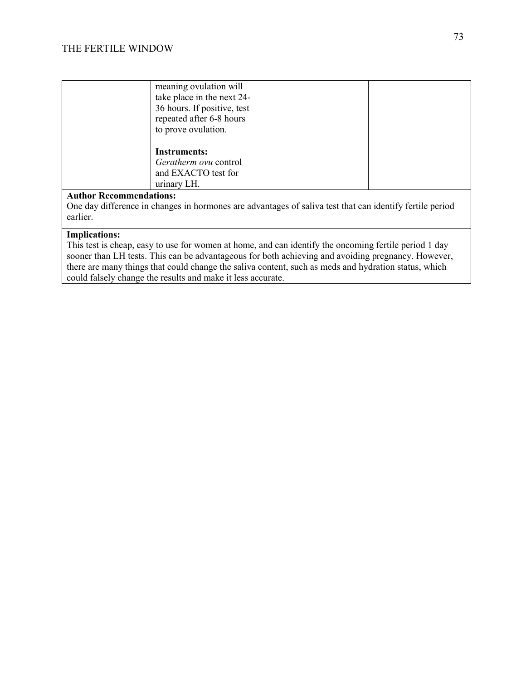| meaning ovulation will<br>take place in the next 24-<br>36 hours. If positive, test<br>repeated after 6-8 hours<br>to prove ovulation. |  |
|----------------------------------------------------------------------------------------------------------------------------------------|--|
| <b>Instruments:</b><br>Geratherm ovu control<br>and EXACTO test for<br>urinary LH.<br>$\lambda$ $\lambda$<br>$\blacksquare$            |  |

One day difference in changes in hormones are advantages of saliva test that can identify fertile period earlier.

#### **Implications:**

This test is cheap, easy to use for women at home, and can identify the oncoming fertile period 1 day sooner than LH tests. This can be advantageous for both achieving and avoiding pregnancy. However, there are many things that could change the saliva content, such as meds and hydration status, which could falsely change the results and make it less accurate.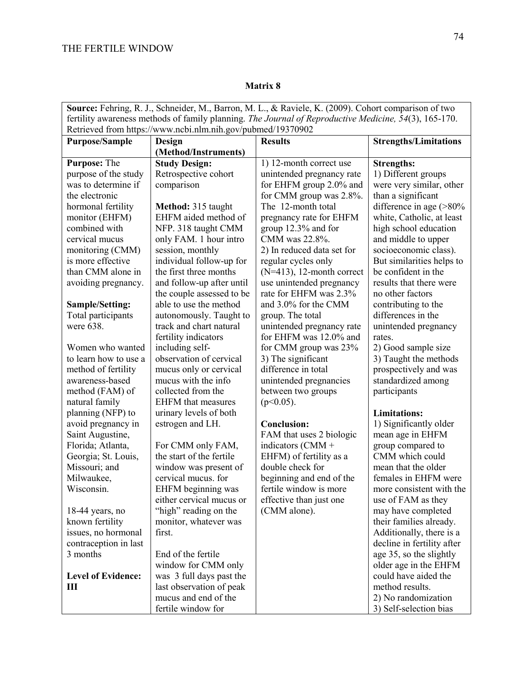|                                                                                                       |                                               | Source: Fehring, R. J., Schneider, M., Barron, M. L., & Raviele, K. (2009). Cohort comparison of two |                                            |
|-------------------------------------------------------------------------------------------------------|-----------------------------------------------|------------------------------------------------------------------------------------------------------|--------------------------------------------|
| fertility awareness methods of family planning. The Journal of Reproductive Medicine, 54(3), 165-170. |                                               |                                                                                                      |                                            |
| Retrieved from https://www.ncbi.nlm.nih.gov/pubmed/19370902                                           |                                               |                                                                                                      |                                            |
| <b>Purpose/Sample</b>                                                                                 | Design                                        | <b>Results</b>                                                                                       | <b>Strengths/Limitations</b>               |
|                                                                                                       | (Method/Instruments)                          |                                                                                                      |                                            |
| Purpose: The                                                                                          | <b>Study Design:</b>                          | 1) 12-month correct use                                                                              | <b>Strengths:</b>                          |
| purpose of the study                                                                                  | Retrospective cohort                          | unintended pregnancy rate                                                                            | 1) Different groups                        |
| was to determine if                                                                                   | comparison                                    | for EHFM group 2.0% and                                                                              | were very similar, other                   |
| the electronic                                                                                        |                                               | for CMM group was 2.8%.                                                                              | than a significant                         |
| hormonal fertility                                                                                    | Method: 315 taught                            | The 12-month total                                                                                   | difference in age $($ >80%                 |
| monitor (EHFM)                                                                                        | EHFM aided method of                          | pregnancy rate for EHFM                                                                              | white, Catholic, at least                  |
| combined with                                                                                         | NFP. 318 taught CMM                           | group 12.3% and for                                                                                  | high school education                      |
| cervical mucus                                                                                        | only FAM. 1 hour intro                        | CMM was 22.8%.                                                                                       | and middle to upper                        |
| monitoring (CMM)                                                                                      | session, monthly                              | 2) In reduced data set for                                                                           | socioeconomic class).                      |
| is more effective                                                                                     | individual follow-up for                      | regular cycles only                                                                                  | But similarities helps to                  |
| than CMM alone in                                                                                     | the first three months                        | $(N=413)$ , 12-month correct                                                                         | be confident in the                        |
| avoiding pregnancy.                                                                                   | and follow-up after until                     | use unintended pregnancy                                                                             | results that there were                    |
|                                                                                                       | the couple assessed to be                     | rate for EHFM was 2.3%                                                                               | no other factors                           |
| Sample/Setting:                                                                                       | able to use the method                        | and 3.0% for the CMM                                                                                 | contributing to the                        |
| Total participants                                                                                    | autonomously. Taught to                       | group. The total                                                                                     | differences in the                         |
| were 638.                                                                                             | track and chart natural                       | unintended pregnancy rate                                                                            | unintended pregnancy                       |
|                                                                                                       | fertility indicators                          | for EHFM was 12.0% and                                                                               | rates.                                     |
| Women who wanted                                                                                      | including self-                               | for CMM group was 23%                                                                                | 2) Good sample size                        |
| to learn how to use a                                                                                 | observation of cervical                       | 3) The significant                                                                                   | 3) Taught the methods                      |
| method of fertility                                                                                   | mucus only or cervical                        | difference in total                                                                                  | prospectively and was                      |
| awareness-based                                                                                       | mucus with the info                           | unintended pregnancies                                                                               | standardized among                         |
| method (FAM) of                                                                                       | collected from the                            | between two groups                                                                                   | participants                               |
| natural family<br>planning (NFP) to                                                                   | <b>EHFM</b> that measures                     | $(p<0.05)$ .                                                                                         | <b>Limitations:</b>                        |
|                                                                                                       | urinary levels of both                        | <b>Conclusion:</b>                                                                                   |                                            |
| avoid pregnancy in                                                                                    | estrogen and LH.                              | FAM that uses 2 biologic                                                                             | 1) Significantly older<br>mean age in EHFM |
| Saint Augustine,                                                                                      |                                               |                                                                                                      | group compared to                          |
| Florida; Atlanta,<br>Georgia; St. Louis,                                                              | For CMM only FAM,<br>the start of the fertile | indicators (CMM +<br>EHFM) of fertility as a                                                         | CMM which could                            |
| Missouri; and                                                                                         | window was present of                         | double check for                                                                                     | mean that the older                        |
| Milwaukee,                                                                                            | cervical mucus. for                           | beginning and end of the                                                                             | females in EHFM were                       |
| Wisconsin.                                                                                            | EHFM beginning was                            | fertile window is more                                                                               | more consistent with the                   |
|                                                                                                       | either cervical mucus or                      | effective than just one                                                                              | use of FAM as they                         |
| $18-44$ years, no                                                                                     | "high" reading on the                         | (CMM alone).                                                                                         | may have completed                         |
| known fertility                                                                                       | monitor, whatever was                         |                                                                                                      | their families already.                    |
| issues, no hormonal                                                                                   | first.                                        |                                                                                                      | Additionally, there is a                   |
| contraception in last                                                                                 |                                               |                                                                                                      | decline in fertility after                 |
| 3 months                                                                                              | End of the fertile                            |                                                                                                      | age 35, so the slightly                    |
|                                                                                                       | window for CMM only                           |                                                                                                      | older age in the EHFM                      |
| <b>Level of Evidence:</b>                                                                             | was 3 full days past the                      |                                                                                                      | could have aided the                       |
| Ш                                                                                                     | last observation of peak                      |                                                                                                      | method results.                            |
|                                                                                                       | mucus and end of the                          |                                                                                                      | 2) No randomization                        |
|                                                                                                       | fertile window for                            |                                                                                                      | 3) Self-selection bias                     |
|                                                                                                       |                                               |                                                                                                      |                                            |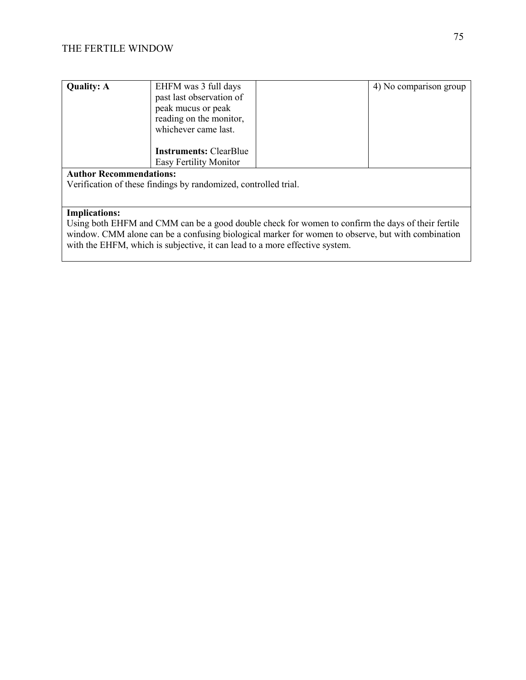| <b>Quality: A</b>              | EHFM was 3 full days<br>past last observation of<br>peak mucus or peak<br>reading on the monitor,<br>whichever came last. |  | 4) No comparison group |
|--------------------------------|---------------------------------------------------------------------------------------------------------------------------|--|------------------------|
|                                | <b>Instruments: ClearBlue</b><br><b>Easy Fertility Monitor</b>                                                            |  |                        |
| <b>Author Recommendations:</b> |                                                                                                                           |  |                        |
|                                | Verification of these findings by randomized, controlled trial.                                                           |  |                        |

## **Implications:**

Using both EHFM and CMM can be a good double check for women to confirm the days of their fertile window. CMM alone can be a confusing biological marker for women to observe, but with combination with the EHFM, which is subjective, it can lead to a more effective system.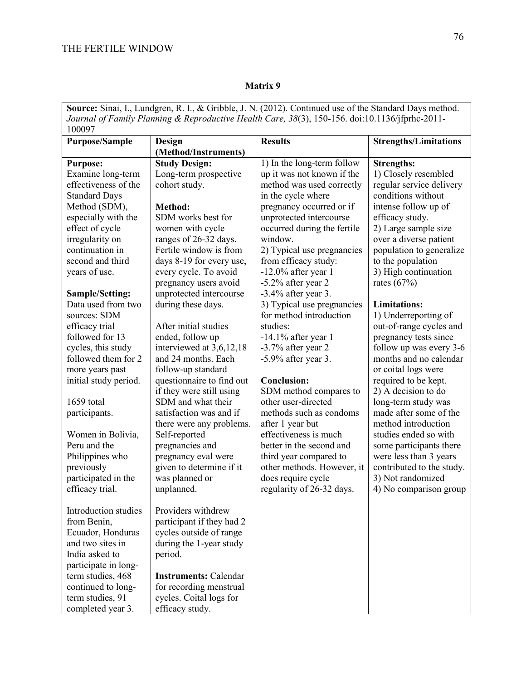| Source: Sinai, I., Lundgren, R. I., & Gribble, J. N. (2012). Continued use of the Standard Days method. |                              |                             |                              |
|---------------------------------------------------------------------------------------------------------|------------------------------|-----------------------------|------------------------------|
| Journal of Family Planning & Reproductive Health Care, 38(3), 150-156. doi:10.1136/jfprhc-2011-         |                              |                             |                              |
| 100097                                                                                                  |                              |                             |                              |
| <b>Purpose/Sample</b>                                                                                   | Design                       | <b>Results</b>              | <b>Strengths/Limitations</b> |
|                                                                                                         | (Method/Instruments)         |                             |                              |
| <b>Purpose:</b>                                                                                         | <b>Study Design:</b>         | 1) In the long-term follow  | <b>Strengths:</b>            |
| Examine long-term                                                                                       | Long-term prospective        | up it was not known if the  | 1) Closely resembled         |
| effectiveness of the                                                                                    | cohort study.                | method was used correctly   | regular service delivery     |
| <b>Standard Days</b>                                                                                    |                              | in the cycle where          | conditions without           |
| Method (SDM),                                                                                           | Method:                      | pregnancy occurred or if    | intense follow up of         |
| especially with the                                                                                     | SDM works best for           | unprotected intercourse     | efficacy study.              |
| effect of cycle                                                                                         | women with cycle             | occurred during the fertile | 2) Large sample size         |
| irregularity on                                                                                         | ranges of 26-32 days.        | window.                     | over a diverse patient       |
| continuation in                                                                                         | Fertile window is from       | 2) Typical use pregnancies  | population to generalize     |
| second and third                                                                                        | days 8-19 for every use,     | from efficacy study:        | to the population            |
| years of use.                                                                                           | every cycle. To avoid        | $-12.0\%$ after year 1      | 3) High continuation         |
|                                                                                                         | pregnancy users avoid        | -5.2% after year 2          | rates $(67%)$                |
| Sample/Setting:                                                                                         | unprotected intercourse      | $-3.4\%$ after year 3.      |                              |
| Data used from two                                                                                      | during these days.           | 3) Typical use pregnancies  | <b>Limitations:</b>          |
| sources: SDM                                                                                            |                              | for method introduction     | 1) Underreporting of         |
| efficacy trial                                                                                          | After initial studies        | studies:                    | out-of-range cycles and      |
| followed for 13                                                                                         | ended, follow up             | $-14.1\%$ after year 1      | pregnancy tests since        |
| cycles, this study                                                                                      | interviewed at 3,6,12,18     | $-3.7\%$ after year 2       | follow up was every 3-6      |
| followed them for 2                                                                                     | and 24 months. Each          | $-5.9\%$ after year 3.      | months and no calendar       |
| more years past                                                                                         | follow-up standard           |                             | or coital logs were          |
| initial study period.                                                                                   | questionnaire to find out    | <b>Conclusion:</b>          | required to be kept.         |
|                                                                                                         | if they were still using     | SDM method compares to      | 2) A decision to do          |
| 1659 total                                                                                              | SDM and what their           | other user-directed         | long-term study was          |
| participants.                                                                                           | satisfaction was and if      | methods such as condoms     | made after some of the       |
|                                                                                                         | there were any problems.     | after 1 year but            | method introduction          |
| Women in Bolivia,                                                                                       | Self-reported                | effectiveness is much       | studies ended so with        |
| Peru and the                                                                                            | pregnancies and              | better in the second and    | some participants there      |
| Philippines who                                                                                         | pregnancy eval were          | third year compared to      | were less than 3 years       |
| previously                                                                                              | given to determine if it     | other methods. However, it  | contributed to the study.    |
| participated in the                                                                                     | was planned or               | does require cycle          | 3) Not randomized            |
| efficacy trial.                                                                                         | unplanned.                   | regularity of 26-32 days.   | 4) No comparison group       |
|                                                                                                         |                              |                             |                              |
| Introduction studies                                                                                    | Providers withdrew           |                             |                              |
| from Benin,                                                                                             | participant if they had 2    |                             |                              |
| Ecuador, Honduras                                                                                       | cycles outside of range      |                             |                              |
| and two sites in                                                                                        | during the 1-year study      |                             |                              |
| India asked to                                                                                          | period.                      |                             |                              |
| participate in long-                                                                                    |                              |                             |                              |
| term studies, 468                                                                                       | <b>Instruments: Calendar</b> |                             |                              |
| continued to long-                                                                                      | for recording menstrual      |                             |                              |
| term studies, 91                                                                                        | cycles. Coital logs for      |                             |                              |
| completed year 3.                                                                                       | efficacy study.              |                             |                              |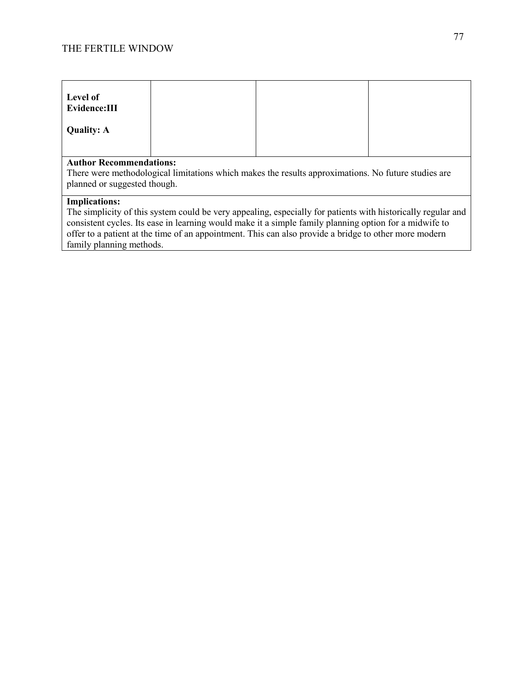| Level of<br>Evidence:III |  |  |  |
|--------------------------|--|--|--|
| <b>Quality: A</b>        |  |  |  |
| Author Recommendations.  |  |  |  |

#### **Author Recommendations:**

There were methodological limitations which makes the results approximations. No future studies are planned or suggested though.

## **Implications:**

The simplicity of this system could be very appealing, especially for patients with historically regular and consistent cycles. Its ease in learning would make it a simple family planning option for a midwife to offer to a patient at the time of an appointment. This can also provide a bridge to other more modern family planning methods.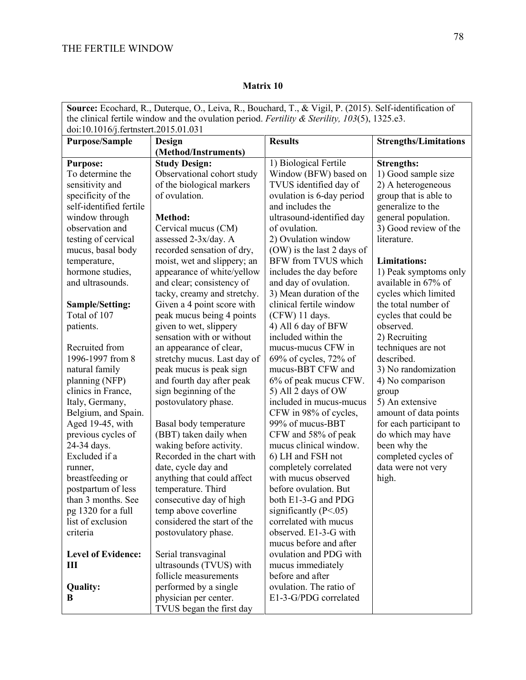|                                      | Source: Ecochard, R., Duterque, O., Leiva, R., Bouchard, T., & Vigil, P. (2015). Self-identification of |                            |                              |  |
|--------------------------------------|---------------------------------------------------------------------------------------------------------|----------------------------|------------------------------|--|
|                                      | the clinical fertile window and the ovulation period. Fertility & Sterility, $103(5)$ , 1325.e3.        |                            |                              |  |
| doi:10.1016/j.fertnstert.2015.01.031 |                                                                                                         |                            |                              |  |
| <b>Purpose/Sample</b>                | Design                                                                                                  | <b>Results</b>             | <b>Strengths/Limitations</b> |  |
|                                      | (Method/Instruments)                                                                                    |                            |                              |  |
| <b>Purpose:</b>                      | <b>Study Design:</b>                                                                                    | 1) Biological Fertile      | <b>Strengths:</b>            |  |
| To determine the                     | Observational cohort study                                                                              | Window (BFW) based on      | 1) Good sample size          |  |
| sensitivity and                      | of the biological markers                                                                               | TVUS identified day of     | 2) A heterogeneous           |  |
| specificity of the                   | of ovulation.                                                                                           | ovulation is 6-day period  | group that is able to        |  |
| self-identified fertile              |                                                                                                         | and includes the           | generalize to the            |  |
| window through                       | Method:                                                                                                 | ultrasound-identified day  | general population.          |  |
| observation and                      | Cervical mucus (CM)                                                                                     | of ovulation.              | 3) Good review of the        |  |
| testing of cervical                  | assessed 2-3x/day. A                                                                                    | 2) Ovulation window        | literature.                  |  |
| mucus, basal body                    | recorded sensation of dry,                                                                              | (OW) is the last 2 days of |                              |  |
| temperature,                         | moist, wet and slippery; an                                                                             | BFW from TVUS which        | <b>Limitations:</b>          |  |
| hormone studies,                     | appearance of white/yellow                                                                              | includes the day before    | 1) Peak symptoms only        |  |
| and ultrasounds.                     | and clear; consistency of                                                                               | and day of ovulation.      | available in 67% of          |  |
|                                      | tacky, creamy and stretchy.                                                                             | 3) Mean duration of the    | cycles which limited         |  |
| Sample/Setting:                      | Given a 4 point score with                                                                              | clinical fertile window    | the total number of          |  |
| Total of 107                         | peak mucus being 4 points                                                                               | (CFW) 11 days.             | cycles that could be         |  |
| patients.                            | given to wet, slippery                                                                                  | 4) All 6 day of BFW        | observed.                    |  |
|                                      | sensation with or without                                                                               | included within the        | 2) Recruiting                |  |
| Recruited from                       | an appearance of clear,                                                                                 | mucus-mucus CFW in         | techniques are not           |  |
| 1996-1997 from 8                     | stretchy mucus. Last day of                                                                             | $69\%$ of cycles, 72% of   | described.                   |  |
| natural family                       | peak mucus is peak sign                                                                                 | mucus-BBT CFW and          | 3) No randomization          |  |
| planning (NFP)                       | and fourth day after peak                                                                               | 6% of peak mucus CFW.      | 4) No comparison             |  |
| clinics in France,                   | sign beginning of the                                                                                   | 5) All 2 days of OW        | group                        |  |
| Italy, Germany,                      | postovulatory phase.                                                                                    | included in mucus-mucus    | 5) An extensive              |  |
| Belgium, and Spain.                  |                                                                                                         | CFW in 98% of cycles,      | amount of data points        |  |
| Aged 19-45, with                     | Basal body temperature                                                                                  | 99% of mucus-BBT           | for each participant to      |  |
| previous cycles of                   | (BBT) taken daily when                                                                                  | CFW and 58% of peak        | do which may have            |  |
| 24-34 days.                          | waking before activity.                                                                                 | mucus clinical window.     | been why the                 |  |
| Excluded if a                        | Recorded in the chart with                                                                              | 6) LH and FSH not          | completed cycles of          |  |
| runner,                              | date, cycle day and                                                                                     | completely correlated      | data were not very           |  |
| breastfeeding or                     | anything that could affect                                                                              | with mucus observed        | high.                        |  |
| postpartum of less                   | temperature. Third                                                                                      | before ovulation. But      |                              |  |
| than 3 months. See                   | consecutive day of high                                                                                 | both E1-3-G and PDG        |                              |  |
| pg 1320 for a full                   | temp above coverline                                                                                    | significantly $(P<.05)$    |                              |  |
| list of exclusion                    | considered the start of the                                                                             | correlated with mucus      |                              |  |
| criteria                             | postovulatory phase.                                                                                    | observed. E1-3-G with      |                              |  |
|                                      |                                                                                                         | mucus before and after     |                              |  |
| <b>Level of Evidence:</b>            | Serial transvaginal                                                                                     | ovulation and PDG with     |                              |  |
| Ш                                    | ultrasounds (TVUS) with                                                                                 | mucus immediately          |                              |  |
|                                      | follicle measurements                                                                                   | before and after           |                              |  |
| Quality:                             | performed by a single                                                                                   | ovulation. The ratio of    |                              |  |
| B                                    | physician per center.<br>TVUS began the first day                                                       | E1-3-G/PDG correlated      |                              |  |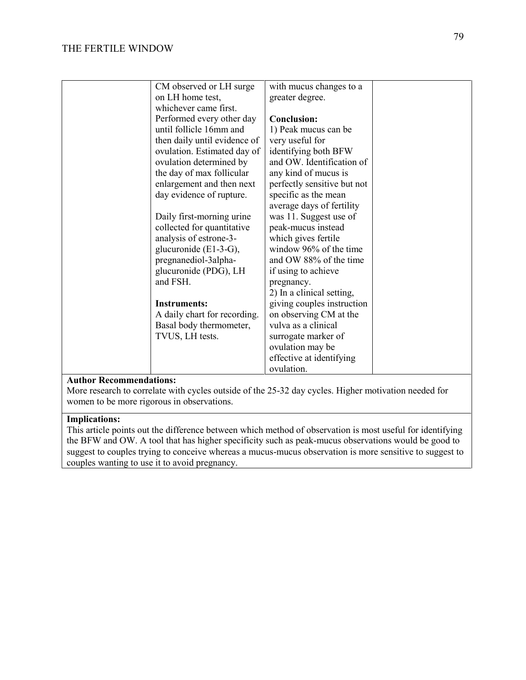| CM observed or LH surge      | with mucus changes to a     |  |
|------------------------------|-----------------------------|--|
| on LH home test,             | greater degree.             |  |
| whichever came first.        |                             |  |
| Performed every other day    | <b>Conclusion:</b>          |  |
| until follicle 16mm and      | 1) Peak mucus can be        |  |
| then daily until evidence of | very useful for             |  |
| ovulation. Estimated day of  | identifying both BFW        |  |
| ovulation determined by      | and OW. Identification of   |  |
| the day of max follicular    | any kind of mucus is        |  |
| enlargement and then next    | perfectly sensitive but not |  |
| day evidence of rupture.     | specific as the mean        |  |
|                              | average days of fertility   |  |
| Daily first-morning urine    | was 11. Suggest use of      |  |
| collected for quantitative   | peak-mucus instead          |  |
| analysis of estrone-3-       | which gives fertile         |  |
| glucuronide $(E1-3-G)$ ,     | window 96% of the time      |  |
| pregnanediol-3alpha-         | and OW 88% of the time      |  |
| glucuronide (PDG), LH        | if using to achieve         |  |
| and FSH.                     | pregnancy.                  |  |
|                              | 2) In a clinical setting,   |  |
| <b>Instruments:</b>          | giving couples instruction  |  |
| A daily chart for recording. | on observing CM at the      |  |
| Basal body thermometer,      | vulva as a clinical         |  |
| TVUS, LH tests.              | surrogate marker of         |  |
|                              | ovulation may be            |  |
|                              | effective at identifying    |  |
|                              | ovulation.                  |  |
|                              |                             |  |

More research to correlate with cycles outside of the 25-32 day cycles. Higher motivation needed for women to be more rigorous in observations.

#### **Implications:**

This article points out the difference between which method of observation is most useful for identifying the BFW and OW. A tool that has higher specificity such as peak-mucus observations would be good to suggest to couples trying to conceive whereas a mucus-mucus observation is more sensitive to suggest to couples wanting to use it to avoid pregnancy.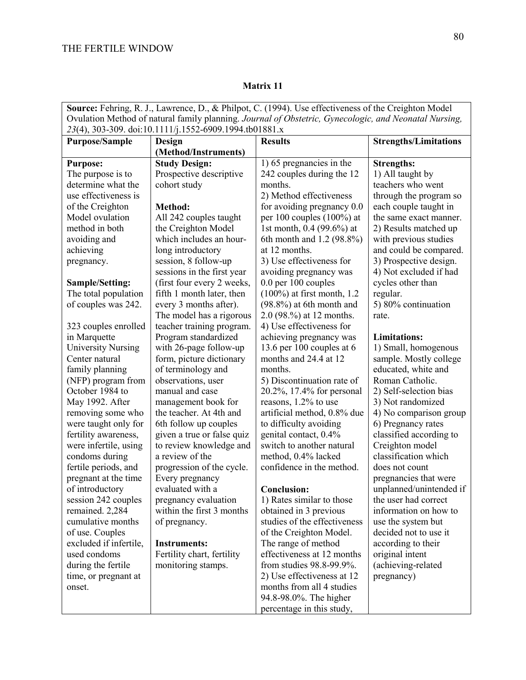| Source: Fehring, R. J., Lawrence, D., & Philpot, C. (1994). Use effectiveness of the Creighton Model  |                                                   |                                                        |                                               |  |
|-------------------------------------------------------------------------------------------------------|---------------------------------------------------|--------------------------------------------------------|-----------------------------------------------|--|
| Ovulation Method of natural family planning. Journal of Obstetric, Gynecologic, and Neonatal Nursing, |                                                   |                                                        |                                               |  |
| 23(4), 303-309. doi:10.1111/j.1552-6909.1994.tb01881.x                                                |                                                   |                                                        |                                               |  |
| <b>Purpose/Sample</b>                                                                                 | <b>Design</b>                                     | <b>Results</b>                                         | <b>Strengths/Limitations</b>                  |  |
|                                                                                                       | (Method/Instruments)                              |                                                        |                                               |  |
| <b>Purpose:</b>                                                                                       | <b>Study Design:</b>                              | 1) 65 pregnancies in the                               | <b>Strengths:</b>                             |  |
| The purpose is to                                                                                     | Prospective descriptive                           | 242 couples during the 12                              | 1) All taught by                              |  |
| determine what the                                                                                    | cohort study                                      | months.                                                | teachers who went                             |  |
| use effectiveness is                                                                                  |                                                   | 2) Method effectiveness                                | through the program so                        |  |
| of the Creighton                                                                                      | Method:                                           | for avoiding pregnancy 0.0                             | each couple taught in                         |  |
| Model ovulation                                                                                       | All 242 couples taught                            | per 100 couples $(100\%)$ at                           | the same exact manner.                        |  |
| method in both                                                                                        | the Creighton Model                               | 1st month, 0.4 (99.6%) at                              | 2) Results matched up                         |  |
| avoiding and                                                                                          | which includes an hour-                           | 6th month and 1.2 (98.8%)                              | with previous studies                         |  |
| achieving                                                                                             | long introductory                                 | at 12 months.                                          | and could be compared.                        |  |
| pregnancy.                                                                                            | session, 8 follow-up                              | 3) Use effectiveness for                               | 3) Prospective design.                        |  |
|                                                                                                       | sessions in the first year                        | avoiding pregnancy was                                 | 4) Not excluded if had                        |  |
| <b>Sample/Setting:</b>                                                                                | (first four every 2 weeks,                        | 0.0 per 100 couples                                    | cycles other than                             |  |
| The total population                                                                                  | fifth 1 month later, then                         | $(100\%)$ at first month, 1.2                          | regular.                                      |  |
| of couples was 242.                                                                                   | every 3 months after).                            | $(98.8\%)$ at 6th month and                            | 5) 80% continuation                           |  |
|                                                                                                       | The model has a rigorous                          | 2.0 (98.%) at 12 months.                               | rate.                                         |  |
| 323 couples enrolled                                                                                  | teacher training program.                         | 4) Use effectiveness for                               |                                               |  |
| in Marquette                                                                                          | Program standardized                              | achieving pregnancy was                                | <b>Limitations:</b>                           |  |
| <b>University Nursing</b>                                                                             | with 26-page follow-up                            | 13.6 per 100 couples at $6$                            | 1) Small, homogenous                          |  |
| Center natural                                                                                        | form, picture dictionary                          | months and 24.4 at 12                                  | sample. Mostly college                        |  |
| family planning                                                                                       | of terminology and                                | months.                                                | educated, white and                           |  |
| (NFP) program from                                                                                    | observations, user                                | 5) Discontinuation rate of                             | Roman Catholic.                               |  |
| October 1984 to                                                                                       | manual and case                                   | 20.2%, 17.4% for personal                              | 2) Self-selection bias                        |  |
| May 1992. After                                                                                       | management book for                               | reasons, 1.2% to use                                   | 3) Not randomized                             |  |
| removing some who                                                                                     | the teacher. At 4th and                           | artificial method, 0.8% due                            | 4) No comparison group                        |  |
| were taught only for                                                                                  | 6th follow up couples                             | to difficulty avoiding                                 | 6) Pregnancy rates                            |  |
| fertility awareness,                                                                                  | given a true or false quiz                        | genital contact, 0.4%                                  | classified according to                       |  |
| were infertile, using                                                                                 | to review knowledge and                           | switch to another natural                              | Creighton model                               |  |
| condoms during                                                                                        | a review of the                                   | method, 0.4% lacked                                    | classification which                          |  |
| fertile periods, and                                                                                  | progression of the cycle.                         | confidence in the method.                              | does not count                                |  |
| pregnant at the time                                                                                  | Every pregnancy                                   |                                                        | pregnancies that were                         |  |
| of introductory                                                                                       | evaluated with a                                  | <b>Conclusion:</b>                                     | unplanned/unintended if                       |  |
| session 242 couples                                                                                   | pregnancy evaluation<br>within the first 3 months | 1) Rates similar to those                              | the user had correct<br>information on how to |  |
| remained. 2,284<br>cumulative months                                                                  |                                                   | obtained in 3 previous<br>studies of the effectiveness |                                               |  |
| of use. Couples                                                                                       | of pregnancy.                                     |                                                        | use the system but<br>decided not to use it   |  |
| excluded if infertile,                                                                                | <b>Instruments:</b>                               | of the Creighton Model.                                | according to their                            |  |
| used condoms                                                                                          | Fertility chart, fertility                        | The range of method<br>effectiveness at 12 months      | original intent                               |  |
| during the fertile                                                                                    | monitoring stamps.                                | from studies 98.8-99.9%.                               | (achieving-related                            |  |
| time, or pregnant at                                                                                  |                                                   | 2) Use effectiveness at 12                             | pregnancy)                                    |  |
| onset.                                                                                                |                                                   | months from all 4 studies                              |                                               |  |
|                                                                                                       |                                                   | 94.8-98.0%. The higher                                 |                                               |  |
|                                                                                                       |                                                   | percentage in this study,                              |                                               |  |
|                                                                                                       |                                                   |                                                        |                                               |  |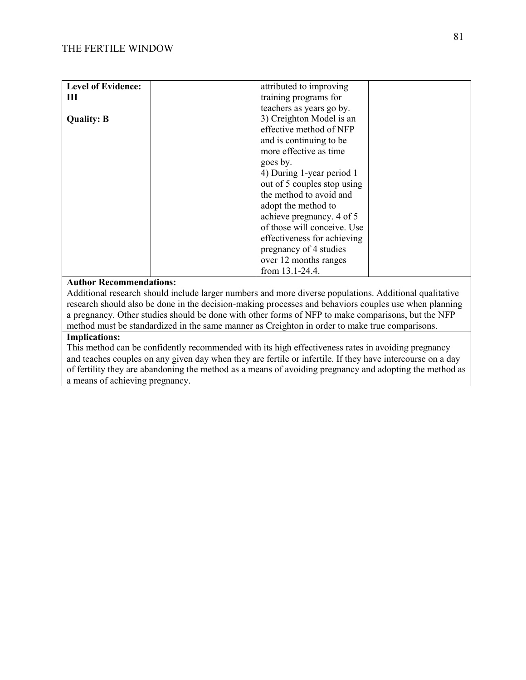| <b>Level of Evidence:</b> | attributed to improving     |
|---------------------------|-----------------------------|
| Ш                         | training programs for       |
|                           | teachers as years go by.    |
| <b>Quality: B</b>         | 3) Creighton Model is an    |
|                           | effective method of NFP     |
|                           | and is continuing to be     |
|                           | more effective as time      |
|                           | goes by.                    |
|                           | 4) During 1-year period 1   |
|                           | out of 5 couples stop using |
|                           | the method to avoid and     |
|                           | adopt the method to         |
|                           | achieve pregnancy. 4 of 5   |
|                           | of those will conceive. Use |
|                           | effectiveness for achieving |
|                           | pregnancy of 4 studies      |
|                           | over 12 months ranges       |
|                           | from 13.1-24.4.             |

Additional research should include larger numbers and more diverse populations. Additional qualitative research should also be done in the decision-making processes and behaviors couples use when planning a pregnancy. Other studies should be done with other forms of NFP to make comparisons, but the NFP method must be standardized in the same manner as Creighton in order to make true comparisons.

## **Implications:**

This method can be confidently recommended with its high effectiveness rates in avoiding pregnancy and teaches couples on any given day when they are fertile or infertile. If they have intercourse on a day of fertility they are abandoning the method as a means of avoiding pregnancy and adopting the method as a means of achieving pregnancy.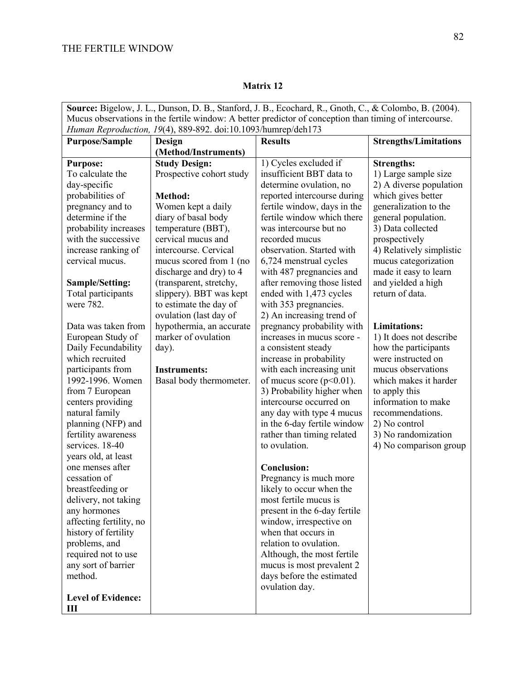| Source: Bigelow, J. L., Dunson, D. B., Stanford, J. B., Ecochard, R., Gnoth, C., & Colombo, B. (2004). |                                          |                                                      |                                    |
|--------------------------------------------------------------------------------------------------------|------------------------------------------|------------------------------------------------------|------------------------------------|
| Mucus observations in the fertile window: A better predictor of conception than timing of intercourse. |                                          |                                                      |                                    |
| Human Reproduction, 19(4), 889-892. doi:10.1093/humrep/deh173                                          |                                          |                                                      |                                    |
| <b>Purpose/Sample</b>                                                                                  | Design                                   | <b>Results</b>                                       | <b>Strengths/Limitations</b>       |
|                                                                                                        | (Method/Instruments)                     |                                                      |                                    |
| <b>Purpose:</b>                                                                                        | <b>Study Design:</b>                     | 1) Cycles excluded if                                | <b>Strengths:</b>                  |
| To calculate the                                                                                       | Prospective cohort study                 | insufficient BBT data to                             | 1) Large sample size               |
| day-specific                                                                                           |                                          | determine ovulation, no                              | 2) A diverse population            |
| probabilities of                                                                                       | Method:                                  | reported intercourse during                          | which gives better                 |
| pregnancy and to<br>determine if the                                                                   | Women kept a daily                       | fertile window, days in the                          | generalization to the              |
|                                                                                                        | diary of basal body                      | fertile window which there<br>was intercourse but no | general population.                |
| probability increases<br>with the successive                                                           | temperature (BBT),<br>cervical mucus and | recorded mucus                                       | 3) Data collected<br>prospectively |
| increase ranking of                                                                                    | intercourse. Cervical                    | observation. Started with                            | 4) Relatively simplistic           |
| cervical mucus.                                                                                        | mucus scored from 1 (no                  | 6,724 menstrual cycles                               | mucus categorization               |
|                                                                                                        | discharge and dry) to 4                  | with 487 pregnancies and                             | made it easy to learn              |
| <b>Sample/Setting:</b>                                                                                 | (transparent, stretchy,                  | after removing those listed                          | and yielded a high                 |
| Total participants                                                                                     | slippery). BBT was kept                  | ended with 1,473 cycles                              | return of data.                    |
| were 782.                                                                                              | to estimate the day of                   | with 353 pregnancies.                                |                                    |
|                                                                                                        | ovulation (last day of                   | 2) An increasing trend of                            |                                    |
| Data was taken from                                                                                    | hypothermia, an accurate                 | pregnancy probability with                           | <b>Limitations:</b>                |
| European Study of                                                                                      | marker of ovulation                      | increases in mucus score -                           | 1) It does not describe            |
| Daily Fecundability                                                                                    | day).                                    | a consistent steady                                  | how the participants               |
| which recruited                                                                                        |                                          | increase in probability                              | were instructed on                 |
| participants from                                                                                      | <b>Instruments:</b>                      | with each increasing unit                            | mucus observations                 |
| 1992-1996. Women                                                                                       | Basal body thermometer.                  | of mucus score ( $p<0.01$ ).                         | which makes it harder              |
| from 7 European                                                                                        |                                          | 3) Probability higher when                           | to apply this                      |
| centers providing                                                                                      |                                          | intercourse occurred on                              | information to make                |
| natural family                                                                                         |                                          | any day with type 4 mucus                            | recommendations.                   |
| planning (NFP) and                                                                                     |                                          | in the 6-day fertile window                          | 2) No control                      |
| fertility awareness                                                                                    |                                          | rather than timing related                           | 3) No randomization                |
| services. 18-40                                                                                        |                                          | to ovulation.                                        | 4) No comparison group             |
| years old, at least<br>one menses after                                                                |                                          | <b>Conclusion:</b>                                   |                                    |
| cessation of                                                                                           |                                          | Pregnancy is much more                               |                                    |
| breastfeeding or                                                                                       |                                          | likely to occur when the                             |                                    |
| delivery, not taking                                                                                   |                                          | most fertile mucus is                                |                                    |
| any hormones                                                                                           |                                          | present in the 6-day fertile                         |                                    |
| affecting fertility, no                                                                                |                                          | window, irrespective on                              |                                    |
| history of fertility                                                                                   |                                          | when that occurs in                                  |                                    |
| problems, and                                                                                          |                                          | relation to ovulation.                               |                                    |
| required not to use                                                                                    |                                          | Although, the most fertile                           |                                    |
| any sort of barrier                                                                                    |                                          | mucus is most prevalent 2                            |                                    |
| method.                                                                                                |                                          | days before the estimated                            |                                    |
|                                                                                                        |                                          | ovulation day.                                       |                                    |
| <b>Level of Evidence:</b>                                                                              |                                          |                                                      |                                    |
| III                                                                                                    |                                          |                                                      |                                    |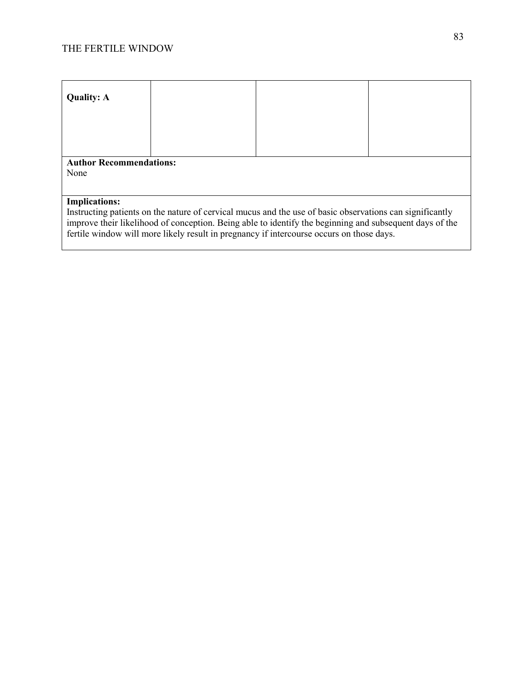| <b>Quality: A</b>                                                                                                                                                                                                             |  |  |  |  |
|-------------------------------------------------------------------------------------------------------------------------------------------------------------------------------------------------------------------------------|--|--|--|--|
|                                                                                                                                                                                                                               |  |  |  |  |
|                                                                                                                                                                                                                               |  |  |  |  |
|                                                                                                                                                                                                                               |  |  |  |  |
| <b>Author Recommendations:</b>                                                                                                                                                                                                |  |  |  |  |
| None                                                                                                                                                                                                                          |  |  |  |  |
|                                                                                                                                                                                                                               |  |  |  |  |
| <b>Implications:</b>                                                                                                                                                                                                          |  |  |  |  |
| Instructing patients on the nature of cervical mucus and the use of basic observations can significantly<br>incorporate aixe libralibrard referencember - Daixer abla to identificate a bazinning and melgan mant davn af tha |  |  |  |  |

improve their likelihood of conception. Being able to identify the beginning and subsequent days of the fertile window will more likely result in pregnancy if intercourse occurs on those days.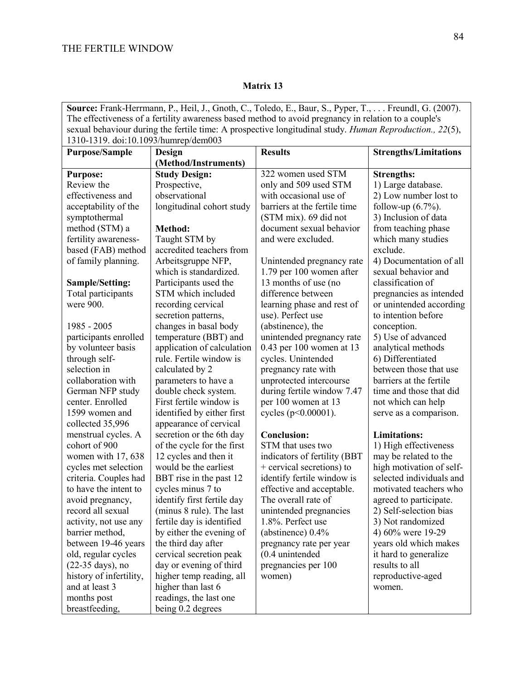**Source:** Frank-Herrmann, P., Heil, J., Gnoth, C., Toledo, E., Baur, S., Pyper, T., . . . Freundl, G. (2007). The effectiveness of a fertility awareness based method to avoid pregnancy in relation to a couple's sexual behaviour during the fertile time: A prospective longitudinal study. *Human Reproduction., 22*(5), 1310-1319. doi:10.1093/humrep/dem003

| 1510-1517. <b>a</b> 01.10.1075/humep/demoo5<br><b>Purpose/Sample</b> | Design                     | <b>Results</b>               | <b>Strengths/Limitations</b> |
|----------------------------------------------------------------------|----------------------------|------------------------------|------------------------------|
|                                                                      | (Method/Instruments)       |                              |                              |
| <b>Purpose:</b>                                                      | <b>Study Design:</b>       | 322 women used STM           | <b>Strengths:</b>            |
| Review the                                                           | Prospective,               | only and 509 used STM        | 1) Large database.           |
| effectiveness and                                                    | observational              | with occasional use of       | 2) Low number lost to        |
| acceptability of the                                                 | longitudinal cohort study  | barriers at the fertile time | follow-up $(6.7\%)$ .        |
| symptothermal                                                        |                            | (STM mix). 69 did not        | 3) Inclusion of data         |
| method (STM) a                                                       | Method:                    | document sexual behavior     | from teaching phase          |
| fertility awareness-                                                 | Taught STM by              | and were excluded.           | which many studies           |
| based (FAB) method                                                   | accredited teachers from   |                              | exclude.                     |
| of family planning.                                                  | Arbeitsgruppe NFP,         | Unintended pregnancy rate    | 4) Documentation of all      |
|                                                                      | which is standardized.     | 1.79 per 100 women after     | sexual behavior and          |
| <b>Sample/Setting:</b>                                               | Participants used the      | 13 months of use (no         | classification of            |
| Total participants                                                   | STM which included         | difference between           | pregnancies as intended      |
| were 900.                                                            | recording cervical         | learning phase and rest of   | or unintended according      |
|                                                                      | secretion patterns,        | use). Perfect use            | to intention before          |
| 1985 - 2005                                                          | changes in basal body      | (abstinence), the            | conception.                  |
| participants enrolled                                                | temperature (BBT) and      | unintended pregnancy rate    | 5) Use of advanced           |
| by volunteer basis                                                   | application of calculation | 0.43 per 100 women at 13     | analytical methods           |
| through self-                                                        | rule. Fertile window is    | cycles. Unintended           | 6) Differentiated            |
| selection in                                                         | calculated by 2            | pregnancy rate with          | between those that use       |
| collaboration with                                                   | parameters to have a       | unprotected intercourse      | barriers at the fertile      |
| German NFP study                                                     | double check system.       | during fertile window 7.47   | time and those that did      |
| center. Enrolled                                                     | First fertile window is    | per 100 women at 13          | not which can help           |
| 1599 women and                                                       | identified by either first | cycles (p<0.00001).          | serve as a comparison.       |
| collected 35,996                                                     | appearance of cervical     |                              |                              |
| menstrual cycles. A                                                  | secretion or the 6th day   | <b>Conclusion:</b>           | <b>Limitations:</b>          |
| cohort of 900                                                        | of the cycle for the first | STM that uses two            | 1) High effectiveness        |
| women with 17, 638                                                   | 12 cycles and then it      | indicators of fertility (BBT | may be related to the        |
| cycles met selection                                                 | would be the earliest      | + cervical secretions) to    | high motivation of self-     |
| criteria. Couples had                                                | BBT rise in the past 12    | identify fertile window is   | selected individuals and     |
| to have the intent to                                                | cycles minus 7 to          | effective and acceptable.    | motivated teachers who       |
| avoid pregnancy,                                                     | identify first fertile day | The overall rate of          | agreed to participate.       |
| record all sexual                                                    | (minus 8 rule). The last   | unintended pregnancies       | 2) Self-selection bias       |
| activity, not use any                                                | fertile day is identified  | 1.8%. Perfect use            | 3) Not randomized            |
| barrier method,                                                      | by either the evening of   | (abstinence) $0.4\%$         | 4) 60% were 19-29            |
| between 19-46 years                                                  | the third day after        | pregnancy rate per year      | years old which makes        |
| old, regular cycles                                                  | cervical secretion peak    | $(0.4$ unintended            | it hard to generalize        |
| (22-35 days), no                                                     | day or evening of third    | pregnancies per 100          | results to all               |
| history of infertility,                                              | higher temp reading, all   | women)                       | reproductive-aged            |
| and at least 3                                                       | higher than last 6         |                              | women.                       |
| months post                                                          | readings, the last one     |                              |                              |
| breastfeeding,                                                       | being 0.2 degrees          |                              |                              |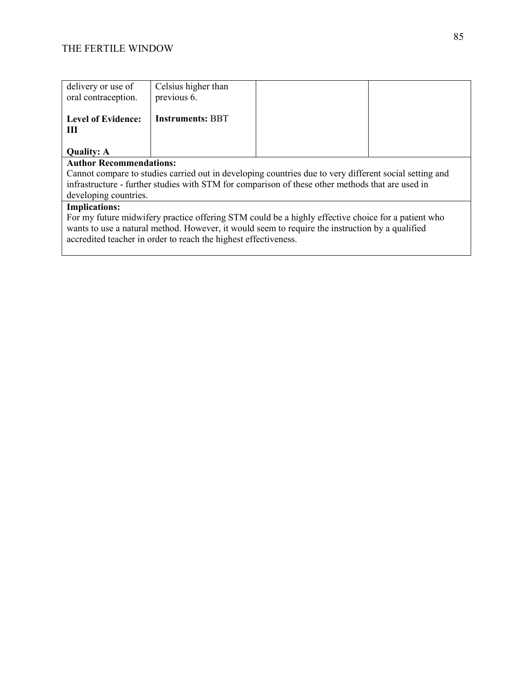| delivery or use of                                                                                                                                                                                                                                                       | Celsius higher than     |  |  |  |
|--------------------------------------------------------------------------------------------------------------------------------------------------------------------------------------------------------------------------------------------------------------------------|-------------------------|--|--|--|
| oral contraception.                                                                                                                                                                                                                                                      | previous 6.             |  |  |  |
| <b>Level of Evidence:</b><br>Ш                                                                                                                                                                                                                                           | <b>Instruments: BBT</b> |  |  |  |
| <b>Quality: A</b>                                                                                                                                                                                                                                                        |                         |  |  |  |
| <b>Author Recommendations:</b>                                                                                                                                                                                                                                           |                         |  |  |  |
| Cannot compare to studies carried out in developing countries due to very different social setting and                                                                                                                                                                   |                         |  |  |  |
| infrastructure - further studies with STM for comparison of these other methods that are used in                                                                                                                                                                         |                         |  |  |  |
| developing countries.                                                                                                                                                                                                                                                    |                         |  |  |  |
| <b>Implications:</b>                                                                                                                                                                                                                                                     |                         |  |  |  |
| For my future midwifery practice offering STM could be a highly effective choice for a patient who<br>wants to use a natural method. However, it would seem to require the instruction by a qualified<br>accredited teacher in order to reach the highest effectiveness. |                         |  |  |  |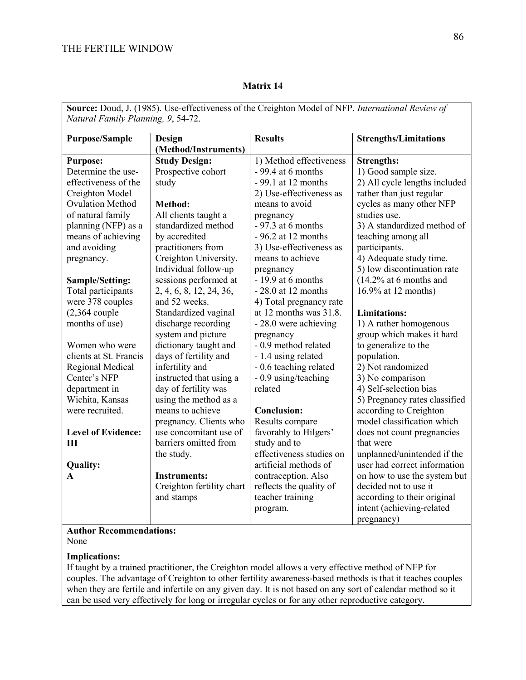| Natural Family Planning, 9, 54-72. |                                         |                                                   |                                                             |  |
|------------------------------------|-----------------------------------------|---------------------------------------------------|-------------------------------------------------------------|--|
| Purpose/Sample                     | <b>Design</b>                           | <b>Results</b>                                    | <b>Strengths/Limitations</b>                                |  |
|                                    | (Method/Instruments)                    |                                                   |                                                             |  |
| <b>Purpose:</b>                    | <b>Study Design:</b>                    | 1) Method effectiveness                           | <b>Strengths:</b>                                           |  |
| Determine the use-                 | Prospective cohort                      | $-99.4$ at 6 months                               | 1) Good sample size.                                        |  |
| effectiveness of the               | study                                   | - 99.1 at 12 months                               | 2) All cycle lengths included                               |  |
| Creighton Model                    |                                         | 2) Use-effectiveness as                           | rather than just regular                                    |  |
| <b>Ovulation Method</b>            | <b>Method:</b>                          | means to avoid                                    | cycles as many other NFP                                    |  |
| of natural family                  | All clients taught a                    | pregnancy                                         | studies use.                                                |  |
| planning (NFP) as a                | standardized method                     | $-97.3$ at 6 months                               | 3) A standardized method of                                 |  |
| means of achieving                 | by accredited                           | $-96.2$ at 12 months                              | teaching among all                                          |  |
| and avoiding                       | practitioners from                      | 3) Use-effectiveness as                           | participants.                                               |  |
| pregnancy.                         | Creighton University.                   | means to achieve                                  | 4) Adequate study time.                                     |  |
|                                    | Individual follow-up                    | pregnancy                                         | 5) low discontinuation rate                                 |  |
| Sample/Setting:                    | sessions performed at                   | $-19.9$ at 6 months                               | $(14.2\% \text{ at } 6 \text{ months and})$                 |  |
| Total participants                 | 2, 4, 6, 8, 12, 24, 36,                 | $-28.0$ at 12 months                              | 16.9% at 12 months)                                         |  |
| were 378 couples                   | and 52 weeks.                           | 4) Total pregnancy rate                           |                                                             |  |
| $(2,364$ couple                    | Standardized vaginal                    | at 12 months was $31.8$ .                         | <b>Limitations:</b>                                         |  |
| months of use)                     | discharge recording                     | - 28.0 were achieving                             | 1) A rather homogenous                                      |  |
|                                    | system and picture                      | pregnancy                                         | group which makes it hard                                   |  |
| Women who were                     | dictionary taught and                   | - 0.9 method related                              | to generalize to the                                        |  |
| clients at St. Francis             | days of fertility and                   | - 1.4 using related                               | population.                                                 |  |
| Regional Medical                   | infertility and                         | - 0.6 teaching related                            | 2) Not randomized                                           |  |
| Center's NFP                       | instructed that using a                 | - 0.9 using/teaching                              | 3) No comparison                                            |  |
| department in                      | day of fertility was                    | related                                           | 4) Self-selection bias                                      |  |
| Wichita, Kansas                    | using the method as a                   |                                                   | 5) Pregnancy rates classified                               |  |
| were recruited.                    | means to achieve                        | <b>Conclusion:</b>                                | according to Creighton                                      |  |
|                                    | pregnancy. Clients who                  | Results compare                                   | model classification which                                  |  |
| <b>Level of Evidence:</b>          | use concomitant use of                  | favorably to Hilgers'                             | does not count pregnancies                                  |  |
| III                                | barriers omitted from                   | study and to                                      | that were                                                   |  |
|                                    | the study.                              | effectiveness studies on<br>artificial methods of | unplanned/unintended if the<br>user had correct information |  |
| <b>Quality:</b>                    |                                         |                                                   | on how to use the system but                                |  |
| A                                  | <b>Instruments:</b>                     | contraception. Also                               | decided not to use it                                       |  |
|                                    | Creighton fertility chart<br>and stamps | reflects the quality of<br>teacher training       | according to their original                                 |  |
|                                    |                                         | program.                                          | intent (achieving-related                                   |  |
|                                    |                                         |                                                   | pregnancy)                                                  |  |
| <b>Author Recommendations:</b>     |                                         |                                                   |                                                             |  |
| None                               |                                         |                                                   |                                                             |  |

# **Source:** Doud, J. (1985). Use-effectiveness of the Creighton Model of NFP. *International Review of*

**Matrix 14**

## None

#### **Implications:**

If taught by a trained practitioner, the Creighton model allows a very effective method of NFP for couples. The advantage of Creighton to other fertility awareness-based methods is that it teaches couples when they are fertile and infertile on any given day. It is not based on any sort of calendar method so it can be used very effectively for long or irregular cycles or for any other reproductive category.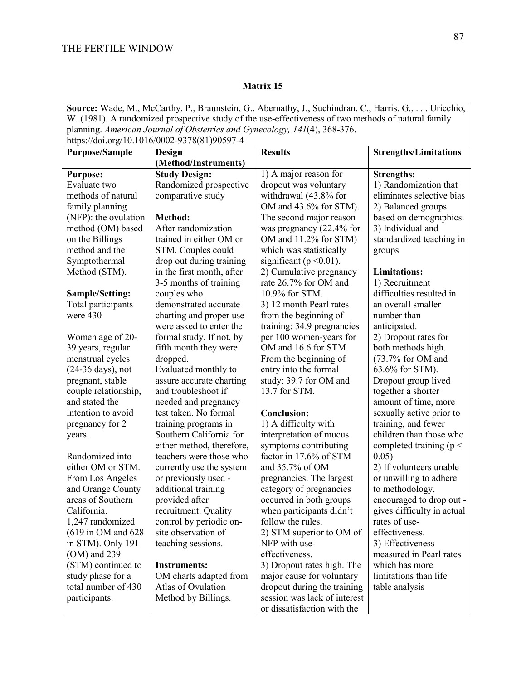**Source:** Wade, M., McCarthy, P., Braunstein, G., Abernathy, J., Suchindran, C., Harris, G., . . . Uricchio, W. (1981). A randomized prospective study of the use-effectiveness of two methods of natural family planning. *American Journal of Obstetrics and Gynecology, 141*(4), 368-376. https://doi.org/10.1016/0002-9378(81)90597-4 **Purpose/Sample Design (Method/Instruments) Results Strengths/Limitations Purpose:** Evaluate two methods of natural family planning (NFP): the ovulation method (OM) based on the Billings method and the Symptothermal Method (STM). **Sample/Setting:** Total participants were 430 Women age of 20- 39 years, regular menstrual cycles (24-36 days), not pregnant, stable couple relationship, and stated the intention to avoid pregnancy for 2 years. Randomized into either OM or STM. From Los Angeles and Orange County areas of Southern California. 1,247 randomized (619 in OM and 628 in STM). Only 191 (OM) and 239 (STM) continued to study phase for a total number of 430 participants. **Study Design:**  Randomized prospective comparative study **Method:**  After randomization trained in either OM or STM. Couples could drop out during training in the first month, after 3-5 months of training couples who demonstrated accurate charting and proper use were asked to enter the formal study. If not, by fifth month they were dropped. Evaluated monthly to assure accurate charting and troubleshoot if needed and pregnancy test taken. No formal training programs in Southern California for either method, therefore, teachers were those who currently use the system or previously used additional training provided after recruitment. Quality control by periodic onsite observation of teaching sessions. **Instruments:**  OM charts adapted from Atlas of Ovulation Method by Billings. 1) A major reason for dropout was voluntary withdrawal (43.8% for OM and 43.6% for STM). The second major reason was pregnancy (22.4% for OM and 11.2% for STM) which was statistically significant ( $p \le 0.01$ ). 2) Cumulative pregnancy rate 26.7% for OM and 10.9% for STM. 3) 12 month Pearl rates from the beginning of training: 34.9 pregnancies per 100 women-years for OM and 16.6 for STM. From the beginning of entry into the formal study: 39.7 for OM and 13.7 for STM. **Conclusion:** 1) A difficulty with interpretation of mucus symptoms contributing factor in 17.6% of STM and 35.7% of OM pregnancies. The largest category of pregnancies occurred in both groups when participants didn't follow the rules. 2) STM superior to OM of NFP with useeffectiveness. 3) Dropout rates high. The major cause for voluntary dropout during the training session was lack of interest or dissatisfaction with the **Strengths:** 1) Randomization that eliminates selective bias 2) Balanced groups based on demographics. 3) Individual and standardized teaching in groups **Limitations:** 1) Recruitment difficulties resulted in an overall smaller number than anticipated. 2) Dropout rates for both methods high. (73.7% for OM and 63.6% for STM). Dropout group lived together a shorter amount of time, more sexually active prior to training, and fewer children than those who completed training ( $p <$ 0.05) 2) If volunteers unable or unwilling to adhere to methodology, encouraged to drop out gives difficulty in actual rates of useeffectiveness. 3) Effectiveness measured in Pearl rates which has more limitations than life table analysis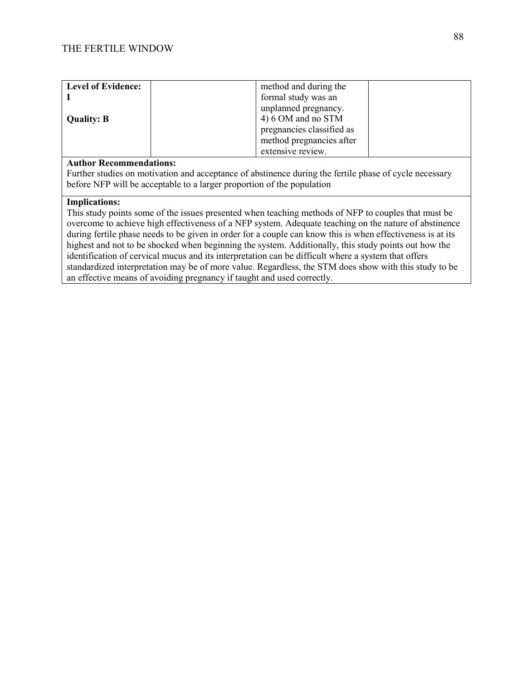| <b>Level of Evidence:</b> | method and during the     |
|---------------------------|---------------------------|
|                           | formal study was an       |
|                           | unplanned pregnancy.      |
| <b>Quality: B</b>         | 4) 6 OM and no STM        |
|                           | pregnancies classified as |
|                           | method pregnancies after  |
|                           | extensive review.         |

Further studies on motivation and acceptance of abstinence during the fertile phase of cycle necessary before NFP will be acceptable to a larger proportion of the population

#### **Implications:**

This study points some of the issues presented when teaching methods of NFP to couples that must be overcome to achieve high effectiveness of a NFP system. Adequate teaching on the nature of abstinence during fertile phase needs to be given in order for a couple can know this is when effectiveness is at its highest and not to be shocked when beginning the system. Additionally, this study points out how the identification of cervical mucus and its interpretation can be difficult where a system that offers standardized interpretation may be of more value. Regardless, the STM does show with this study to be an effective means of avoiding pregnancy if taught and used correctly.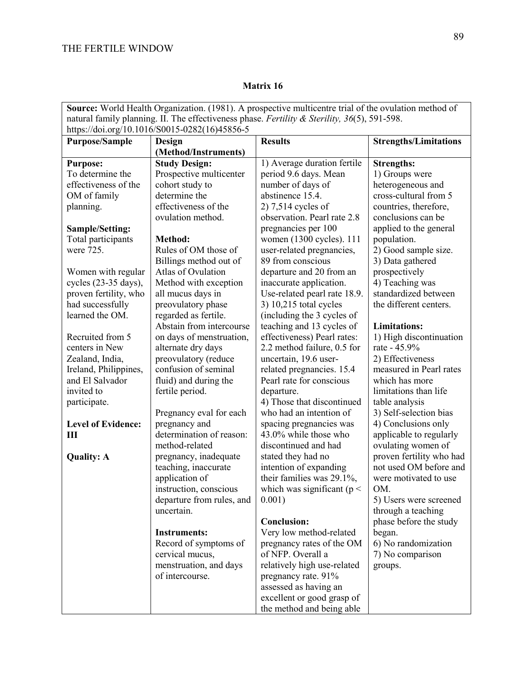|                                                                                                 |                           | <b>Source:</b> World Health Organization. (1981). A prospective multicentre trial of the ovulation method of |                              |
|-------------------------------------------------------------------------------------------------|---------------------------|--------------------------------------------------------------------------------------------------------------|------------------------------|
| natural family planning. II. The effectiveness phase. Fertility & Sterility, $36(5)$ , 591-598. |                           |                                                                                                              |                              |
| https://doi.org/10.1016/S0015-0282(16)45856-5                                                   |                           |                                                                                                              |                              |
| <b>Purpose/Sample</b>                                                                           | Design                    | <b>Results</b>                                                                                               | <b>Strengths/Limitations</b> |
|                                                                                                 | (Method/Instruments)      |                                                                                                              |                              |
| <b>Purpose:</b>                                                                                 | <b>Study Design:</b>      | 1) Average duration fertile                                                                                  | <b>Strengths:</b>            |
| To determine the                                                                                | Prospective multicenter   | period 9.6 days. Mean                                                                                        | 1) Groups were               |
| effectiveness of the                                                                            | cohort study to           | number of days of                                                                                            | heterogeneous and            |
| OM of family                                                                                    | determine the             | abstinence 15.4.                                                                                             | cross-cultural from 5        |
| planning.                                                                                       | effectiveness of the      | 2) 7,514 cycles of                                                                                           | countries, therefore,        |
|                                                                                                 | ovulation method.         | observation. Pearl rate 2.8                                                                                  | conclusions can be           |
| Sample/Setting:                                                                                 |                           | pregnancies per 100                                                                                          | applied to the general       |
| Total participants                                                                              | Method:                   | women (1300 cycles). 111                                                                                     | population.                  |
| were 725.                                                                                       | Rules of OM those of      | user-related pregnancies,                                                                                    | 2) Good sample size.         |
|                                                                                                 | Billings method out of    | 89 from conscious                                                                                            | 3) Data gathered             |
| Women with regular                                                                              | Atlas of Ovulation        | departure and 20 from an                                                                                     | prospectively                |
| cycles (23-35 days),                                                                            | Method with exception     | inaccurate application.                                                                                      | 4) Teaching was              |
| proven fertility, who                                                                           | all mucus days in         | Use-related pearl rate 18.9.                                                                                 | standardized between         |
| had successfully                                                                                | preovulatory phase        | 3) 10,215 total cycles                                                                                       | the different centers.       |
| learned the OM.                                                                                 | regarded as fertile.      | (including the 3 cycles of                                                                                   |                              |
|                                                                                                 | Abstain from intercourse  | teaching and 13 cycles of                                                                                    | <b>Limitations:</b>          |
| Recruited from 5                                                                                | on days of menstruation,  | effectiveness) Pearl rates:                                                                                  | 1) High discontinuation      |
| centers in New                                                                                  | alternate dry days        | 2.2 method failure, 0.5 for                                                                                  | rate - 45.9%                 |
| Zealand, India,                                                                                 | preovulatory (reduce      | uncertain, 19.6 user-                                                                                        | 2) Effectiveness             |
| Ireland, Philippines,                                                                           | confusion of seminal      | related pregnancies. 15.4                                                                                    | measured in Pearl rates      |
| and El Salvador                                                                                 | fluid) and during the     | Pearl rate for conscious                                                                                     | which has more               |
| invited to                                                                                      | fertile period.           | departure.                                                                                                   | limitations than life        |
| participate.                                                                                    |                           | 4) Those that discontinued                                                                                   | table analysis               |
|                                                                                                 | Pregnancy eval for each   | who had an intention of                                                                                      | 3) Self-selection bias       |
| <b>Level of Evidence:</b>                                                                       | pregnancy and             | spacing pregnancies was                                                                                      | 4) Conclusions only          |
| Ш                                                                                               | determination of reason:  | 43.0% while those who                                                                                        | applicable to regularly      |
|                                                                                                 | method-related            | discontinued and had                                                                                         | ovulating women of           |
| <b>Quality: A</b>                                                                               | pregnancy, inadequate     | stated they had no                                                                                           | proven fertility who had     |
|                                                                                                 | teaching, inaccurate      | intention of expanding                                                                                       | not used OM before and       |
|                                                                                                 | application of            | their families was 29.1%,                                                                                    | were motivated to use        |
|                                                                                                 | instruction, conscious    | which was significant ( $p <$                                                                                | OM.                          |
|                                                                                                 | departure from rules, and | 0.001)                                                                                                       | 5) Users were screened       |
|                                                                                                 | uncertain.                |                                                                                                              | through a teaching           |
|                                                                                                 |                           | <b>Conclusion:</b>                                                                                           | phase before the study       |
|                                                                                                 | <b>Instruments:</b>       | Very low method-related                                                                                      | began.                       |
|                                                                                                 | Record of symptoms of     | pregnancy rates of the OM                                                                                    | 6) No randomization          |
|                                                                                                 | cervical mucus,           | of NFP. Overall a                                                                                            | 7) No comparison             |
|                                                                                                 | menstruation, and days    | relatively high use-related                                                                                  | groups.                      |
|                                                                                                 | of intercourse.           | pregnancy rate. 91%                                                                                          |                              |
|                                                                                                 |                           | assessed as having an                                                                                        |                              |
|                                                                                                 |                           | excellent or good grasp of                                                                                   |                              |
|                                                                                                 |                           | the method and being able                                                                                    |                              |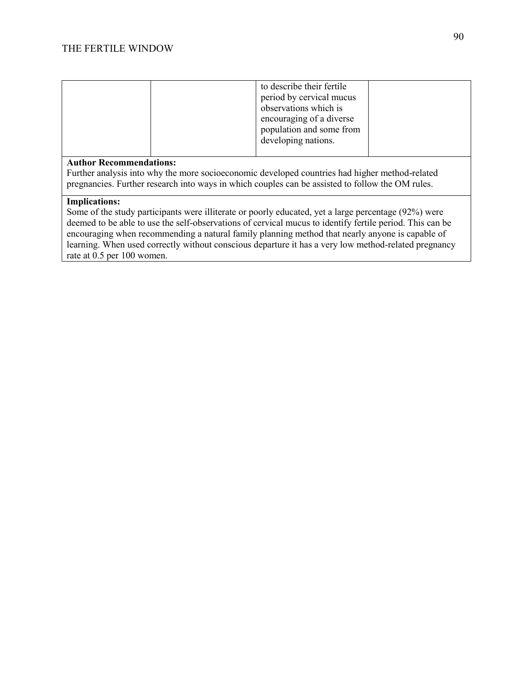|                                | to describe their fertile<br>period by cervical mucus<br>observations which is<br>encouraging of a diverse<br>population and some from<br>developing nations. |  |  |
|--------------------------------|---------------------------------------------------------------------------------------------------------------------------------------------------------------|--|--|
| <b>Author Recommendations:</b> |                                                                                                                                                               |  |  |

Further analysis into why the more socioeconomic developed countries had higher method-related pregnancies. Further research into ways in which couples can be assisted to follow the OM rules.

#### **Implications:**

Some of the study participants were illiterate or poorly educated, yet a large percentage (92%) were deemed to be able to use the self-observations of cervical mucus to identify fertile period. This can be encouraging when recommending a natural family planning method that nearly anyone is capable of learning. When used correctly without conscious departure it has a very low method-related pregnancy rate at 0.5 per 100 women.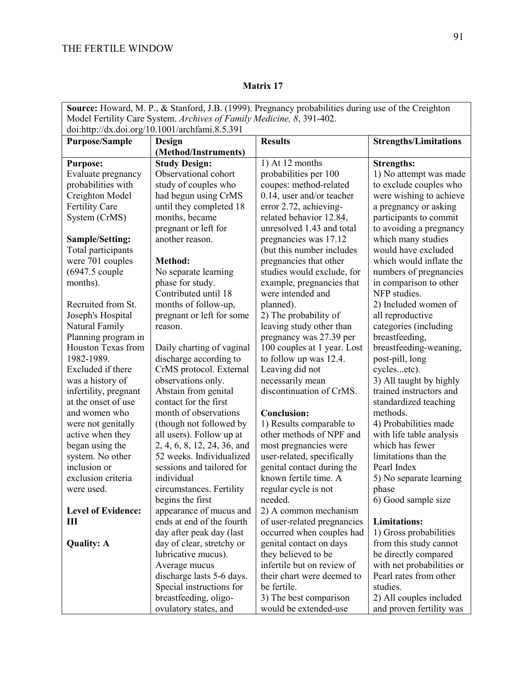| Model Fertility Care System. Archives of Family Medicine, 8, 391-402.<br>doi:http://dx.doi.org/10.1001/archfami.8.5.391<br><b>Purpose/Sample</b><br><b>Results</b><br><b>Strengths/Limitations</b><br>Design<br>(Method/Instruments)<br><b>Study Design:</b><br>1) At 12 months<br><b>Strengths:</b><br><b>Purpose:</b><br>Observational cohort<br>probabilities per 100<br>Evaluate pregnancy<br>1) No attempt was made<br>study of couples who<br>to exclude couples who<br>probabilities with<br>coupes: method-related<br>Creighton Model<br>had begun using CrMS<br>$0.14$ , user and/or teacher<br>were wishing to achieve<br>Fertility Care<br>until they completed 18<br>error 2.72, achieving-<br>a pregnancy or asking<br>System (CrMS)<br>months, became<br>related behavior 12.84,<br>participants to commit<br>pregnant or left for<br>unresolved 1.43 and total<br>to avoiding a pregnancy<br>another reason.<br>pregnancies was 17.12<br>which many studies<br>Sample/Setting:<br>would have excluded<br>Total participants<br>(but this number includes<br>were 701 couples<br>pregnancies that other<br>which would inflate the<br>Method:<br>$(6947.5 \text{ couple}$<br>No separate learning<br>studies would exclude, for<br>numbers of pregnancies<br>months).<br>phase for study.<br>example, pregnancies that<br>in comparison to other<br>Contributed until 18<br>NFP studies.<br>were intended and<br>months of follow-up,<br>Recruited from St.<br>planned).<br>2) Included women of<br>Joseph's Hospital<br>2) The probability of<br>pregnant or left for some<br>all reproductive |
|---------------------------------------------------------------------------------------------------------------------------------------------------------------------------------------------------------------------------------------------------------------------------------------------------------------------------------------------------------------------------------------------------------------------------------------------------------------------------------------------------------------------------------------------------------------------------------------------------------------------------------------------------------------------------------------------------------------------------------------------------------------------------------------------------------------------------------------------------------------------------------------------------------------------------------------------------------------------------------------------------------------------------------------------------------------------------------------------------------------------------------------------------------------------------------------------------------------------------------------------------------------------------------------------------------------------------------------------------------------------------------------------------------------------------------------------------------------------------------------------------------------------------------------------------------------------------------------------------------------|
|                                                                                                                                                                                                                                                                                                                                                                                                                                                                                                                                                                                                                                                                                                                                                                                                                                                                                                                                                                                                                                                                                                                                                                                                                                                                                                                                                                                                                                                                                                                                                                                                               |
|                                                                                                                                                                                                                                                                                                                                                                                                                                                                                                                                                                                                                                                                                                                                                                                                                                                                                                                                                                                                                                                                                                                                                                                                                                                                                                                                                                                                                                                                                                                                                                                                               |
|                                                                                                                                                                                                                                                                                                                                                                                                                                                                                                                                                                                                                                                                                                                                                                                                                                                                                                                                                                                                                                                                                                                                                                                                                                                                                                                                                                                                                                                                                                                                                                                                               |
|                                                                                                                                                                                                                                                                                                                                                                                                                                                                                                                                                                                                                                                                                                                                                                                                                                                                                                                                                                                                                                                                                                                                                                                                                                                                                                                                                                                                                                                                                                                                                                                                               |
|                                                                                                                                                                                                                                                                                                                                                                                                                                                                                                                                                                                                                                                                                                                                                                                                                                                                                                                                                                                                                                                                                                                                                                                                                                                                                                                                                                                                                                                                                                                                                                                                               |
|                                                                                                                                                                                                                                                                                                                                                                                                                                                                                                                                                                                                                                                                                                                                                                                                                                                                                                                                                                                                                                                                                                                                                                                                                                                                                                                                                                                                                                                                                                                                                                                                               |
|                                                                                                                                                                                                                                                                                                                                                                                                                                                                                                                                                                                                                                                                                                                                                                                                                                                                                                                                                                                                                                                                                                                                                                                                                                                                                                                                                                                                                                                                                                                                                                                                               |
|                                                                                                                                                                                                                                                                                                                                                                                                                                                                                                                                                                                                                                                                                                                                                                                                                                                                                                                                                                                                                                                                                                                                                                                                                                                                                                                                                                                                                                                                                                                                                                                                               |
|                                                                                                                                                                                                                                                                                                                                                                                                                                                                                                                                                                                                                                                                                                                                                                                                                                                                                                                                                                                                                                                                                                                                                                                                                                                                                                                                                                                                                                                                                                                                                                                                               |
|                                                                                                                                                                                                                                                                                                                                                                                                                                                                                                                                                                                                                                                                                                                                                                                                                                                                                                                                                                                                                                                                                                                                                                                                                                                                                                                                                                                                                                                                                                                                                                                                               |
|                                                                                                                                                                                                                                                                                                                                                                                                                                                                                                                                                                                                                                                                                                                                                                                                                                                                                                                                                                                                                                                                                                                                                                                                                                                                                                                                                                                                                                                                                                                                                                                                               |
|                                                                                                                                                                                                                                                                                                                                                                                                                                                                                                                                                                                                                                                                                                                                                                                                                                                                                                                                                                                                                                                                                                                                                                                                                                                                                                                                                                                                                                                                                                                                                                                                               |
|                                                                                                                                                                                                                                                                                                                                                                                                                                                                                                                                                                                                                                                                                                                                                                                                                                                                                                                                                                                                                                                                                                                                                                                                                                                                                                                                                                                                                                                                                                                                                                                                               |
|                                                                                                                                                                                                                                                                                                                                                                                                                                                                                                                                                                                                                                                                                                                                                                                                                                                                                                                                                                                                                                                                                                                                                                                                                                                                                                                                                                                                                                                                                                                                                                                                               |
|                                                                                                                                                                                                                                                                                                                                                                                                                                                                                                                                                                                                                                                                                                                                                                                                                                                                                                                                                                                                                                                                                                                                                                                                                                                                                                                                                                                                                                                                                                                                                                                                               |
|                                                                                                                                                                                                                                                                                                                                                                                                                                                                                                                                                                                                                                                                                                                                                                                                                                                                                                                                                                                                                                                                                                                                                                                                                                                                                                                                                                                                                                                                                                                                                                                                               |
|                                                                                                                                                                                                                                                                                                                                                                                                                                                                                                                                                                                                                                                                                                                                                                                                                                                                                                                                                                                                                                                                                                                                                                                                                                                                                                                                                                                                                                                                                                                                                                                                               |
|                                                                                                                                                                                                                                                                                                                                                                                                                                                                                                                                                                                                                                                                                                                                                                                                                                                                                                                                                                                                                                                                                                                                                                                                                                                                                                                                                                                                                                                                                                                                                                                                               |
|                                                                                                                                                                                                                                                                                                                                                                                                                                                                                                                                                                                                                                                                                                                                                                                                                                                                                                                                                                                                                                                                                                                                                                                                                                                                                                                                                                                                                                                                                                                                                                                                               |
| Natural Family<br>leaving study other than<br>categories (including<br>reason.                                                                                                                                                                                                                                                                                                                                                                                                                                                                                                                                                                                                                                                                                                                                                                                                                                                                                                                                                                                                                                                                                                                                                                                                                                                                                                                                                                                                                                                                                                                                |
| Planning program in<br>breastfeeding,<br>pregnancy was 27.39 per                                                                                                                                                                                                                                                                                                                                                                                                                                                                                                                                                                                                                                                                                                                                                                                                                                                                                                                                                                                                                                                                                                                                                                                                                                                                                                                                                                                                                                                                                                                                              |
| Houston Texas from<br>100 couples at 1 year. Lost<br>breastfeeding-weaning,<br>Daily charting of vaginal                                                                                                                                                                                                                                                                                                                                                                                                                                                                                                                                                                                                                                                                                                                                                                                                                                                                                                                                                                                                                                                                                                                                                                                                                                                                                                                                                                                                                                                                                                      |
| 1982-1989.<br>discharge according to<br>to follow up was 12.4.<br>post-pill, long                                                                                                                                                                                                                                                                                                                                                                                                                                                                                                                                                                                                                                                                                                                                                                                                                                                                                                                                                                                                                                                                                                                                                                                                                                                                                                                                                                                                                                                                                                                             |
| CrMS protocol. External<br>Excluded if there<br>Leaving did not<br>cyclesetc).                                                                                                                                                                                                                                                                                                                                                                                                                                                                                                                                                                                                                                                                                                                                                                                                                                                                                                                                                                                                                                                                                                                                                                                                                                                                                                                                                                                                                                                                                                                                |
| was a history of<br>observations only.<br>necessarily mean<br>3) All taught by highly                                                                                                                                                                                                                                                                                                                                                                                                                                                                                                                                                                                                                                                                                                                                                                                                                                                                                                                                                                                                                                                                                                                                                                                                                                                                                                                                                                                                                                                                                                                         |
| infertility, pregnant<br>Abstain from genital<br>discontinuation of CrMS.<br>trained instructors and                                                                                                                                                                                                                                                                                                                                                                                                                                                                                                                                                                                                                                                                                                                                                                                                                                                                                                                                                                                                                                                                                                                                                                                                                                                                                                                                                                                                                                                                                                          |
| contact for the first<br>at the onset of use<br>standardized teaching                                                                                                                                                                                                                                                                                                                                                                                                                                                                                                                                                                                                                                                                                                                                                                                                                                                                                                                                                                                                                                                                                                                                                                                                                                                                                                                                                                                                                                                                                                                                         |
| month of observations<br>and women who<br><b>Conclusion:</b><br>methods.                                                                                                                                                                                                                                                                                                                                                                                                                                                                                                                                                                                                                                                                                                                                                                                                                                                                                                                                                                                                                                                                                                                                                                                                                                                                                                                                                                                                                                                                                                                                      |
| (though not followed by<br>4) Probabilities made<br>were not genitally<br>1) Results comparable to                                                                                                                                                                                                                                                                                                                                                                                                                                                                                                                                                                                                                                                                                                                                                                                                                                                                                                                                                                                                                                                                                                                                                                                                                                                                                                                                                                                                                                                                                                            |
| other methods of NPF and<br>active when they<br>all users). Follow up at<br>with life table analysis                                                                                                                                                                                                                                                                                                                                                                                                                                                                                                                                                                                                                                                                                                                                                                                                                                                                                                                                                                                                                                                                                                                                                                                                                                                                                                                                                                                                                                                                                                          |
| which has fewer<br>began using the<br>2, 4, 6, 8, 12, 24, 36, and<br>most pregnancies were                                                                                                                                                                                                                                                                                                                                                                                                                                                                                                                                                                                                                                                                                                                                                                                                                                                                                                                                                                                                                                                                                                                                                                                                                                                                                                                                                                                                                                                                                                                    |
| 52 weeks. Individualized<br>limitations than the<br>system. No other<br>user-related, specifically                                                                                                                                                                                                                                                                                                                                                                                                                                                                                                                                                                                                                                                                                                                                                                                                                                                                                                                                                                                                                                                                                                                                                                                                                                                                                                                                                                                                                                                                                                            |
| inclusion or<br>sessions and tailored for<br>Pearl Index<br>genital contact during the                                                                                                                                                                                                                                                                                                                                                                                                                                                                                                                                                                                                                                                                                                                                                                                                                                                                                                                                                                                                                                                                                                                                                                                                                                                                                                                                                                                                                                                                                                                        |
| known fertile time. A<br>exclusion criteria<br>individual<br>5) No separate learning                                                                                                                                                                                                                                                                                                                                                                                                                                                                                                                                                                                                                                                                                                                                                                                                                                                                                                                                                                                                                                                                                                                                                                                                                                                                                                                                                                                                                                                                                                                          |
| were used.<br>circumstances. Fertility<br>regular cycle is not<br>phase                                                                                                                                                                                                                                                                                                                                                                                                                                                                                                                                                                                                                                                                                                                                                                                                                                                                                                                                                                                                                                                                                                                                                                                                                                                                                                                                                                                                                                                                                                                                       |
| begins the first<br>6) Good sample size<br>needed.                                                                                                                                                                                                                                                                                                                                                                                                                                                                                                                                                                                                                                                                                                                                                                                                                                                                                                                                                                                                                                                                                                                                                                                                                                                                                                                                                                                                                                                                                                                                                            |
| <b>Level of Evidence:</b><br>2) A common mechanism<br>appearance of mucus and<br>ends at end of the fourth<br><b>Limitations:</b>                                                                                                                                                                                                                                                                                                                                                                                                                                                                                                                                                                                                                                                                                                                                                                                                                                                                                                                                                                                                                                                                                                                                                                                                                                                                                                                                                                                                                                                                             |
| of user-related pregnancies<br>Ш<br>1) Gross probabilities<br>day after peak day (last                                                                                                                                                                                                                                                                                                                                                                                                                                                                                                                                                                                                                                                                                                                                                                                                                                                                                                                                                                                                                                                                                                                                                                                                                                                                                                                                                                                                                                                                                                                        |
| occurred when couples had<br>day of clear, stretchy or<br>from this study cannot                                                                                                                                                                                                                                                                                                                                                                                                                                                                                                                                                                                                                                                                                                                                                                                                                                                                                                                                                                                                                                                                                                                                                                                                                                                                                                                                                                                                                                                                                                                              |
| genital contact on days<br><b>Quality: A</b><br>lubricative mucus).<br>they believed to be<br>be directly compared                                                                                                                                                                                                                                                                                                                                                                                                                                                                                                                                                                                                                                                                                                                                                                                                                                                                                                                                                                                                                                                                                                                                                                                                                                                                                                                                                                                                                                                                                            |
| infertile but on review of<br>Average mucus<br>with net probabilities or                                                                                                                                                                                                                                                                                                                                                                                                                                                                                                                                                                                                                                                                                                                                                                                                                                                                                                                                                                                                                                                                                                                                                                                                                                                                                                                                                                                                                                                                                                                                      |
| their chart were deemed to<br>discharge lasts 5-6 days.<br>Pearl rates from other                                                                                                                                                                                                                                                                                                                                                                                                                                                                                                                                                                                                                                                                                                                                                                                                                                                                                                                                                                                                                                                                                                                                                                                                                                                                                                                                                                                                                                                                                                                             |
| Special instructions for<br>be fertile.<br>studies.                                                                                                                                                                                                                                                                                                                                                                                                                                                                                                                                                                                                                                                                                                                                                                                                                                                                                                                                                                                                                                                                                                                                                                                                                                                                                                                                                                                                                                                                                                                                                           |
| breastfeeding, oligo-<br>3) The best comparison<br>2) All couples included                                                                                                                                                                                                                                                                                                                                                                                                                                                                                                                                                                                                                                                                                                                                                                                                                                                                                                                                                                                                                                                                                                                                                                                                                                                                                                                                                                                                                                                                                                                                    |
| would be extended-use<br>and proven fertility was<br>ovulatory states, and                                                                                                                                                                                                                                                                                                                                                                                                                                                                                                                                                                                                                                                                                                                                                                                                                                                                                                                                                                                                                                                                                                                                                                                                                                                                                                                                                                                                                                                                                                                                    |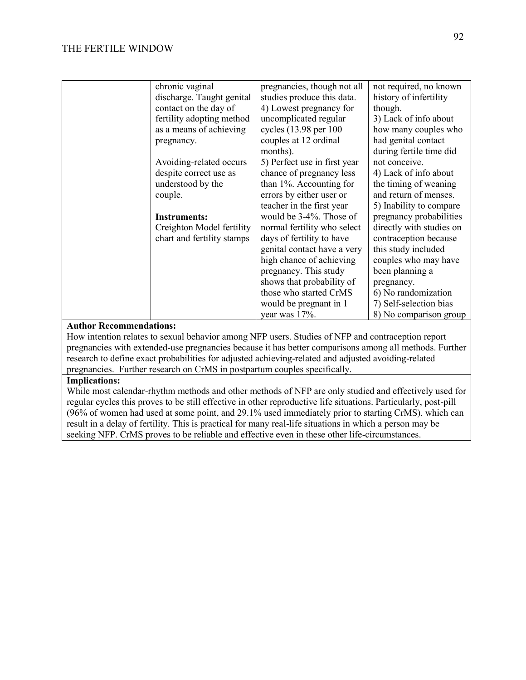| chronic vaginal            | pregnancies, though not all  | not required, no known   |
|----------------------------|------------------------------|--------------------------|
| discharge. Taught genital  | studies produce this data.   | history of infertility   |
| contact on the day of      | 4) Lowest pregnancy for      | though.                  |
| fertility adopting method  | uncomplicated regular        | 3) Lack of info about    |
| as a means of achieving    | cycles (13.98 per 100        | how many couples who     |
| pregnancy.                 | couples at 12 ordinal        | had genital contact      |
|                            | months).                     | during fertile time did  |
| Avoiding-related occurs    | 5) Perfect use in first year | not conceive.            |
| despite correct use as     | chance of pregnancy less     | 4) Lack of info about    |
| understood by the          | than 1%. Accounting for      | the timing of weaning    |
| couple.                    | errors by either user or     | and return of menses.    |
|                            | teacher in the first year    | 5) Inability to compare  |
| <b>Instruments:</b>        | would be $3-4\%$ . Those of  | pregnancy probabilities  |
| Creighton Model fertility  | normal fertility who select  | directly with studies on |
| chart and fertility stamps | days of fertility to have    | contraception because    |
|                            | genital contact have a very  | this study included      |
|                            | high chance of achieving     | couples who may have     |
|                            | pregnancy. This study        | been planning a          |
|                            | shows that probability of    | pregnancy.               |
|                            | those who started CrMS       | 6) No randomization      |
|                            | would be pregnant in 1       | 7) Self-selection bias   |
|                            | year was 17%.                | 8) No comparison group   |

How intention relates to sexual behavior among NFP users. Studies of NFP and contraception report pregnancies with extended-use pregnancies because it has better comparisons among all methods. Further research to define exact probabilities for adjusted achieving-related and adjusted avoiding-related pregnancies. Further research on CrMS in postpartum couples specifically.

#### **Implications:**

While most calendar-rhythm methods and other methods of NFP are only studied and effectively used for regular cycles this proves to be still effective in other reproductive life situations. Particularly, post-pill (96% of women had used at some point, and 29.1% used immediately prior to starting CrMS). which can result in a delay of fertility. This is practical for many real-life situations in which a person may be seeking NFP. CrMS proves to be reliable and effective even in these other life-circumstances.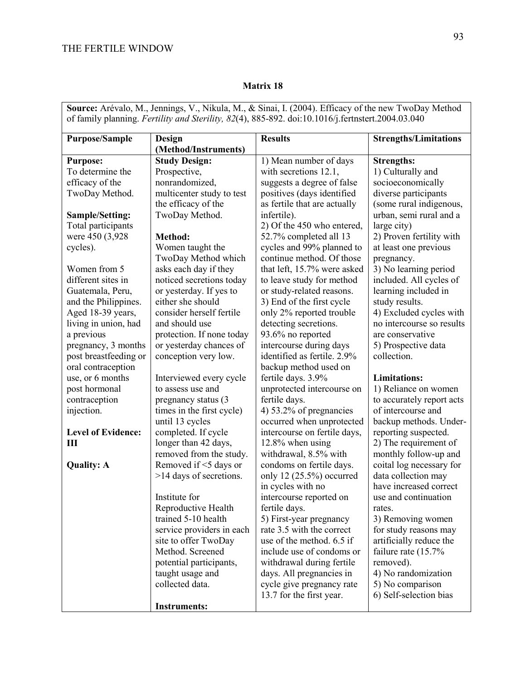$\mathbf{r}$ 

## **Matrix 18**

| <b>Source:</b> Arévalo, M., Jennings, V., Nikula, M., & Sinai, I. (2004). Efficacy of the new TwoDay Method<br>of family planning. Fertility and Sterility, 82(4), 885-892. doi:10.1016/j.fertnstert.2004.03.040 |                                |                              |                              |  |
|------------------------------------------------------------------------------------------------------------------------------------------------------------------------------------------------------------------|--------------------------------|------------------------------|------------------------------|--|
| <b>Purpose/Sample</b>                                                                                                                                                                                            | Design<br>(Method/Instruments) | <b>Results</b>               | <b>Strengths/Limitations</b> |  |
| <b>Purpose:</b>                                                                                                                                                                                                  | <b>Study Design:</b>           | 1) Mean number of days       | <b>Strengths:</b>            |  |
| To determine the                                                                                                                                                                                                 | Prospective,                   | with secretions 12.1,        | 1) Culturally and            |  |
| efficacy of the                                                                                                                                                                                                  | nonrandomized,                 | suggests a degree of false   | socioeconomically            |  |
| TwoDay Method.                                                                                                                                                                                                   | multicenter study to test      | positives (days identified   | diverse participants         |  |
|                                                                                                                                                                                                                  | the efficacy of the            | as fertile that are actually | (some rural indigenous,      |  |
| Sample/Setting:                                                                                                                                                                                                  | TwoDay Method.                 | infertile).                  | urban, semi rural and a      |  |
| Total participants                                                                                                                                                                                               |                                | 2) Of the 450 who entered,   | large city)                  |  |
| were 450 (3,928)                                                                                                                                                                                                 | Method:                        | 52.7% completed all 13       | 2) Proven fertility with     |  |
| cycles).                                                                                                                                                                                                         | Women taught the               | cycles and 99% planned to    | at least one previous        |  |
|                                                                                                                                                                                                                  | TwoDay Method which            | continue method. Of those    | pregnancy.                   |  |
| Women from 5                                                                                                                                                                                                     | asks each day if they          | that left, 15.7% were asked  | 3) No learning period        |  |
| different sites in                                                                                                                                                                                               | noticed secretions today       | to leave study for method    | included. All cycles of      |  |
| Guatemala, Peru,                                                                                                                                                                                                 | or yesterday. If yes to        | or study-related reasons.    | learning included in         |  |
| and the Philippines.                                                                                                                                                                                             | either she should              | 3) End of the first cycle    | study results.               |  |
| Aged 18-39 years,                                                                                                                                                                                                | consider herself fertile       | only 2% reported trouble     | 4) Excluded cycles with      |  |
| living in union, had                                                                                                                                                                                             | and should use                 | detecting secretions.        | no intercourse so results    |  |
| a previous                                                                                                                                                                                                       | protection. If none today      | 93.6% no reported            | are conservative             |  |
| pregnancy, 3 months                                                                                                                                                                                              | or yesterday chances of        | intercourse during days      | 5) Prospective data          |  |
| post breastfeeding or                                                                                                                                                                                            | conception very low.           | identified as fertile. 2.9%  | collection.                  |  |
| oral contraception                                                                                                                                                                                               |                                | backup method used on        |                              |  |
| use, or 6 months                                                                                                                                                                                                 | Interviewed every cycle        | fertile days. 3.9%           | <b>Limitations:</b>          |  |
| post hormonal                                                                                                                                                                                                    | to assess use and              | unprotected intercourse on   | 1) Reliance on women         |  |
| contraception                                                                                                                                                                                                    | pregnancy status (3            | fertile days.                | to accurately report acts    |  |
| injection.                                                                                                                                                                                                       | times in the first cycle)      | 4) 53.2% of pregnancies      | of intercourse and           |  |
|                                                                                                                                                                                                                  | until 13 cycles                | occurred when unprotected    | backup methods. Under-       |  |
| <b>Level of Evidence:</b>                                                                                                                                                                                        | completed. If cycle            | intercourse on fertile days, | reporting suspected.         |  |
| Ш                                                                                                                                                                                                                | longer than 42 days,           | 12.8% when using             | 2) The requirement of        |  |
|                                                                                                                                                                                                                  | removed from the study.        | withdrawal, 8.5% with        | monthly follow-up and        |  |
| <b>Quality: A</b>                                                                                                                                                                                                | Removed if <5 days or          | condoms on fertile days.     | coital log necessary for     |  |
|                                                                                                                                                                                                                  | >14 days of secretions.        | only 12 $(25.5\%)$ occurred  | data collection may          |  |
|                                                                                                                                                                                                                  |                                | in cycles with no            | have increased correct       |  |
|                                                                                                                                                                                                                  | Institute for                  | intercourse reported on      | use and continuation         |  |
|                                                                                                                                                                                                                  | Reproductive Health            | fertile days.                | rates.                       |  |
|                                                                                                                                                                                                                  | trained 5-10 health            | 5) First-year pregnancy      | 3) Removing women            |  |
|                                                                                                                                                                                                                  | service providers in each      | rate 3.5 with the correct    | for study reasons may        |  |
|                                                                                                                                                                                                                  | site to offer TwoDay           | use of the method. 6.5 if    | artificially reduce the      |  |
|                                                                                                                                                                                                                  | Method. Screened               | include use of condoms or    | failure rate $(15.7\%$       |  |
|                                                                                                                                                                                                                  | potential participants,        | withdrawal during fertile    | removed).                    |  |
|                                                                                                                                                                                                                  | taught usage and               | days. All pregnancies in     | 4) No randomization          |  |
|                                                                                                                                                                                                                  | collected data.                | cycle give pregnancy rate    | 5) No comparison             |  |
|                                                                                                                                                                                                                  |                                | 13.7 for the first year.     | 6) Self-selection bias       |  |
|                                                                                                                                                                                                                  | <b>Instruments:</b>            |                              |                              |  |

**Source:** Arévalo, M., Jennings, V., Nikula, M., & Sinai, I. (2004). Efficacy of the new TwoDay Method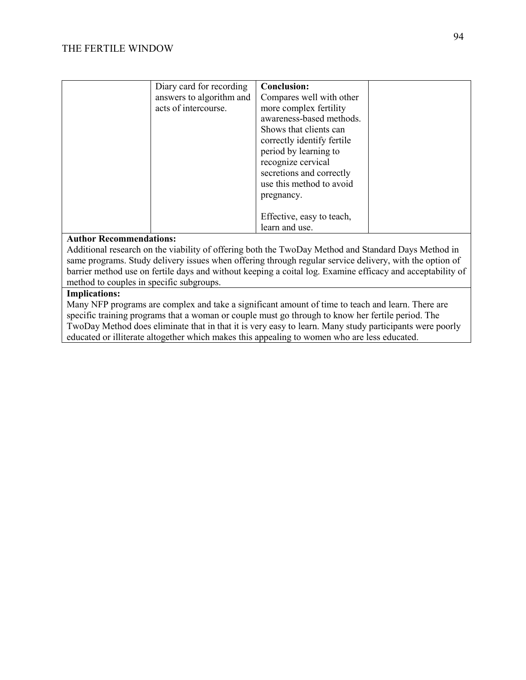| Diary card for recording<br>answers to algorithm and<br>acts of intercourse. | <b>Conclusion:</b><br>Compares well with other<br>more complex fertility<br>awareness-based methods.<br>Shows that clients can<br>correctly identify fertile<br>period by learning to<br>recognize cervical<br>secretions and correctly<br>use this method to avoid<br>pregnancy. |  |
|------------------------------------------------------------------------------|-----------------------------------------------------------------------------------------------------------------------------------------------------------------------------------------------------------------------------------------------------------------------------------|--|
|                                                                              | Effective, easy to teach,<br>learn and use.                                                                                                                                                                                                                                       |  |

Additional research on the viability of offering both the TwoDay Method and Standard Days Method in same programs. Study delivery issues when offering through regular service delivery, with the option of barrier method use on fertile days and without keeping a coital log. Examine efficacy and acceptability of method to couples in specific subgroups.

## **Implications:**

Many NFP programs are complex and take a significant amount of time to teach and learn. There are specific training programs that a woman or couple must go through to know her fertile period. The TwoDay Method does eliminate that in that it is very easy to learn. Many study participants were poorly educated or illiterate altogether which makes this appealing to women who are less educated.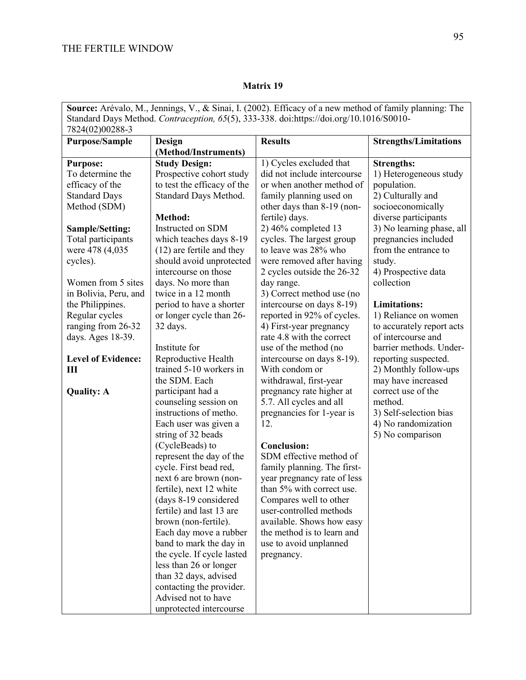|                                                                                         |                                                      | Source: Arévalo, M., Jennings, V., & Sinai, I. (2002). Efficacy of a new method of family planning: The |                              |
|-----------------------------------------------------------------------------------------|------------------------------------------------------|---------------------------------------------------------------------------------------------------------|------------------------------|
| Standard Days Method. Contraception, 65(5), 333-338. doi:https://doi.org/10.1016/S0010- |                                                      |                                                                                                         |                              |
| 7824(02)00288-3                                                                         |                                                      |                                                                                                         |                              |
| <b>Purpose/Sample</b>                                                                   | Design                                               | <b>Results</b>                                                                                          | <b>Strengths/Limitations</b> |
|                                                                                         | (Method/Instruments)                                 |                                                                                                         |                              |
| <b>Purpose:</b>                                                                         | <b>Study Design:</b>                                 | 1) Cycles excluded that                                                                                 | <b>Strengths:</b>            |
| To determine the                                                                        | Prospective cohort study                             | did not include intercourse                                                                             | 1) Heterogeneous study       |
| efficacy of the                                                                         | to test the efficacy of the                          | or when another method of                                                                               | population.                  |
| <b>Standard Days</b>                                                                    | Standard Days Method.                                | family planning used on                                                                                 | 2) Culturally and            |
| Method (SDM)                                                                            |                                                      | other days than 8-19 (non-                                                                              | socioeconomically            |
|                                                                                         | <b>Method:</b>                                       | fertile) days.                                                                                          | diverse participants         |
| Sample/Setting:                                                                         | Instructed on SDM                                    | $2)$ 46% completed 13                                                                                   | 3) No learning phase, all    |
| Total participants                                                                      | which teaches days 8-19                              | cycles. The largest group                                                                               | pregnancies included         |
| were 478 (4,035)                                                                        | $(12)$ are fertile and they                          | to leave was 28% who                                                                                    | from the entrance to         |
| cycles).                                                                                | should avoid unprotected                             | were removed after having                                                                               | study.                       |
|                                                                                         | intercourse on those                                 | 2 cycles outside the 26-32                                                                              | 4) Prospective data          |
| Women from 5 sites                                                                      | days. No more than                                   | day range.                                                                                              | collection                   |
| in Bolivia, Peru, and                                                                   | twice in a 12 month                                  | 3) Correct method use (no                                                                               |                              |
| the Philippines.                                                                        | period to have a shorter                             | intercourse on days 8-19)                                                                               | <b>Limitations:</b>          |
| Regular cycles                                                                          | or longer cycle than 26-                             | reported in 92% of cycles.                                                                              | 1) Reliance on women         |
| ranging from 26-32                                                                      | 32 days.                                             | 4) First-year pregnancy                                                                                 | to accurately report acts    |
| days. Ages 18-39.                                                                       |                                                      | rate 4.8 with the correct                                                                               | of intercourse and           |
|                                                                                         | Institute for                                        | use of the method (no                                                                                   | barrier methods. Under-      |
| <b>Level of Evidence:</b>                                                               | Reproductive Health                                  | intercourse on days 8-19).                                                                              | reporting suspected.         |
| Ш                                                                                       | trained 5-10 workers in                              | With condom or                                                                                          | 2) Monthly follow-ups        |
|                                                                                         | the SDM. Each                                        | withdrawal, first-year                                                                                  | may have increased           |
| <b>Quality: A</b>                                                                       | participant had a                                    | pregnancy rate higher at                                                                                | correct use of the           |
|                                                                                         | counseling session on                                | 5.7. All cycles and all                                                                                 | method.                      |
|                                                                                         | instructions of metho.                               | pregnancies for 1-year is                                                                               | 3) Self-selection bias       |
|                                                                                         | Each user was given a                                | 12.                                                                                                     | 4) No randomization          |
|                                                                                         | string of 32 beads                                   |                                                                                                         | 5) No comparison             |
|                                                                                         | (CycleBeads) to                                      | <b>Conclusion:</b>                                                                                      |                              |
|                                                                                         | represent the day of the                             | SDM effective method of                                                                                 |                              |
|                                                                                         | cycle. First bead red,                               | family planning. The first-                                                                             |                              |
|                                                                                         | next 6 are brown (non-                               | year pregnancy rate of less                                                                             |                              |
|                                                                                         | fertile), next 12 white                              | than 5% with correct use.                                                                               |                              |
|                                                                                         | (days 8-19 considered                                | Compares well to other                                                                                  |                              |
|                                                                                         | fertile) and last 13 are                             | user-controlled methods                                                                                 |                              |
|                                                                                         | brown (non-fertile).                                 | available. Shows how easy                                                                               |                              |
|                                                                                         | Each day move a rubber                               | the method is to learn and                                                                              |                              |
|                                                                                         | band to mark the day in                              | use to avoid unplanned                                                                                  |                              |
|                                                                                         | the cycle. If cycle lasted<br>less than 26 or longer | pregnancy.                                                                                              |                              |
|                                                                                         | than 32 days, advised                                |                                                                                                         |                              |
|                                                                                         | contacting the provider.                             |                                                                                                         |                              |
|                                                                                         | Advised not to have                                  |                                                                                                         |                              |
|                                                                                         | unprotected intercourse                              |                                                                                                         |                              |
|                                                                                         |                                                      |                                                                                                         |                              |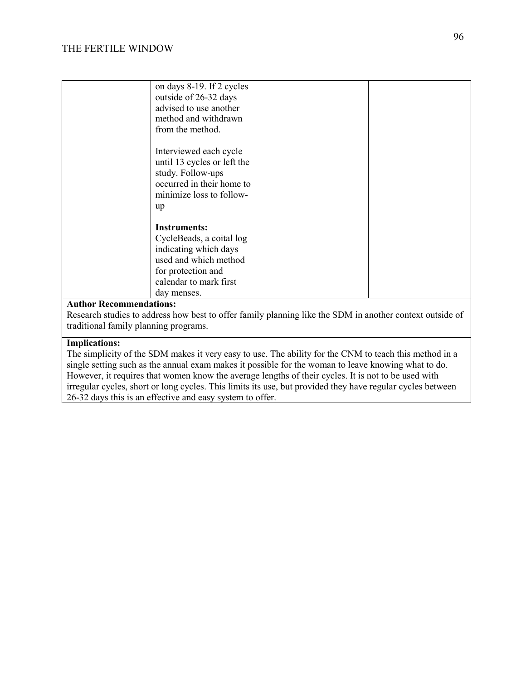| on days 8-19. If 2 cycles<br>outside of 26-32 days<br>advised to use another<br>method and withdrawn<br>from the method.                                         |  |
|------------------------------------------------------------------------------------------------------------------------------------------------------------------|--|
| Interviewed each cycle<br>until 13 cycles or left the<br>study. Follow-ups<br>occurred in their home to<br>minimize loss to follow-<br>up                        |  |
| <b>Instruments:</b><br>CycleBeads, a coital log<br>indicating which days<br>used and which method<br>for protection and<br>calendar to mark first<br>day menses. |  |

Research studies to address how best to offer family planning like the SDM in another context outside of traditional family planning programs.

#### **Implications:**

The simplicity of the SDM makes it very easy to use. The ability for the CNM to teach this method in a single setting such as the annual exam makes it possible for the woman to leave knowing what to do. However, it requires that women know the average lengths of their cycles. It is not to be used with irregular cycles, short or long cycles. This limits its use, but provided they have regular cycles between 26-32 days this is an effective and easy system to offer.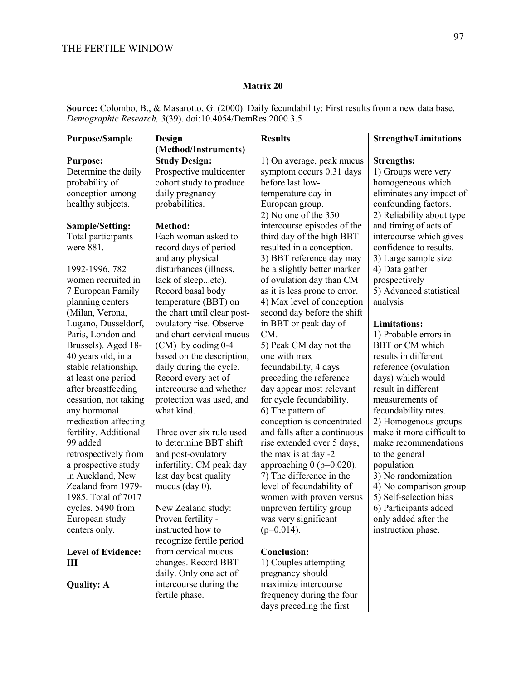## **Matrix 20**

**Source:** Colombo, B., & Masarotto, G. (2000). Daily fecundability: First results from a new data base. *Demographic Research, 3*(39). doi:10.4054/DemRes.2000.3.5

| <b>Purpose/Sample</b>     | Design                      | <b>Results</b>                | <b>Strengths/Limitations</b> |
|---------------------------|-----------------------------|-------------------------------|------------------------------|
|                           | (Method/Instruments)        |                               |                              |
| <b>Purpose:</b>           | <b>Study Design:</b>        | 1) On average, peak mucus     | <b>Strengths:</b>            |
| Determine the daily       | Prospective multicenter     | symptom occurs 0.31 days      | 1) Groups were very          |
| probability of            | cohort study to produce     | before last low-              | homogeneous which            |
| conception among          | daily pregnancy             | temperature day in            | eliminates any impact of     |
| healthy subjects.         | probabilities.              | European group.               | confounding factors.         |
|                           |                             | 2) No one of the 350          | 2) Reliability about type    |
| <b>Sample/Setting:</b>    | Method:                     | intercourse episodes of the   | and timing of acts of        |
| Total participants        | Each woman asked to         | third day of the high BBT     | intercourse which gives      |
| were 881.                 | record days of period       | resulted in a conception.     | confidence to results.       |
|                           | and any physical            | 3) BBT reference day may      | 3) Large sample size.        |
| 1992-1996, 782            | disturbances (illness,      | be a slightly better marker   | 4) Data gather               |
| women recruited in        | lack of sleepetc).          | of ovulation day than CM      | prospectively                |
| 7 European Family         | Record basal body           | as it is less prone to error. | 5) Advanced statistical      |
| planning centers          | temperature (BBT) on        | 4) Max level of conception    | analysis                     |
| (Milan, Verona,           | the chart until clear post- | second day before the shift   |                              |
| Lugano, Dusseldorf,       | ovulatory rise. Observe     | in BBT or peak day of         | <b>Limitations:</b>          |
| Paris, London and         | and chart cervical mucus    | CM.                           | 1) Probable errors in        |
| Brussels). Aged 18-       | $(CM)$ by coding 0-4        | 5) Peak CM day not the        | <b>BBT</b> or CM which       |
| 40 years old, in a        | based on the description,   | one with max                  | results in different         |
| stable relationship,      | daily during the cycle.     | fecundability, 4 days         | reference (ovulation         |
| at least one period       | Record every act of         | preceding the reference       | days) which would            |
| after breastfeeding       | intercourse and whether     | day appear most relevant      | result in different          |
| cessation, not taking     | protection was used, and    | for cycle fecundability.      | measurements of              |
| any hormonal              | what kind.                  | 6) The pattern of             | fecundability rates.         |
| medication affecting      |                             | conception is concentrated    | 2) Homogenous groups         |
| fertility. Additional     | Three over six rule used    | and falls after a continuous  | make it more difficult to    |
| 99 added                  | to determine BBT shift      | rise extended over 5 days,    | make recommendations         |
| retrospectively from      | and post-ovulatory          | the max is at day -2          | to the general               |
| a prospective study       | infertility. CM peak day    | approaching $0$ (p=0.020).    | population                   |
| in Auckland, New          | last day best quality       | 7) The difference in the      | 3) No randomization          |
| Zealand from 1979-        | mucus (day $0$ ).           | level of fecundability of     | 4) No comparison group       |
| 1985. Total of 7017       |                             | women with proven versus      | 5) Self-selection bias       |
| cycles. 5490 from         | New Zealand study:          | unproven fertility group      | 6) Participants added        |
| European study            | Proven fertility -          | was very significant          | only added after the         |
| centers only.             | instructed how to           | $(p=0.014)$ .                 | instruction phase.           |
|                           | recognize fertile period    |                               |                              |
| <b>Level of Evidence:</b> | from cervical mucus         | <b>Conclusion:</b>            |                              |
| Ш                         | changes. Record BBT         | 1) Couples attempting         |                              |
|                           | daily. Only one act of      | pregnancy should              |                              |
|                           | intercourse during the      | maximize intercourse          |                              |
| <b>Quality: A</b>         |                             | frequency during the four     |                              |
|                           | fertile phase.              |                               |                              |
|                           |                             | days preceding the first      |                              |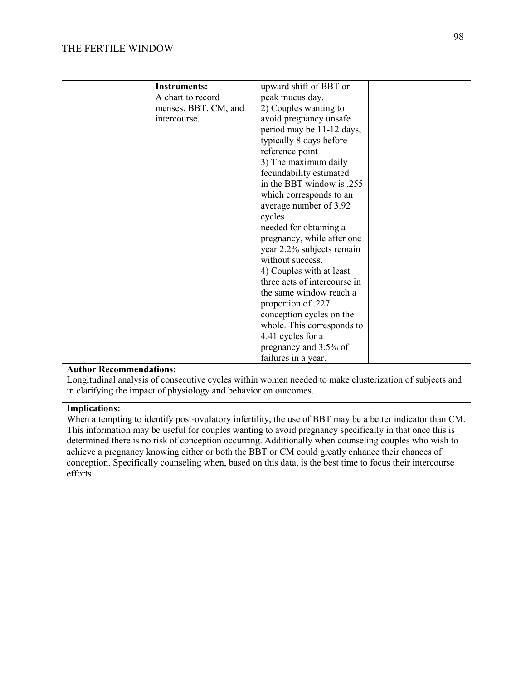| <b>Instruments:</b>  | upward shift of BBT or       |  |
|----------------------|------------------------------|--|
|                      |                              |  |
| A chart to record    | peak mucus day.              |  |
| menses, BBT, CM, and | 2) Couples wanting to        |  |
| intercourse.         | avoid pregnancy unsafe       |  |
|                      | period may be 11-12 days,    |  |
|                      | typically 8 days before      |  |
|                      | reference point              |  |
|                      | 3) The maximum daily         |  |
|                      | fecundability estimated      |  |
|                      | in the BBT window is .255    |  |
|                      | which corresponds to an      |  |
|                      |                              |  |
|                      | average number of 3.92       |  |
|                      | cycles                       |  |
|                      | needed for obtaining a       |  |
|                      | pregnancy, while after one   |  |
|                      | year 2.2% subjects remain    |  |
|                      | without success.             |  |
|                      | 4) Couples with at least     |  |
|                      | three acts of intercourse in |  |
|                      | the same window reach a      |  |
|                      | proportion of 227            |  |
|                      | conception cycles on the     |  |
|                      |                              |  |
|                      | whole. This corresponds to   |  |
|                      | 4.41 cycles for a            |  |
|                      | pregnancy and 3.5% of        |  |
|                      | failures in a year.          |  |

Longitudinal analysis of consecutive cycles within women needed to make clusterization of subjects and in clarifying the impact of physiology and behavior on outcomes.

## **Implications:**

When attempting to identify post-ovulatory infertility, the use of BBT may be a better indicator than CM. This information may be useful for couples wanting to avoid pregnancy specifically in that once this is determined there is no risk of conception occurring. Additionally when counseling couples who wish to achieve a pregnancy knowing either or both the BBT or CM could greatly enhance their chances of conception. Specifically counseling when, based on this data, is the best time to focus their intercourse efforts.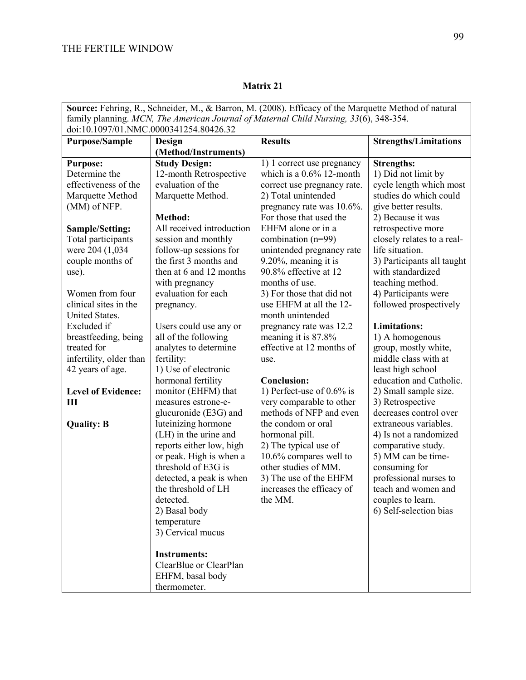| Source: Fehring, R., Schneider, M., & Barron, M. (2008). Efficacy of the Marquette Method of natural |                           |                              |                              |
|------------------------------------------------------------------------------------------------------|---------------------------|------------------------------|------------------------------|
| family planning. MCN, The American Journal of Maternal Child Nursing, 33(6), 348-354.                |                           |                              |                              |
| doi:10.1097/01.NMC.0000341254.80426.32                                                               |                           |                              |                              |
| <b>Purpose/Sample</b>                                                                                | Design                    | <b>Results</b>               | <b>Strengths/Limitations</b> |
|                                                                                                      | (Method/Instruments)      |                              |                              |
| <b>Purpose:</b>                                                                                      | <b>Study Design:</b>      | 1) 1 correct use pregnancy   | <b>Strengths:</b>            |
| Determine the                                                                                        | 12-month Retrospective    | which is a $0.6\%$ 12-month  | 1) Did not limit by          |
| effectiveness of the                                                                                 | evaluation of the         | correct use pregnancy rate.  | cycle length which most      |
| Marquette Method                                                                                     | Marquette Method.         | 2) Total unintended          | studies do which could       |
| (MM) of NFP.                                                                                         |                           | pregnancy rate was 10.6%.    | give better results.         |
|                                                                                                      | <b>Method:</b>            | For those that used the      | 2) Because it was            |
| Sample/Setting:                                                                                      | All received introduction | EHFM alone or in a           | retrospective more           |
| Total participants                                                                                   | session and monthly       | combination $(n=99)$         | closely relates to a real-   |
| were 204 (1,034)                                                                                     | follow-up sessions for    | unintended pregnancy rate    | life situation.              |
| couple months of                                                                                     | the first 3 months and    | 9.20%, meaning it is         | 3) Participants all taught   |
| use).                                                                                                | then at 6 and 12 months   | 90.8% effective at 12        | with standardized            |
|                                                                                                      | with pregnancy            | months of use.               | teaching method.             |
| Women from four                                                                                      | evaluation for each       | 3) For those that did not    | 4) Participants were         |
| clinical sites in the                                                                                | pregnancy.                | use EHFM at all the 12-      | followed prospectively       |
| United States.                                                                                       |                           | month unintended             |                              |
| Excluded if                                                                                          | Users could use any or    | pregnancy rate was 12.2      | <b>Limitations:</b>          |
| breastfeeding, being                                                                                 | all of the following      | meaning it is 87.8%          | 1) A homogenous              |
| treated for                                                                                          | analytes to determine     | effective at 12 months of    | group, mostly white,         |
| infertility, older than                                                                              | fertility:                | use.                         | middle class with at         |
| 42 years of age.                                                                                     | 1) Use of electronic      |                              | least high school            |
|                                                                                                      | hormonal fertility        | <b>Conclusion:</b>           | education and Catholic.      |
| <b>Level of Evidence:</b>                                                                            | monitor (EHFM) that       | 1) Perfect-use of $0.6\%$ is | 2) Small sample size.        |
| Ш                                                                                                    | measures estrone-e-       | very comparable to other     | 3) Retrospective             |
|                                                                                                      | glucuronide (E3G) and     | methods of NFP and even      | decreases control over       |
| <b>Quality: B</b>                                                                                    | luteinizing hormone       | the condom or oral           | extraneous variables.        |
|                                                                                                      | (LH) in the urine and     | hormonal pill.               | 4) Is not a randomized       |
|                                                                                                      | reports either low, high  | 2) The typical use of        | comparative study.           |
|                                                                                                      | or peak. High is when a   | 10.6% compares well to       | 5) MM can be time-           |
|                                                                                                      | threshold of E3G is       | other studies of MM.         | consuming for                |
|                                                                                                      | detected, a peak is when  | 3) The use of the EHFM       | professional nurses to       |
|                                                                                                      | the threshold of LH       | increases the efficacy of    | teach and women and          |
|                                                                                                      | detected.                 | the MM.                      | couples to learn.            |
|                                                                                                      | 2) Basal body             |                              | 6) Self-selection bias       |
|                                                                                                      | temperature               |                              |                              |
|                                                                                                      | 3) Cervical mucus         |                              |                              |
|                                                                                                      |                           |                              |                              |
|                                                                                                      | <b>Instruments:</b>       |                              |                              |
|                                                                                                      | ClearBlue or ClearPlan    |                              |                              |
|                                                                                                      | EHFM, basal body          |                              |                              |
|                                                                                                      | thermometer.              |                              |                              |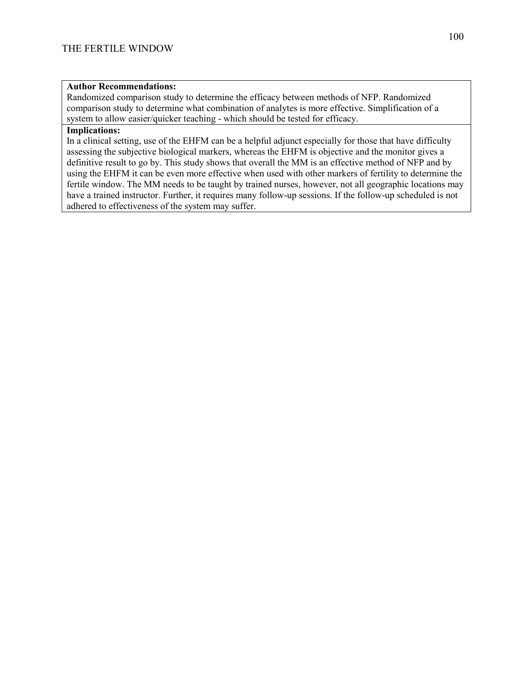Randomized comparison study to determine the efficacy between methods of NFP. Randomized comparison study to determine what combination of analytes is more effective. Simplification of a system to allow easier/quicker teaching - which should be tested for efficacy.

#### **Implications:**

In a clinical setting, use of the EHFM can be a helpful adjunct especially for those that have difficulty assessing the subjective biological markers, whereas the EHFM is objective and the monitor gives a definitive result to go by. This study shows that overall the MM is an effective method of NFP and by using the EHFM it can be even more effective when used with other markers of fertility to determine the fertile window. The MM needs to be taught by trained nurses, however, not all geographic locations may have a trained instructor. Further, it requires many follow-up sessions. If the follow-up scheduled is not adhered to effectiveness of the system may suffer.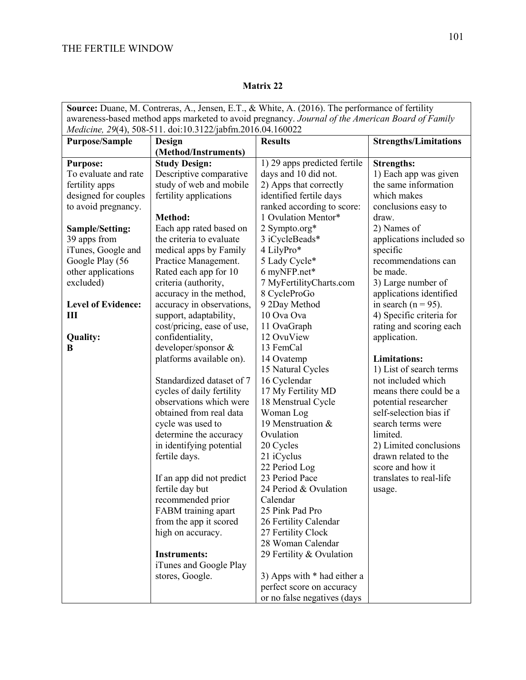| <b>Source:</b> Duane, M. Contreras, A., Jensen, E.T., & White, A. (2016). The performance of fertility |                                                            |                              |                              |  |
|--------------------------------------------------------------------------------------------------------|------------------------------------------------------------|------------------------------|------------------------------|--|
| awareness-based method apps marketed to avoid pregnancy. Journal of the American Board of Family       |                                                            |                              |                              |  |
|                                                                                                        | Medicine, 29(4), 508-511. doi:10.3122/jabfm.2016.04.160022 |                              |                              |  |
| <b>Purpose/Sample</b>                                                                                  | Design                                                     | <b>Results</b>               | <b>Strengths/Limitations</b> |  |
|                                                                                                        | (Method/Instruments)                                       |                              |                              |  |
| <b>Purpose:</b>                                                                                        | <b>Study Design:</b>                                       | 1) 29 apps predicted fertile | <b>Strengths:</b>            |  |
| To evaluate and rate                                                                                   | Descriptive comparative                                    | days and 10 did not.         | 1) Each app was given        |  |
| fertility apps                                                                                         | study of web and mobile                                    | 2) Apps that correctly       | the same information         |  |
| designed for couples                                                                                   | fertility applications                                     | identified fertile days      | which makes                  |  |
| to avoid pregnancy.                                                                                    |                                                            | ranked according to score:   | conclusions easy to          |  |
|                                                                                                        | <b>Method:</b>                                             | 1 Ovulation Mentor*          | draw.                        |  |
| Sample/Setting:                                                                                        | Each app rated based on                                    | 2 Sympto.org*                | 2) Names of                  |  |
| 39 apps from                                                                                           | the criteria to evaluate                                   | 3 iCycleBeads*               | applications included so     |  |
| iTunes, Google and                                                                                     | medical apps by Family                                     | 4 LilyPro*                   | specific                     |  |
| Google Play (56                                                                                        | Practice Management.                                       | 5 Lady Cycle*                | recommendations can          |  |
| other applications                                                                                     | Rated each app for 10                                      | 6 myNFP.net*                 | be made.                     |  |
| excluded)                                                                                              | criteria (authority,                                       | 7 MyFertilityCharts.com      | 3) Large number of           |  |
|                                                                                                        | accuracy in the method,                                    | 8 CycleProGo                 | applications identified      |  |
| <b>Level of Evidence:</b>                                                                              | accuracy in observations,                                  | 9 2Day Method                | in search ( $n = 95$ ).      |  |
| Ш                                                                                                      | support, adaptability,                                     | 10 Ova Ova                   | 4) Specific criteria for     |  |
|                                                                                                        | cost/pricing, ease of use,                                 | 11 OvaGraph                  | rating and scoring each      |  |
| <b>Quality:</b>                                                                                        | confidentiality,                                           | 12 OvuView                   | application.                 |  |
| B                                                                                                      | developer/sponsor &                                        | 13 FemCal                    |                              |  |
|                                                                                                        | platforms available on).                                   | 14 Ovatemp                   | <b>Limitations:</b>          |  |
|                                                                                                        |                                                            | 15 Natural Cycles            | 1) List of search terms      |  |
|                                                                                                        | Standardized dataset of 7                                  | 16 Cyclendar                 | not included which           |  |
|                                                                                                        | cycles of daily fertility                                  | 17 My Fertility MD           | means there could be a       |  |
|                                                                                                        | observations which were                                    | 18 Menstrual Cycle           | potential researcher         |  |
|                                                                                                        | obtained from real data                                    | Woman Log                    | self-selection bias if       |  |
|                                                                                                        | cycle was used to                                          | 19 Menstruation &            | search terms were            |  |
|                                                                                                        | determine the accuracy                                     | Ovulation                    | limited.                     |  |
|                                                                                                        | in identifying potential                                   | 20 Cycles                    | 2) Limited conclusions       |  |
|                                                                                                        | fertile days.                                              | 21 iCyclus                   | drawn related to the         |  |
|                                                                                                        |                                                            | 22 Period Log                | score and how it             |  |
|                                                                                                        | If an app did not predict                                  | 23 Period Pace               | translates to real-life      |  |
|                                                                                                        | fertile day but                                            | 24 Period & Ovulation        | usage.                       |  |
|                                                                                                        | recommended prior                                          | Calendar                     |                              |  |
|                                                                                                        | FABM training apart                                        | 25 Pink Pad Pro              |                              |  |
|                                                                                                        | from the app it scored                                     | 26 Fertility Calendar        |                              |  |
|                                                                                                        | high on accuracy.                                          | 27 Fertility Clock           |                              |  |
|                                                                                                        |                                                            | 28 Woman Calendar            |                              |  |
|                                                                                                        | <b>Instruments:</b>                                        | 29 Fertility & Ovulation     |                              |  |
|                                                                                                        | iTunes and Google Play                                     |                              |                              |  |
|                                                                                                        | stores, Google.                                            | 3) Apps with * had either a  |                              |  |
|                                                                                                        |                                                            | perfect score on accuracy    |                              |  |
|                                                                                                        |                                                            | or no false negatives (days  |                              |  |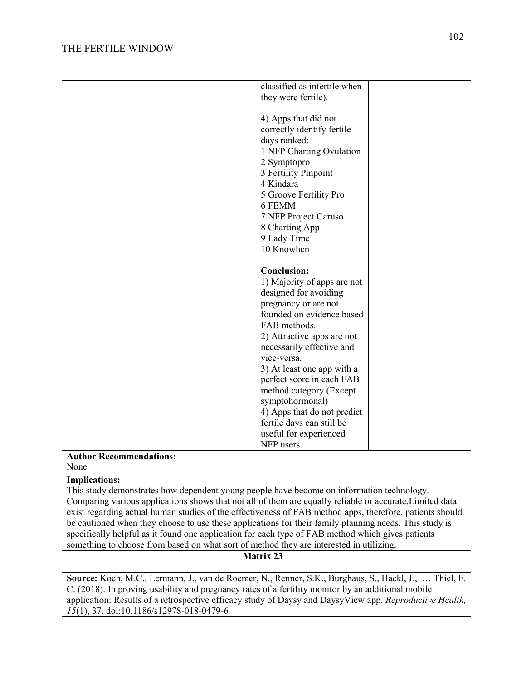| classified as infertile when         |
|--------------------------------------|
|                                      |
| they were fertile).                  |
|                                      |
| 4) Apps that did not                 |
| correctly identify fertile           |
| days ranked:                         |
| 1 NFP Charting Ovulation             |
| 2 Symptopro                          |
| 3 Fertility Pinpoint                 |
| 4 Kindara                            |
|                                      |
| 5 Groove Fertility Pro               |
| 6 FEMM                               |
| 7 NFP Project Caruso                 |
| 8 Charting App                       |
| 9 Lady Time                          |
| 10 Knowhen                           |
|                                      |
| <b>Conclusion:</b>                   |
| 1) Majority of apps are not          |
| designed for avoiding                |
|                                      |
| pregnancy or are not                 |
| founded on evidence based            |
| FAB methods.                         |
| 2) Attractive apps are not           |
| necessarily effective and            |
|                                      |
| vice-versa.                          |
|                                      |
| 3) At least one app with a           |
| perfect score in each FAB            |
| method category (Except              |
| symptohormonal)                      |
| 4) Apps that do not predict          |
| fertile days can still be            |
| useful for experienced<br>NFP users. |

#### **Author Recommendations:** None

#### **Implications:**

This study demonstrates how dependent young people have become on information technology. Comparing various applications shows that not all of them are equally reliable or accurate.Limited data exist regarding actual human studies of the effectiveness of FAB method apps, therefore, patients should be cautioned when they choose to use these applications for their family planning needs. This study is specifically helpful as it found one application for each type of FAB method which gives patients something to choose from based on what sort of method they are interested in utilizing.

#### **Matrix 23**

**Source:** Koch, M.C., Lermann, J., van de Roemer, N., Renner, S.K., Burghaus, S., Hackl, J., … Thiel, F. C. (2018). Improving usability and pregnancy rates of a fertility monitor by an additional mobile application: Results of a retrospective efficacy study of Daysy and DaysyView app. *Reproductive Health, 15*(1), 37. doi:10.1186/s12978-018-0479-6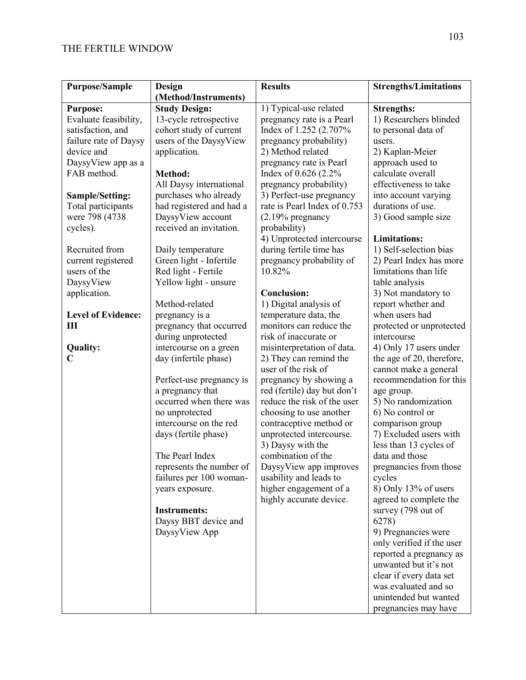| <b>Purpose/Sample</b>     | <b>Design</b>            | <b>Results</b>                                   | <b>Strengths/Limitations</b>             |
|---------------------------|--------------------------|--------------------------------------------------|------------------------------------------|
|                           | (Method/Instruments)     |                                                  |                                          |
| <b>Purpose:</b>           | <b>Study Design:</b>     | 1) Typical-use related                           | <b>Strengths:</b>                        |
| Evaluate feasibility,     | 13-cycle retrospective   | pregnancy rate is a Pearl                        | 1) Researchers blinded                   |
| satisfaction, and         | cohort study of current  | Index of 1.252 (2.707%                           | to personal data of                      |
| failure rate of Daysy     | users of the DaysyView   | pregnancy probability)                           | users.                                   |
| device and                | application.             | 2) Method related                                | 2) Kaplan-Meier                          |
| DaysyView app as a        |                          | pregnancy rate is Pearl                          | approach used to                         |
| FAB method.               | Method:                  | Index of 0.626 (2.2%                             | calculate overall                        |
|                           | All Daysy international  | pregnancy probability)                           | effectiveness to take                    |
| <b>Sample/Setting:</b>    | purchases who already    | 3) Perfect-use pregnancy                         | into account varying                     |
| Total participants        | had registered and had a | rate is Pearl Index of 0.753                     | durations of use.                        |
| were 798 (4738)           | DaysyView account        | $(2.19\%$ pregnancy                              | 3) Good sample size                      |
| cycles).                  | received an invitation.  | probability)                                     |                                          |
|                           |                          | 4) Unprotected intercourse                       | <b>Limitations:</b>                      |
| Recruited from            | Daily temperature        | during fertile time has                          | 1) Self-selection bias                   |
| current registered        | Green light - Infertile  | pregnancy probability of                         | 2) Pearl Index has more                  |
| users of the              | Red light - Fertile      | 10.82%                                           | limitations than life                    |
| DaysyView                 | Yellow light - unsure    |                                                  | table analysis                           |
| application.              |                          | <b>Conclusion:</b>                               | 3) Not mandatory to                      |
|                           | Method-related           | 1) Digital analysis of                           | report whether and                       |
| <b>Level of Evidence:</b> | pregnancy is a           | temperature data, the                            | when users had                           |
| Ш                         | pregnancy that occurred  | monitors can reduce the                          | protected or unprotected                 |
|                           | during unprotected       | risk of inaccurate or                            | intercourse                              |
| <b>Quality:</b>           | intercourse on a green   | misinterpretation of data.                       | 4) Only 17 users under                   |
| $\overline{\mathsf{C}}$   | day (infertile phase)    | 2) They can remind the                           | the age of 20, therefore,                |
|                           |                          | user of the risk of                              | cannot make a general                    |
|                           | Perfect-use pregnancy is | pregnancy by showing a                           | recommendation for this                  |
|                           | a pregnancy that         | red (fertile) day but don't                      | age group.                               |
|                           | occurred when there was  | reduce the risk of the user                      | 5) No randomization                      |
|                           | no unprotected           | choosing to use another                          | 6) No control or                         |
|                           | intercourse on the red   | contraceptive method or                          | comparison group                         |
|                           | days (fertile phase)     | unprotected intercourse.                         | 7) Excluded users with                   |
|                           | The Pearl Index          | 3) Daysy with the<br>combination of the          | less than 13 cycles of<br>data and those |
|                           | represents the number of |                                                  | pregnancies from those                   |
|                           | failures per 100 woman-  | DaysyView app improves<br>usability and leads to | cycles                                   |
|                           | years exposure.          | higher engagement of a                           | 8) Only 13% of users                     |
|                           |                          | highly accurate device.                          | agreed to complete the                   |
|                           | <b>Instruments:</b>      |                                                  | survey (798 out of                       |
|                           | Daysy BBT device and     |                                                  | 6278)                                    |
|                           | DaysyView App            |                                                  | 9) Pregnancies were                      |
|                           |                          |                                                  | only verified if the user                |
|                           |                          |                                                  | reported a pregnancy as                  |
|                           |                          |                                                  | unwanted but it's not                    |
|                           |                          |                                                  | clear if every data set                  |
|                           |                          |                                                  | was evaluated and so                     |
|                           |                          |                                                  | unintended but wanted                    |
|                           |                          |                                                  | pregnancies may have                     |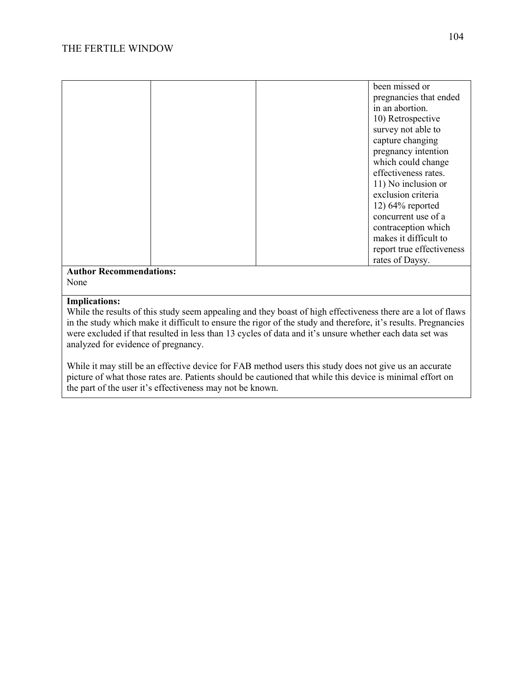| been missed or            |
|---------------------------|
| pregnancies that ended    |
| in an abortion.           |
| 10) Retrospective         |
| survey not able to        |
| capture changing          |
| pregnancy intention       |
| which could change        |
| effectiveness rates.      |
| 11) No inclusion or       |
| exclusion criteria        |
| $12)$ 64% reported        |
| concurrent use of a       |
| contraception which       |
| makes it difficult to     |
| report true effectiveness |
| rates of Daysy.           |
|                           |

#### **Implications:**

While the results of this study seem appealing and they boast of high effectiveness there are a lot of flaws in the study which make it difficult to ensure the rigor of the study and therefore, it's results. Pregnancies were excluded if that resulted in less than 13 cycles of data and it's unsure whether each data set was analyzed for evidence of pregnancy.

While it may still be an effective device for FAB method users this study does not give us an accurate picture of what those rates are. Patients should be cautioned that while this device is minimal effort on the part of the user it's effectiveness may not be known.